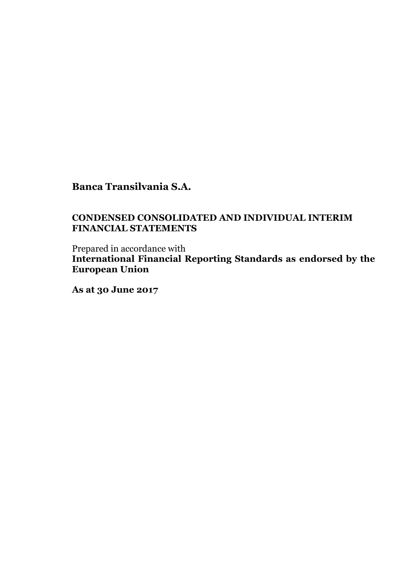### **CONDENSED CONSOLIDATED AND INDIVIDUAL INTERIM FINANCIAL STATEMENTS**

Prepared in accordance with **International Financial Reporting Standards as endorsed by the European Union**

**As at 30 June 2017**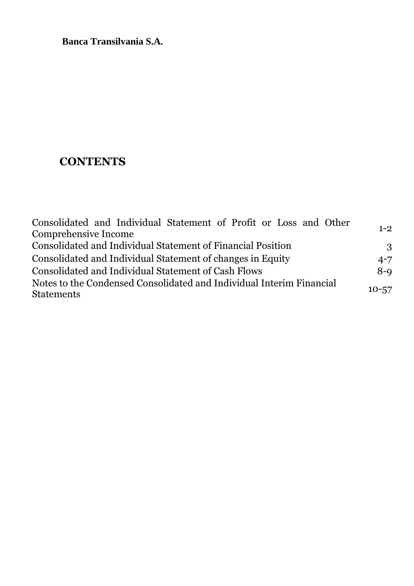# **CONTENTS**

| Consolidated and Individual Statement of Profit or Loss and Other                         |           |
|-------------------------------------------------------------------------------------------|-----------|
| Comprehensive Income                                                                      | $1 - 2$   |
| Consolidated and Individual Statement of Financial Position                               | 3         |
| Consolidated and Individual Statement of changes in Equity                                | $4 - 7$   |
| Consolidated and Individual Statement of Cash Flows                                       | $8-9$     |
| Notes to the Condensed Consolidated and Individual Interim Financial<br><b>Statements</b> | $10 - 57$ |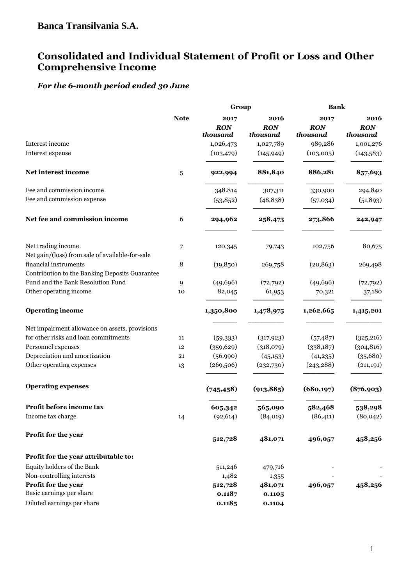# **Consolidated and Individual Statement of Profit or Loss and Other Comprehensive Income**

# *For the 6-month period ended 30 June*

|                                                                                                                            |             | Group                          |                                | <b>Bank</b>                    |                                |  |
|----------------------------------------------------------------------------------------------------------------------------|-------------|--------------------------------|--------------------------------|--------------------------------|--------------------------------|--|
|                                                                                                                            | <b>Note</b> | 2017<br><b>RON</b><br>thousand | 2016<br><b>RON</b><br>thousand | 2017<br><b>RON</b><br>thousand | 2016<br><b>RON</b><br>thousand |  |
| Interest income                                                                                                            |             | 1,026,473<br>(103, 479)        | 1,027,789                      | 989,286                        | 1,001,276                      |  |
| Interest expense                                                                                                           |             |                                | (145, 949)                     | (103,005)                      | (143,583)                      |  |
| Net interest income                                                                                                        | 5           | 922,994                        | 881,840                        | 886,281                        | 857,693                        |  |
| Fee and commission income                                                                                                  |             | 348.814                        | 307,311                        | 330,900                        | 294,840                        |  |
| Fee and commission expense                                                                                                 |             | (53, 852)                      | (48, 838)                      | (57,034)                       | (51, 893)                      |  |
| Net fee and commission income                                                                                              | 6           | 294,962                        | 258,473                        | 273,866                        | 242,947                        |  |
| Net trading income                                                                                                         | 7           | 120,345                        | 79,743                         | 102,756                        | 80,675                         |  |
| Net gain/(loss) from sale of available-for-sale<br>financial instruments<br>Contribution to the Banking Deposits Guarantee | 8           | (19, 850)                      | 269,758                        | (20, 863)                      | 269,498                        |  |
| Fund and the Bank Resolution Fund                                                                                          | 9           | (49, 696)                      | (72, 792)                      | (49,696)                       | (72, 792)                      |  |
| Other operating income                                                                                                     | 10          | 82,045                         | 61,953                         | 70,321                         | 37,180                         |  |
| <b>Operating income</b>                                                                                                    |             | 1,350,800                      | 1,478,975                      | 1,262,665                      | 1,415,201                      |  |
| Net impairment allowance on assets, provisions                                                                             |             |                                |                                |                                |                                |  |
| for other risks and loan commitments                                                                                       | 11          | (59,333)                       | (317, 923)                     | (57, 487)                      | (325, 216)                     |  |
| Personnel expenses                                                                                                         | 12          | (359, 629)                     | (318,079)                      | (338, 187)                     | (304, 816)                     |  |
| Depreciation and amortization                                                                                              | 21          | (56,990)                       | (45, 153)                      | (41,235)                       | (35,680)                       |  |
| Other operating expenses                                                                                                   | 13          | (269,506)                      | (232,730)                      | (243, 288)                     | (211, 191)                     |  |
| <b>Operating expenses</b>                                                                                                  |             | (745, 458)                     | (913, 885)                     | (680, 197)                     | (876,903)                      |  |
| Profit before income tax                                                                                                   |             | 605,342                        | 565,090                        | 582,468                        | 538,298                        |  |
| Income tax charge                                                                                                          | 14          | (92, 614)                      | (84,019)                       | (86, 411)                      | (80, 042)                      |  |
| Profit for the year                                                                                                        |             | 512,728                        | 481,071                        | 496,057                        | 458,256                        |  |
| Profit for the year attributable to:                                                                                       |             |                                |                                |                                |                                |  |
| Equity holders of the Bank                                                                                                 |             | 511,246                        | 479,716                        |                                |                                |  |
| Non-controlling interests                                                                                                  |             | 1,482                          | 1,355                          |                                |                                |  |
| Profit for the year                                                                                                        |             | 512,728                        | 481,071                        | 496,057                        | 458,256                        |  |
| Basic earnings per share                                                                                                   |             | 0.1187                         | 0.1105                         |                                |                                |  |
| Diluted earnings per share                                                                                                 |             | 0.1185                         | 0.1104                         |                                |                                |  |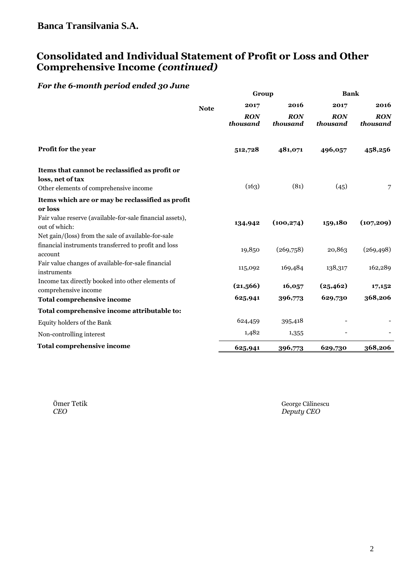# **Consolidated and Individual Statement of Profit or Loss and Other Comprehensive Income** *(continued)*

### *For the 6-month period ended 30 June*

|                                                                                                              | Group       |                 |                 | Bank            |                        |  |  |
|--------------------------------------------------------------------------------------------------------------|-------------|-----------------|-----------------|-----------------|------------------------|--|--|
|                                                                                                              | <b>Note</b> | 2017            | 2016            | 2017            | 2016                   |  |  |
|                                                                                                              |             | RON<br>thousand | RON<br>thousand | RON<br>thousand | <b>RON</b><br>thousand |  |  |
| Profit for the year                                                                                          |             | 512,728         | 481,071         | 496,057         | 458,256                |  |  |
| Items that cannot be reclassified as profit or<br>loss, net of tax<br>Other elements of comprehensive income |             | (163)           | (81)            | (45)            | 7                      |  |  |
| Items which are or may be reclassified as profit                                                             |             |                 |                 |                 |                        |  |  |
| or loss                                                                                                      |             |                 |                 |                 |                        |  |  |
| Fair value reserve (available-for-sale financial assets),<br>out of which:                                   |             | 134,942         | (100, 274)      | 159,180         | (107, 209)             |  |  |
| Net gain/(loss) from the sale of available-for-sale                                                          |             |                 |                 |                 |                        |  |  |
| financial instruments transferred to profit and loss<br>account                                              |             | 19,850          | (269,758)       | 20,863          | (269, 498)             |  |  |
| Fair value changes of available-for-sale financial<br>instruments                                            |             | 115,092         | 169,484         | 138,317         | 162,289                |  |  |
| Income tax directly booked into other elements of<br>comprehensive income                                    |             | (21,566)        | 16,057          | (25, 462)       | 17,152                 |  |  |
| <b>Total comprehensive income</b>                                                                            |             | 625,941         | 396,773         | 629,730         | 368,206                |  |  |
| Total comprehensive income attributable to:                                                                  |             |                 |                 |                 |                        |  |  |
| Equity holders of the Bank                                                                                   |             | 624,459         | 395,418         |                 |                        |  |  |
| Non-controlling interest                                                                                     |             | 1,482           | 1,355           |                 |                        |  |  |
| <b>Total comprehensive income</b>                                                                            |             | 625,941         | 396,773         | 629,730         | 368,206                |  |  |

Ömer Tetik George Călinescu CEO Deputy CEO Deputy CEO Deputy CEO Deputy CEO Deputy CEO Deputy CEO Deputy CEO Deputy CEO Deputy CEO Deputy CEO Deputy CEO Deputy CEO Deputy CEO Deputy CEO Deputy CEO Deputy CEO Deputy CEO Dep *CEO Deputy CEO*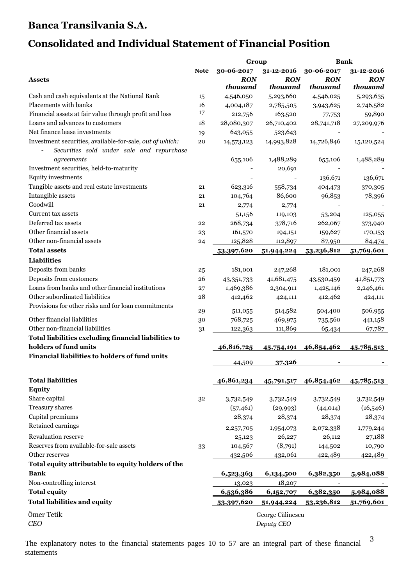# **Consolidated and Individual Statement of Financial Position**

|                                                                                                       |             | Group                  |                                | <b>Bank</b>            |                        |
|-------------------------------------------------------------------------------------------------------|-------------|------------------------|--------------------------------|------------------------|------------------------|
|                                                                                                       | <b>Note</b> | 30-06-2017             | 31-12-2016                     | 30-06-2017             | 31-12-2016             |
| <b>Assets</b>                                                                                         |             | <b>RON</b><br>thousand | <b>RON</b><br>thousand         | <b>RON</b><br>thousand | <b>RON</b><br>thousand |
| Cash and cash equivalents at the National Bank                                                        | 15          | 4,546,050              | 5,293,660                      | 4,546,025              | 5,293,635              |
| Placements with banks                                                                                 | 16          | 4,004,187              | 2,785,505                      | 3,943,625              | 2,746,582              |
| Financial assets at fair value through profit and loss                                                | 17          | 212,756                | 163,520                        | 77,753                 | 59,890                 |
| Loans and advances to customers                                                                       | 18          | 28,080,307             | 26,710,402                     | 28,741,718             | 27,209,976             |
| Net finance lease investments                                                                         | 19          | 643,055                | 523,643                        |                        |                        |
| Investment securities, available-for-sale, out of which:<br>Securities sold under sale and repurchase | 20          | 14,573,123             | 14,993,828                     | 14,726,846             | 15,120,524             |
| agreements                                                                                            |             | 655,106                | 1,488,289                      | 655,106                | 1,488,289              |
| Investment securities, held-to-maturity<br>Equity investments                                         |             |                        | 20,691                         | 136,671                |                        |
|                                                                                                       |             |                        |                                |                        | 136,671                |
| Tangible assets and real estate investments                                                           | 21          | 623,316                | 558,734                        | 404,473                | 370,305                |
| Intangible assets<br>Goodwill                                                                         | 21          | 104,764                | 86,600                         | 96,853                 | 78,396                 |
|                                                                                                       | 21          | 2,774                  | 2,774                          |                        |                        |
| Current tax assets                                                                                    |             | 51,156                 | 119,103                        | 53,204                 | 125,055                |
| Deferred tax assets                                                                                   | 22          | 268,734                | 378,716                        | 262,067                | 373,940                |
| Other financial assets                                                                                | 23          | 161,570                | 194,151                        | 159,627                | 170,153                |
| Other non-financial assets                                                                            | 24          | 125,828                | 112,897                        | 87,950                 | 84,474                 |
| <b>Total assets</b>                                                                                   |             | 53,397,620             | 51,944,224                     | 53,236,812             | 51,769,601             |
| <b>Liabilities</b>                                                                                    |             |                        |                                |                        |                        |
| Deposits from banks                                                                                   | 25          | 181,001                | 247,268                        | 181,001                | 247,268                |
| Deposits from customers                                                                               | 26          | 43,351,733             | 41,681,475                     | 43,530,459             | 41,851,773             |
| Loans from banks and other financial institutions                                                     | 27          | 1,469,386              | 2,304,911                      | 1,425,146              | 2,246,461              |
| Other subordinated liabilities                                                                        | 28          | 412,462                | 424,111                        | 412,462                | 424,111                |
| Provisions for other risks and for loan commitments                                                   | 29          | 511,055                | 514,582                        | 504,400                | 506,955                |
| Other financial liabilities                                                                           | 30          | 768,725                | 469,975                        | 735,560                | 441,158                |
| Other non-financial liabilities                                                                       | 31          | 122,363                | 111,869                        | 65,434                 | 67,787                 |
| Total liabilities excluding financial liabilities to                                                  |             |                        |                                |                        |                        |
| holders of fund units                                                                                 |             | 46,816,725             | 45,754,191                     | 46,854,462             | 45,785,513             |
| Financial liabilities to holders of fund units                                                        |             |                        |                                |                        |                        |
|                                                                                                       |             | 44,509                 | 37,326                         |                        |                        |
| <b>Total liabilities</b>                                                                              |             | 46,861,234             |                                | 45,791,517 46,854,462  | 45,785,513             |
| <b>Equity</b>                                                                                         |             |                        |                                |                        |                        |
| Share capital                                                                                         | 32          | 3,732,549              | 3,732,549                      | 3,732,549              | 3,732,549              |
| Treasury shares                                                                                       |             | (57, 461)              | (29, 993)                      | (44, 014)              | (16,546)               |
| Capital premiums                                                                                      |             | 28,374                 | 28,374                         | 28,374                 | 28,374                 |
| Retained earnings                                                                                     |             | 2,257,705              | 1,954,073                      | 2,072,338              | 1,779,244              |
| <b>Revaluation reserve</b>                                                                            |             | 25,123                 | 26,227                         | 26,112                 | 27,188                 |
| Reserves from available-for-sale assets                                                               | 33          | 104,567                | (8,791)                        | 144,502                | 10,790                 |
| Other reserves                                                                                        |             | 432,506                | 432,061                        | 422,489                | 422,489                |
| Total equity attributable to equity holders of the                                                    |             |                        |                                |                        |                        |
| <b>Bank</b>                                                                                           |             | 6,523,363              | 6,134,500                      | 6,382,350              | 5,984,088              |
| Non-controlling interest                                                                              |             | 13,023                 | 18,207                         | $\qquad \qquad -$      |                        |
| <b>Total equity</b>                                                                                   |             | 6,536,386              | 6,152,707                      | 6,382,350              | 5,984,088              |
| <b>Total liabilities and equity</b>                                                                   |             | 53,397,620             | 51,944,224                     | 53,236,812             | 51,769,601             |
|                                                                                                       |             |                        |                                |                        |                        |
| Ömer Tetik<br><b>CEO</b>                                                                              |             |                        | George Călinescu<br>Deputy CEO |                        |                        |

The explanatory notes to the financial statements pages 10 to 57 are an integral part of these financial statements

3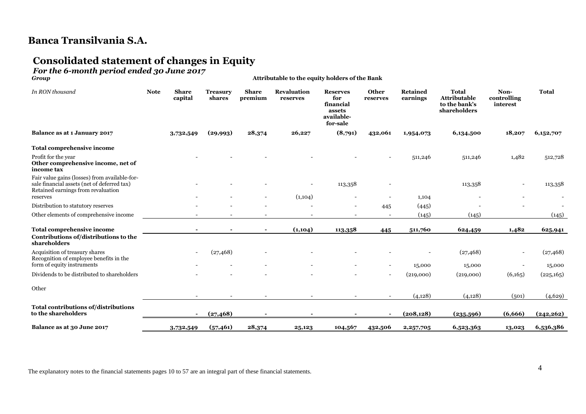# **Consolidated statement of changes in Equity**

# *For the 6-month period ended 30 June 2017*

*Group* **Attributable to the equity holders of the Bank**

| In RON thousand                                                                                                                    | <b>Note</b> | <b>Share</b><br>capital | <b>Treasury</b><br>shares | <b>Share</b><br>premium | <b>Revaluation</b><br>reserves | <b>Reserves</b><br>for<br>financial<br>assets<br>available-<br>for-sale | <b>Other</b><br>reserves | <b>Retained</b><br>earnings | <b>Total</b><br><b>Attributable</b><br>to the bank's<br>shareholders | Non-<br>controlling<br>interest                      | <b>Total</b>        |
|------------------------------------------------------------------------------------------------------------------------------------|-------------|-------------------------|---------------------------|-------------------------|--------------------------------|-------------------------------------------------------------------------|--------------------------|-----------------------------|----------------------------------------------------------------------|------------------------------------------------------|---------------------|
| <b>Balance as at 1 January 2017</b>                                                                                                |             | 3,732,549               | (29,993)                  | 28,374                  | 26,227                         | (8,791)                                                                 | 432,061                  | 1,954,073                   | 6,134,500                                                            | 18,207                                               | 6,152,707           |
| Total comprehensive income                                                                                                         |             |                         |                           |                         |                                |                                                                         |                          |                             |                                                                      |                                                      |                     |
| Profit for the year<br>Other comprehensive income, net of<br>income tax                                                            |             |                         |                           |                         |                                |                                                                         |                          | 511,246                     | 511,246                                                              | 1,482                                                | 512,728             |
| Fair value gains (losses) from available-for-<br>sale financial assets (net of deferred tax)<br>Retained earnings from revaluation |             |                         |                           |                         |                                | 113,358                                                                 |                          |                             | 113,358                                                              |                                                      | 113,358             |
| reserves                                                                                                                           |             |                         |                           |                         | (1,104)                        |                                                                         |                          | 1,104                       |                                                                      |                                                      |                     |
| Distribution to statutory reserves                                                                                                 |             |                         |                           |                         |                                |                                                                         | 445                      | (445)                       |                                                                      |                                                      |                     |
| Other elements of comprehensive income                                                                                             |             |                         |                           |                         |                                |                                                                         |                          | (145)                       | (145)                                                                |                                                      | (145)               |
| Total comprehensive income<br>Contributions of/distributions to the<br>shareholders                                                |             |                         |                           | $\blacksquare$          | (1,104)                        | 113,358                                                                 | 445                      | 511,760                     | 624,459                                                              | 1,482                                                | 625,941             |
| Acquisition of treasury shares<br>Recognition of employee benefits in the<br>form of equity instruments                            |             |                         | (27, 468)                 |                         |                                |                                                                         |                          | 15,000                      | (27, 468)<br>15,000                                                  | $\overline{\phantom{a}}$<br>$\overline{\phantom{a}}$ | (27, 468)<br>15,000 |
| Dividends to be distributed to shareholders                                                                                        |             |                         |                           |                         |                                |                                                                         |                          | (219,000)                   | (219,000)                                                            | (6,165)                                              | (225,165)           |
| Other                                                                                                                              |             |                         |                           |                         |                                |                                                                         |                          | (4, 128)                    | (4, 128)                                                             | (501)                                                | (4,629)             |
| Total contributions of/distributions<br>to the shareholders                                                                        |             |                         | (27, 468)                 |                         |                                |                                                                         |                          | (208, 128)                  | (235,596)                                                            | (6,666)                                              | (242, 262)          |
| Balance as at 30 June 2017                                                                                                         |             | 3,732,549               | (57, 461)                 | 28,374                  | 25,123                         | 104,567                                                                 | 432,506                  | 2,257,705                   | 6,523,363                                                            | 13,023                                               | 6,536,386           |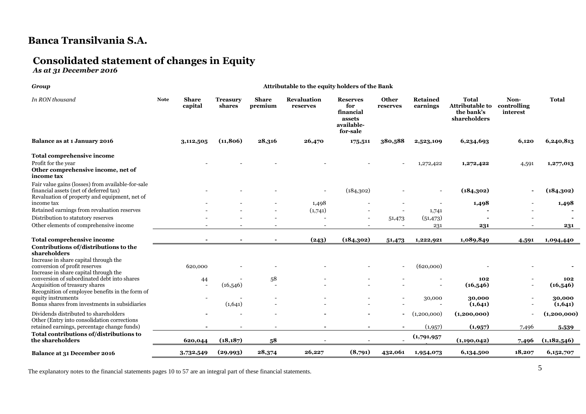# **Consolidated statement of changes in Equity**

*As at 31 December 2016*

#### *Group* **Attributable to the equity holders of the Bank**

| In RON thousand                                                                                                                                                          | <b>Note</b><br><b>Share</b><br>capital |           | <b>Treasury</b><br>shares | <b>Share</b><br>premium        | <b>Revaluation</b><br>reserves | <b>Reserves</b><br>for<br>financial<br>assets<br>available-<br>for-sale | <b>Other</b><br>reserves | <b>Retained</b><br>earnings | <b>Total</b><br><b>Attributable to</b><br>the bank's<br>shareholders | Non-<br>controlling<br>interest | <b>Total</b>      |
|--------------------------------------------------------------------------------------------------------------------------------------------------------------------------|----------------------------------------|-----------|---------------------------|--------------------------------|--------------------------------|-------------------------------------------------------------------------|--------------------------|-----------------------------|----------------------------------------------------------------------|---------------------------------|-------------------|
| Balance as at 1 January 2016                                                                                                                                             |                                        | 3,112,505 | (11, 806)                 | 28,316                         | 26,470                         | 175,511                                                                 | 380,588                  | 2,523,109                   | 6,234,693                                                            | 6,120                           | 6,240,813         |
| Total comprehensive income                                                                                                                                               |                                        |           |                           |                                |                                |                                                                         |                          |                             |                                                                      |                                 |                   |
| Profit for the year<br>Other comprehensive income, net of<br>income tax                                                                                                  |                                        |           |                           |                                |                                |                                                                         |                          | 1,272,422                   | 1,272,422                                                            | 4,591                           | 1,277,013         |
| Fair value gains (losses) from available-for-sale<br>financial assets (net of deferred tax)<br>Revaluation of property and equipment, net of                             |                                        |           |                           |                                |                                | (184, 302)                                                              |                          |                             | (184,302)                                                            |                                 | (184, 302)        |
| income tax                                                                                                                                                               |                                        |           |                           |                                | 1,498                          |                                                                         |                          |                             | 1,498                                                                |                                 | 1,498             |
| Retained earnings from revaluation reserves                                                                                                                              |                                        |           |                           |                                | (1,741)                        |                                                                         |                          | 1,741                       |                                                                      |                                 |                   |
| Distribution to statutory reserves                                                                                                                                       |                                        |           |                           |                                |                                |                                                                         | 51,473                   | (51, 473)                   |                                                                      |                                 |                   |
| Other elements of comprehensive income                                                                                                                                   |                                        |           |                           |                                |                                |                                                                         |                          | 231                         | 231                                                                  |                                 | 231               |
| <b>Total comprehensive income</b>                                                                                                                                        |                                        |           |                           |                                | (243)                          | (184, 302)                                                              | 51,473                   | 1,222,921                   | 1,089,849                                                            | 4,591                           | 1,094,440         |
| Contributions of/distributions to the<br>shareholders<br>Increase in share capital through the<br>conversion of profit reserves<br>Increase in share capital through the |                                        | 620,000   |                           |                                |                                |                                                                         |                          | (620,000)                   |                                                                      |                                 |                   |
| conversion of subordinated debt into shares<br>Acquisition of treasury shares<br>Recognition of employee benefits in the form of                                         |                                        | 44        | (16,546)                  | 58<br>$\overline{\phantom{a}}$ |                                |                                                                         |                          |                             | 102<br>(16,546)                                                      |                                 | 102<br>(16,546)   |
| equity instruments<br>Bonus shares from investments in subsidiaries                                                                                                      |                                        |           | (1,641)                   |                                |                                |                                                                         |                          | 30,000                      | 30,000<br>(1,641)                                                    |                                 | 30,000<br>(1,641) |
| Dividends distributed to shareholders<br>Other (Entry into consolidation corrections                                                                                     |                                        |           |                           |                                |                                |                                                                         | $\overline{\phantom{a}}$ | (1,200,000)                 | (1,200,000)                                                          |                                 | (1,200,000)       |
| retained earnings, percentage change funds)                                                                                                                              |                                        |           |                           |                                |                                |                                                                         |                          | (1,957)                     | (1,957)                                                              | 7,496                           | 5,539             |
| Total contributions of/distributions to<br>the shareholders                                                                                                              |                                        | 620,044   | (18, 187)                 | 58                             |                                |                                                                         |                          | (1,791,957)                 | (1,190,042)                                                          | 7,496                           | (1,182,546)       |
| Balance at 31 December 2016                                                                                                                                              | 3,732,549                              |           | (29,993)                  | 28,374                         | 26,227                         | (8,791)                                                                 | 432,061                  | 1,954,073                   | 6,134,500                                                            | 18,207                          | 6,152,707         |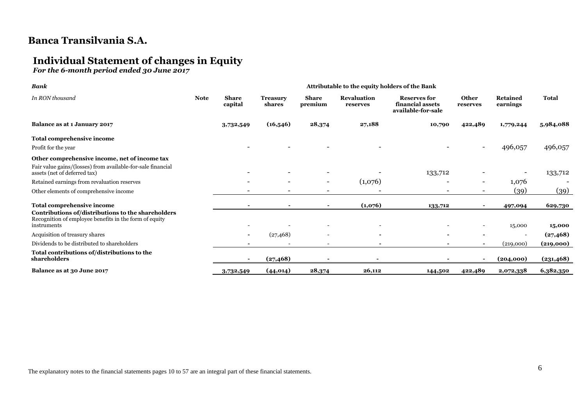# **Individual Statement of changes in Equity**

*For the 6-month period ended 30 June 2017*

| <b>Bank</b>                                                                                                                 | Attributable to the equity holders of the Bank |                         |                           |                          |                                |                                                               |                          |                             |              |
|-----------------------------------------------------------------------------------------------------------------------------|------------------------------------------------|-------------------------|---------------------------|--------------------------|--------------------------------|---------------------------------------------------------------|--------------------------|-----------------------------|--------------|
| In RON thousand                                                                                                             | <b>Note</b>                                    | <b>Share</b><br>capital | <b>Treasury</b><br>shares | <b>Share</b><br>premium  | <b>Revaluation</b><br>reserves | <b>Reserves for</b><br>financial assets<br>available-for-sale | <b>Other</b><br>reserves | <b>Retained</b><br>earnings | <b>Total</b> |
| Balance as at 1 January 2017                                                                                                |                                                | 3,732,549               | (16,546)                  | 28,374                   | 27,188                         | 10,790                                                        | 422,489                  | 1,779,244                   | 5,984,088    |
| Total comprehensive income                                                                                                  |                                                |                         |                           |                          |                                |                                                               |                          |                             |              |
| Profit for the year                                                                                                         |                                                |                         |                           |                          |                                |                                                               | $\overline{\phantom{a}}$ | 496,057                     | 496,057      |
| Other comprehensive income, net of income tax                                                                               |                                                |                         |                           |                          |                                |                                                               |                          |                             |              |
| Fair value gains/(losses) from available-for-sale financial<br>assets (net of deferred tax)                                 |                                                |                         |                           |                          |                                | 133,712                                                       |                          |                             | 133,712      |
| Retained earnings from revaluation reserves                                                                                 |                                                |                         |                           | $\overline{\phantom{a}}$ | (1,076)                        |                                                               | $\overline{\phantom{a}}$ | 1,076                       |              |
| Other elements of comprehensive income                                                                                      |                                                |                         |                           |                          |                                |                                                               |                          | (39)                        | (39)         |
| Total comprehensive income                                                                                                  |                                                |                         |                           |                          | (1,076)                        | 133,712                                                       |                          | 497,094                     | 629,730      |
| Contributions of/distributions to the shareholders<br>Recognition of employee benefits in the form of equity<br>instruments |                                                |                         |                           |                          |                                |                                                               |                          | 15,000                      | 15,000       |
| Acquisition of treasury shares                                                                                              |                                                |                         | (27, 468)                 | $\overline{\phantom{0}}$ | $\overline{\phantom{a}}$       |                                                               |                          | $\overline{\phantom{a}}$    | (27, 468)    |
| Dividends to be distributed to shareholders                                                                                 |                                                |                         |                           | $\overline{\phantom{0}}$ | $\overline{\phantom{a}}$       |                                                               | $\blacksquare$           | (219,000)                   | (219,000)    |
| Total contributions of/distributions to the<br>shareholders                                                                 |                                                | $\blacksquare$          | (27, 468)                 |                          |                                |                                                               |                          | (204,000)                   | (231, 468)   |
| Balance as at 30 June 2017                                                                                                  |                                                | 3,732,549               | (44, 014)                 | 28,374                   | 26,112                         | 144,502                                                       | 422,489                  | 2,072,338                   | 6,382,350    |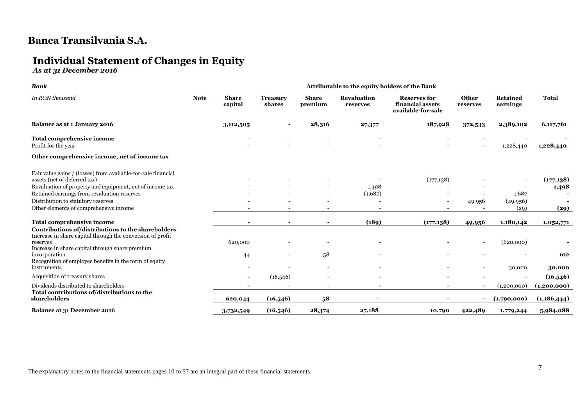# **Individual Statement of Changes in Equity**

*As at 31 December 2016*

| <b>Bank</b>                                                                                                      |             |                         | Attributable to the equity holders of the Bank |                          |                                |                                                               |                          |                             |              |
|------------------------------------------------------------------------------------------------------------------|-------------|-------------------------|------------------------------------------------|--------------------------|--------------------------------|---------------------------------------------------------------|--------------------------|-----------------------------|--------------|
| In RON thousand                                                                                                  | <b>Note</b> | <b>Share</b><br>capital | <b>Treasury</b><br>shares                      | <b>Share</b><br>premium  | <b>Revaluation</b><br>reserves | <b>Reserves for</b><br>financial assets<br>available-for-sale | Other<br>reserves        | <b>Retained</b><br>earnings | <b>Total</b> |
| Balance as at 1 January 2016                                                                                     |             | 3,112,505               |                                                | 28,316                   | 27,377                         | 187,928                                                       | 372,533                  | 2,389,102                   | 6,117,761    |
| Total comprehensive income<br>Profit for the year                                                                |             |                         |                                                |                          |                                |                                                               | $\overline{\phantom{0}}$ | 1,228,440                   | 1,228,440    |
| Other comprehensive income, net of income tax                                                                    |             |                         |                                                |                          |                                |                                                               |                          |                             |              |
| Fair value gains / (losses) from available-for-sale financial<br>assets (net of deferred tax)                    |             |                         |                                                |                          |                                | (177, 138)                                                    |                          |                             | (177, 138)   |
| Revaluation of property and equipment, net of income tax                                                         |             |                         |                                                |                          | 1,498                          |                                                               |                          |                             | 1,498        |
| Retained earnings from revaluation reserves                                                                      |             |                         |                                                | $\overline{\phantom{0}}$ | (1,687)                        |                                                               |                          | 1,687                       |              |
| Distribution to statutory reserves                                                                               |             |                         |                                                |                          |                                |                                                               | 49,956                   | (49, 956)                   |              |
| Other elements of comprehensive income                                                                           |             |                         |                                                |                          |                                |                                                               |                          | (29)                        | (29)         |
| <b>Total comprehensive income</b>                                                                                |             |                         |                                                |                          | (189)                          | (177, 138)                                                    | 49,956                   | 1,180,142                   | 1,052,771    |
| Contributions of/distributions to the shareholders<br>Increase in share capital through the conversion of profit |             |                         |                                                |                          |                                |                                                               |                          |                             |              |
| reserves<br>Increase in share capital through share premium                                                      |             | 620,000                 |                                                |                          |                                |                                                               |                          | (620,000)                   |              |
| incorporation<br>Recognition of employee benefits in the form of equity                                          |             | 44                      |                                                | 58                       |                                |                                                               |                          |                             | 102          |
| instruments                                                                                                      |             |                         |                                                |                          |                                |                                                               |                          | 30,000                      | 30,000       |
| Acquisition of treasury shares                                                                                   |             |                         | (16,546)                                       |                          |                                |                                                               |                          |                             | (16,546)     |
| Dividends distributed to shareholders                                                                            |             |                         |                                                |                          |                                |                                                               |                          | (1,200,000)                 | (1,200,000)  |
| Total contributions of/distributions to the<br>shareholders                                                      |             | 620,044                 | (16,546)                                       | 58                       |                                |                                                               | $\blacksquare$           | (1,790,000)                 | (1,186,444)  |
| Balance at 31 December 2016                                                                                      |             | 3,732,549               | (16,546)                                       | 28,374                   | 27,188                         | 10,790                                                        | 422,489                  | 1,779,244                   | 5,984,088    |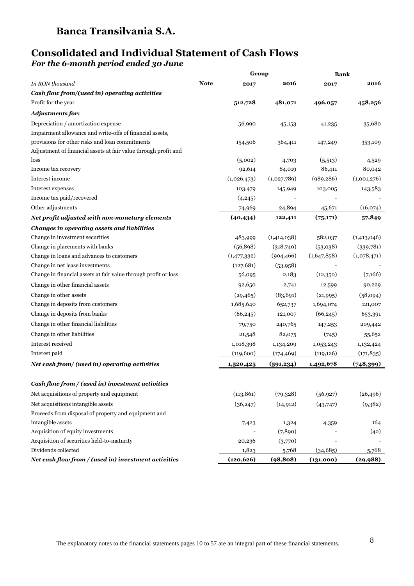### **Consolidated and Individual Statement of Cash Flows** *For the 6-month period ended 30 June*

| <b>Note</b><br>In RON thousand<br>2016<br>2016<br>2017<br>2017<br>Cash flow from/(used in) operating activities<br>Profit for the year<br>481,071<br>458,256<br>512,728<br>496,057<br>Adjustments for:<br>Depreciation / amortization expense<br>56,990<br>35,680<br>45,153<br>41,235<br>Impairment allowance and write-offs of financial assets,<br>provisions for other risks and loan commitments<br>364,411<br>154,506<br>147,249<br>353,109<br>Adjustment of financial assets at fair value through profit and<br>loss<br>(5,002)<br>(5,513)<br>4,703<br>4,529<br>86,411<br>Income tax recovery<br>92,614<br>84,019<br>80,042<br>Interest income<br>(1,026,473)<br>(1,001,276)<br>(1,027,789)<br>(989, 286)<br>Interest expenses<br>143,583<br>103,479<br>145,949<br>103,005<br>Income tax paid/recovered<br>(4,245)<br>Other adjustments<br>24,894<br>(16,074)<br>74,969<br>45,671<br>(40, 434)<br>(75,171)<br>Net profit adjusted with non-monetary elements<br>57,849<br>122,411<br><b>Changes in operating assets and liabilities</b><br>Change in investment securities<br>(1,414,038)<br>(1,413,046)<br>483,999<br>582,037<br>Change in placements with banks<br>(318,740)<br>(339,781)<br>(56, 898)<br>(53,038)<br>Change in loans and advances to customers<br>(1,647,858)<br>(1,078,471)<br>(1,477,332)<br>(904, 466)<br>Change in net lease investments<br>(127, 681)<br>(53, 958)<br>Change in financial assets at fair value through profit or loss<br>(12,350)<br>56,095<br>2,183<br>(7,166)<br>Change in other financial assets<br>92,650<br>2,741<br>90,229<br>12,599<br>Change in other assets<br>(83, 691)<br>(58,094)<br>(29, 465)<br>(21,995)<br>Change in deposits from customers<br>1,685,640<br>1,694,074<br>652,737<br>121,007<br>Change in deposits from banks<br>(66, 245)<br>(66, 245)<br>121,007<br>653,391<br>Change in other financial liabilities<br>240,765<br>209,442<br>79,750<br>147,253<br>Change in other liabilities<br>21,548<br>82,075<br>(745)<br>55,652<br>Interest received<br>1,018,398<br>1,132,424<br>1,134,209<br>1,053,243<br>Interest paid<br>(171, 835)<br>(119,600)<br>(119, 126)<br>(174, 469)<br>Net cash from/ (used in) operating activities<br>(748,399)<br>(591, 234)<br>1,492,678<br>1,520,425<br>Cash flow from / (used in) investment activities<br>Net acquisitions of property and equipment<br>(113, 861)<br>(79,328)<br>(56, 927)<br>(26, 496)<br>Net acquisitions intangible assets<br>(9,382)<br>(36, 247)<br>(14, 912)<br>(43,747)<br>Proceeds from disposal of property and equipment and<br>intangible assets<br>164<br>1,324<br>7,423<br>4,359<br>Acquisition of equity investments<br>(7, 890)<br>(42)<br>Acquisition of securities held-to-maturity<br>(3,770)<br>20,236<br>Dividends collected<br>(34, 685)<br>1,823<br>5,768<br>5,768<br>Net cash flow from / (used in) investment activities<br>(120, 626)<br>(98, 808)<br>(131,000)<br>(29, 988) |  | Group | <b>Bank</b> |  |  |
|----------------------------------------------------------------------------------------------------------------------------------------------------------------------------------------------------------------------------------------------------------------------------------------------------------------------------------------------------------------------------------------------------------------------------------------------------------------------------------------------------------------------------------------------------------------------------------------------------------------------------------------------------------------------------------------------------------------------------------------------------------------------------------------------------------------------------------------------------------------------------------------------------------------------------------------------------------------------------------------------------------------------------------------------------------------------------------------------------------------------------------------------------------------------------------------------------------------------------------------------------------------------------------------------------------------------------------------------------------------------------------------------------------------------------------------------------------------------------------------------------------------------------------------------------------------------------------------------------------------------------------------------------------------------------------------------------------------------------------------------------------------------------------------------------------------------------------------------------------------------------------------------------------------------------------------------------------------------------------------------------------------------------------------------------------------------------------------------------------------------------------------------------------------------------------------------------------------------------------------------------------------------------------------------------------------------------------------------------------------------------------------------------------------------------------------------------------------------------------------------------------------------------------------------------------------------------------------------------------------------------------------------------------------------------------------------------------------------------------------------------------------------------------------------------------------------------------------------------------------------------------------------------------------------------------|--|-------|-------------|--|--|
|                                                                                                                                                                                                                                                                                                                                                                                                                                                                                                                                                                                                                                                                                                                                                                                                                                                                                                                                                                                                                                                                                                                                                                                                                                                                                                                                                                                                                                                                                                                                                                                                                                                                                                                                                                                                                                                                                                                                                                                                                                                                                                                                                                                                                                                                                                                                                                                                                                                                                                                                                                                                                                                                                                                                                                                                                                                                                                                                  |  |       |             |  |  |
|                                                                                                                                                                                                                                                                                                                                                                                                                                                                                                                                                                                                                                                                                                                                                                                                                                                                                                                                                                                                                                                                                                                                                                                                                                                                                                                                                                                                                                                                                                                                                                                                                                                                                                                                                                                                                                                                                                                                                                                                                                                                                                                                                                                                                                                                                                                                                                                                                                                                                                                                                                                                                                                                                                                                                                                                                                                                                                                                  |  |       |             |  |  |
|                                                                                                                                                                                                                                                                                                                                                                                                                                                                                                                                                                                                                                                                                                                                                                                                                                                                                                                                                                                                                                                                                                                                                                                                                                                                                                                                                                                                                                                                                                                                                                                                                                                                                                                                                                                                                                                                                                                                                                                                                                                                                                                                                                                                                                                                                                                                                                                                                                                                                                                                                                                                                                                                                                                                                                                                                                                                                                                                  |  |       |             |  |  |
|                                                                                                                                                                                                                                                                                                                                                                                                                                                                                                                                                                                                                                                                                                                                                                                                                                                                                                                                                                                                                                                                                                                                                                                                                                                                                                                                                                                                                                                                                                                                                                                                                                                                                                                                                                                                                                                                                                                                                                                                                                                                                                                                                                                                                                                                                                                                                                                                                                                                                                                                                                                                                                                                                                                                                                                                                                                                                                                                  |  |       |             |  |  |
|                                                                                                                                                                                                                                                                                                                                                                                                                                                                                                                                                                                                                                                                                                                                                                                                                                                                                                                                                                                                                                                                                                                                                                                                                                                                                                                                                                                                                                                                                                                                                                                                                                                                                                                                                                                                                                                                                                                                                                                                                                                                                                                                                                                                                                                                                                                                                                                                                                                                                                                                                                                                                                                                                                                                                                                                                                                                                                                                  |  |       |             |  |  |
|                                                                                                                                                                                                                                                                                                                                                                                                                                                                                                                                                                                                                                                                                                                                                                                                                                                                                                                                                                                                                                                                                                                                                                                                                                                                                                                                                                                                                                                                                                                                                                                                                                                                                                                                                                                                                                                                                                                                                                                                                                                                                                                                                                                                                                                                                                                                                                                                                                                                                                                                                                                                                                                                                                                                                                                                                                                                                                                                  |  |       |             |  |  |
|                                                                                                                                                                                                                                                                                                                                                                                                                                                                                                                                                                                                                                                                                                                                                                                                                                                                                                                                                                                                                                                                                                                                                                                                                                                                                                                                                                                                                                                                                                                                                                                                                                                                                                                                                                                                                                                                                                                                                                                                                                                                                                                                                                                                                                                                                                                                                                                                                                                                                                                                                                                                                                                                                                                                                                                                                                                                                                                                  |  |       |             |  |  |
|                                                                                                                                                                                                                                                                                                                                                                                                                                                                                                                                                                                                                                                                                                                                                                                                                                                                                                                                                                                                                                                                                                                                                                                                                                                                                                                                                                                                                                                                                                                                                                                                                                                                                                                                                                                                                                                                                                                                                                                                                                                                                                                                                                                                                                                                                                                                                                                                                                                                                                                                                                                                                                                                                                                                                                                                                                                                                                                                  |  |       |             |  |  |
|                                                                                                                                                                                                                                                                                                                                                                                                                                                                                                                                                                                                                                                                                                                                                                                                                                                                                                                                                                                                                                                                                                                                                                                                                                                                                                                                                                                                                                                                                                                                                                                                                                                                                                                                                                                                                                                                                                                                                                                                                                                                                                                                                                                                                                                                                                                                                                                                                                                                                                                                                                                                                                                                                                                                                                                                                                                                                                                                  |  |       |             |  |  |
|                                                                                                                                                                                                                                                                                                                                                                                                                                                                                                                                                                                                                                                                                                                                                                                                                                                                                                                                                                                                                                                                                                                                                                                                                                                                                                                                                                                                                                                                                                                                                                                                                                                                                                                                                                                                                                                                                                                                                                                                                                                                                                                                                                                                                                                                                                                                                                                                                                                                                                                                                                                                                                                                                                                                                                                                                                                                                                                                  |  |       |             |  |  |
|                                                                                                                                                                                                                                                                                                                                                                                                                                                                                                                                                                                                                                                                                                                                                                                                                                                                                                                                                                                                                                                                                                                                                                                                                                                                                                                                                                                                                                                                                                                                                                                                                                                                                                                                                                                                                                                                                                                                                                                                                                                                                                                                                                                                                                                                                                                                                                                                                                                                                                                                                                                                                                                                                                                                                                                                                                                                                                                                  |  |       |             |  |  |
|                                                                                                                                                                                                                                                                                                                                                                                                                                                                                                                                                                                                                                                                                                                                                                                                                                                                                                                                                                                                                                                                                                                                                                                                                                                                                                                                                                                                                                                                                                                                                                                                                                                                                                                                                                                                                                                                                                                                                                                                                                                                                                                                                                                                                                                                                                                                                                                                                                                                                                                                                                                                                                                                                                                                                                                                                                                                                                                                  |  |       |             |  |  |
|                                                                                                                                                                                                                                                                                                                                                                                                                                                                                                                                                                                                                                                                                                                                                                                                                                                                                                                                                                                                                                                                                                                                                                                                                                                                                                                                                                                                                                                                                                                                                                                                                                                                                                                                                                                                                                                                                                                                                                                                                                                                                                                                                                                                                                                                                                                                                                                                                                                                                                                                                                                                                                                                                                                                                                                                                                                                                                                                  |  |       |             |  |  |
|                                                                                                                                                                                                                                                                                                                                                                                                                                                                                                                                                                                                                                                                                                                                                                                                                                                                                                                                                                                                                                                                                                                                                                                                                                                                                                                                                                                                                                                                                                                                                                                                                                                                                                                                                                                                                                                                                                                                                                                                                                                                                                                                                                                                                                                                                                                                                                                                                                                                                                                                                                                                                                                                                                                                                                                                                                                                                                                                  |  |       |             |  |  |
|                                                                                                                                                                                                                                                                                                                                                                                                                                                                                                                                                                                                                                                                                                                                                                                                                                                                                                                                                                                                                                                                                                                                                                                                                                                                                                                                                                                                                                                                                                                                                                                                                                                                                                                                                                                                                                                                                                                                                                                                                                                                                                                                                                                                                                                                                                                                                                                                                                                                                                                                                                                                                                                                                                                                                                                                                                                                                                                                  |  |       |             |  |  |
|                                                                                                                                                                                                                                                                                                                                                                                                                                                                                                                                                                                                                                                                                                                                                                                                                                                                                                                                                                                                                                                                                                                                                                                                                                                                                                                                                                                                                                                                                                                                                                                                                                                                                                                                                                                                                                                                                                                                                                                                                                                                                                                                                                                                                                                                                                                                                                                                                                                                                                                                                                                                                                                                                                                                                                                                                                                                                                                                  |  |       |             |  |  |
|                                                                                                                                                                                                                                                                                                                                                                                                                                                                                                                                                                                                                                                                                                                                                                                                                                                                                                                                                                                                                                                                                                                                                                                                                                                                                                                                                                                                                                                                                                                                                                                                                                                                                                                                                                                                                                                                                                                                                                                                                                                                                                                                                                                                                                                                                                                                                                                                                                                                                                                                                                                                                                                                                                                                                                                                                                                                                                                                  |  |       |             |  |  |
|                                                                                                                                                                                                                                                                                                                                                                                                                                                                                                                                                                                                                                                                                                                                                                                                                                                                                                                                                                                                                                                                                                                                                                                                                                                                                                                                                                                                                                                                                                                                                                                                                                                                                                                                                                                                                                                                                                                                                                                                                                                                                                                                                                                                                                                                                                                                                                                                                                                                                                                                                                                                                                                                                                                                                                                                                                                                                                                                  |  |       |             |  |  |
|                                                                                                                                                                                                                                                                                                                                                                                                                                                                                                                                                                                                                                                                                                                                                                                                                                                                                                                                                                                                                                                                                                                                                                                                                                                                                                                                                                                                                                                                                                                                                                                                                                                                                                                                                                                                                                                                                                                                                                                                                                                                                                                                                                                                                                                                                                                                                                                                                                                                                                                                                                                                                                                                                                                                                                                                                                                                                                                                  |  |       |             |  |  |
|                                                                                                                                                                                                                                                                                                                                                                                                                                                                                                                                                                                                                                                                                                                                                                                                                                                                                                                                                                                                                                                                                                                                                                                                                                                                                                                                                                                                                                                                                                                                                                                                                                                                                                                                                                                                                                                                                                                                                                                                                                                                                                                                                                                                                                                                                                                                                                                                                                                                                                                                                                                                                                                                                                                                                                                                                                                                                                                                  |  |       |             |  |  |
|                                                                                                                                                                                                                                                                                                                                                                                                                                                                                                                                                                                                                                                                                                                                                                                                                                                                                                                                                                                                                                                                                                                                                                                                                                                                                                                                                                                                                                                                                                                                                                                                                                                                                                                                                                                                                                                                                                                                                                                                                                                                                                                                                                                                                                                                                                                                                                                                                                                                                                                                                                                                                                                                                                                                                                                                                                                                                                                                  |  |       |             |  |  |
|                                                                                                                                                                                                                                                                                                                                                                                                                                                                                                                                                                                                                                                                                                                                                                                                                                                                                                                                                                                                                                                                                                                                                                                                                                                                                                                                                                                                                                                                                                                                                                                                                                                                                                                                                                                                                                                                                                                                                                                                                                                                                                                                                                                                                                                                                                                                                                                                                                                                                                                                                                                                                                                                                                                                                                                                                                                                                                                                  |  |       |             |  |  |
|                                                                                                                                                                                                                                                                                                                                                                                                                                                                                                                                                                                                                                                                                                                                                                                                                                                                                                                                                                                                                                                                                                                                                                                                                                                                                                                                                                                                                                                                                                                                                                                                                                                                                                                                                                                                                                                                                                                                                                                                                                                                                                                                                                                                                                                                                                                                                                                                                                                                                                                                                                                                                                                                                                                                                                                                                                                                                                                                  |  |       |             |  |  |
|                                                                                                                                                                                                                                                                                                                                                                                                                                                                                                                                                                                                                                                                                                                                                                                                                                                                                                                                                                                                                                                                                                                                                                                                                                                                                                                                                                                                                                                                                                                                                                                                                                                                                                                                                                                                                                                                                                                                                                                                                                                                                                                                                                                                                                                                                                                                                                                                                                                                                                                                                                                                                                                                                                                                                                                                                                                                                                                                  |  |       |             |  |  |
|                                                                                                                                                                                                                                                                                                                                                                                                                                                                                                                                                                                                                                                                                                                                                                                                                                                                                                                                                                                                                                                                                                                                                                                                                                                                                                                                                                                                                                                                                                                                                                                                                                                                                                                                                                                                                                                                                                                                                                                                                                                                                                                                                                                                                                                                                                                                                                                                                                                                                                                                                                                                                                                                                                                                                                                                                                                                                                                                  |  |       |             |  |  |
|                                                                                                                                                                                                                                                                                                                                                                                                                                                                                                                                                                                                                                                                                                                                                                                                                                                                                                                                                                                                                                                                                                                                                                                                                                                                                                                                                                                                                                                                                                                                                                                                                                                                                                                                                                                                                                                                                                                                                                                                                                                                                                                                                                                                                                                                                                                                                                                                                                                                                                                                                                                                                                                                                                                                                                                                                                                                                                                                  |  |       |             |  |  |
|                                                                                                                                                                                                                                                                                                                                                                                                                                                                                                                                                                                                                                                                                                                                                                                                                                                                                                                                                                                                                                                                                                                                                                                                                                                                                                                                                                                                                                                                                                                                                                                                                                                                                                                                                                                                                                                                                                                                                                                                                                                                                                                                                                                                                                                                                                                                                                                                                                                                                                                                                                                                                                                                                                                                                                                                                                                                                                                                  |  |       |             |  |  |
|                                                                                                                                                                                                                                                                                                                                                                                                                                                                                                                                                                                                                                                                                                                                                                                                                                                                                                                                                                                                                                                                                                                                                                                                                                                                                                                                                                                                                                                                                                                                                                                                                                                                                                                                                                                                                                                                                                                                                                                                                                                                                                                                                                                                                                                                                                                                                                                                                                                                                                                                                                                                                                                                                                                                                                                                                                                                                                                                  |  |       |             |  |  |
|                                                                                                                                                                                                                                                                                                                                                                                                                                                                                                                                                                                                                                                                                                                                                                                                                                                                                                                                                                                                                                                                                                                                                                                                                                                                                                                                                                                                                                                                                                                                                                                                                                                                                                                                                                                                                                                                                                                                                                                                                                                                                                                                                                                                                                                                                                                                                                                                                                                                                                                                                                                                                                                                                                                                                                                                                                                                                                                                  |  |       |             |  |  |
|                                                                                                                                                                                                                                                                                                                                                                                                                                                                                                                                                                                                                                                                                                                                                                                                                                                                                                                                                                                                                                                                                                                                                                                                                                                                                                                                                                                                                                                                                                                                                                                                                                                                                                                                                                                                                                                                                                                                                                                                                                                                                                                                                                                                                                                                                                                                                                                                                                                                                                                                                                                                                                                                                                                                                                                                                                                                                                                                  |  |       |             |  |  |
|                                                                                                                                                                                                                                                                                                                                                                                                                                                                                                                                                                                                                                                                                                                                                                                                                                                                                                                                                                                                                                                                                                                                                                                                                                                                                                                                                                                                                                                                                                                                                                                                                                                                                                                                                                                                                                                                                                                                                                                                                                                                                                                                                                                                                                                                                                                                                                                                                                                                                                                                                                                                                                                                                                                                                                                                                                                                                                                                  |  |       |             |  |  |
|                                                                                                                                                                                                                                                                                                                                                                                                                                                                                                                                                                                                                                                                                                                                                                                                                                                                                                                                                                                                                                                                                                                                                                                                                                                                                                                                                                                                                                                                                                                                                                                                                                                                                                                                                                                                                                                                                                                                                                                                                                                                                                                                                                                                                                                                                                                                                                                                                                                                                                                                                                                                                                                                                                                                                                                                                                                                                                                                  |  |       |             |  |  |
|                                                                                                                                                                                                                                                                                                                                                                                                                                                                                                                                                                                                                                                                                                                                                                                                                                                                                                                                                                                                                                                                                                                                                                                                                                                                                                                                                                                                                                                                                                                                                                                                                                                                                                                                                                                                                                                                                                                                                                                                                                                                                                                                                                                                                                                                                                                                                                                                                                                                                                                                                                                                                                                                                                                                                                                                                                                                                                                                  |  |       |             |  |  |
|                                                                                                                                                                                                                                                                                                                                                                                                                                                                                                                                                                                                                                                                                                                                                                                                                                                                                                                                                                                                                                                                                                                                                                                                                                                                                                                                                                                                                                                                                                                                                                                                                                                                                                                                                                                                                                                                                                                                                                                                                                                                                                                                                                                                                                                                                                                                                                                                                                                                                                                                                                                                                                                                                                                                                                                                                                                                                                                                  |  |       |             |  |  |
|                                                                                                                                                                                                                                                                                                                                                                                                                                                                                                                                                                                                                                                                                                                                                                                                                                                                                                                                                                                                                                                                                                                                                                                                                                                                                                                                                                                                                                                                                                                                                                                                                                                                                                                                                                                                                                                                                                                                                                                                                                                                                                                                                                                                                                                                                                                                                                                                                                                                                                                                                                                                                                                                                                                                                                                                                                                                                                                                  |  |       |             |  |  |
|                                                                                                                                                                                                                                                                                                                                                                                                                                                                                                                                                                                                                                                                                                                                                                                                                                                                                                                                                                                                                                                                                                                                                                                                                                                                                                                                                                                                                                                                                                                                                                                                                                                                                                                                                                                                                                                                                                                                                                                                                                                                                                                                                                                                                                                                                                                                                                                                                                                                                                                                                                                                                                                                                                                                                                                                                                                                                                                                  |  |       |             |  |  |
|                                                                                                                                                                                                                                                                                                                                                                                                                                                                                                                                                                                                                                                                                                                                                                                                                                                                                                                                                                                                                                                                                                                                                                                                                                                                                                                                                                                                                                                                                                                                                                                                                                                                                                                                                                                                                                                                                                                                                                                                                                                                                                                                                                                                                                                                                                                                                                                                                                                                                                                                                                                                                                                                                                                                                                                                                                                                                                                                  |  |       |             |  |  |
|                                                                                                                                                                                                                                                                                                                                                                                                                                                                                                                                                                                                                                                                                                                                                                                                                                                                                                                                                                                                                                                                                                                                                                                                                                                                                                                                                                                                                                                                                                                                                                                                                                                                                                                                                                                                                                                                                                                                                                                                                                                                                                                                                                                                                                                                                                                                                                                                                                                                                                                                                                                                                                                                                                                                                                                                                                                                                                                                  |  |       |             |  |  |
|                                                                                                                                                                                                                                                                                                                                                                                                                                                                                                                                                                                                                                                                                                                                                                                                                                                                                                                                                                                                                                                                                                                                                                                                                                                                                                                                                                                                                                                                                                                                                                                                                                                                                                                                                                                                                                                                                                                                                                                                                                                                                                                                                                                                                                                                                                                                                                                                                                                                                                                                                                                                                                                                                                                                                                                                                                                                                                                                  |  |       |             |  |  |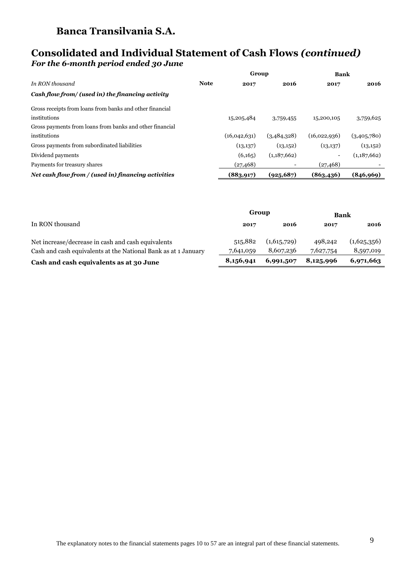### **Consolidated and Individual Statement of Cash Flows** *(continued) For the 6-month period ended 30 June*

|                                                          |             | Group        |             | <b>Bank</b>  |             |  |
|----------------------------------------------------------|-------------|--------------|-------------|--------------|-------------|--|
| In RON thousand                                          | <b>Note</b> | 2017         | 2016        | 2017         | 2016        |  |
| Cash flow from/ (used in) the financing activity         |             |              |             |              |             |  |
| Gross receipts from loans from banks and other financial |             |              |             |              |             |  |
| institutions                                             |             | 15,205,484   | 3,759,455   | 15,200,105   | 3,759,625   |  |
| Gross payments from loans from banks and other financial |             |              |             |              |             |  |
| institutions                                             |             | (16,042,631) | (3,484,328) | (16,022,936) | (3,405,780) |  |
| Gross payments from subordinated liabilities             |             | (13,137)     | (13,152)    | (13,137)     | (13,152)    |  |
| Dividend payments                                        |             | (6,165)      | (1,187,662) |              | (1,187,662) |  |
| Payments for treasury shares                             |             | (27, 468)    |             | (27, 468)    |             |  |
| Net cash flow from / (used in) financing activities      |             | (883, 917)   | (925, 687)  | (863, 436)   | (846, 969)  |  |

|                                                                | Group     |             | Bank      |             |  |
|----------------------------------------------------------------|-----------|-------------|-----------|-------------|--|
| In RON thousand                                                | 2017      | 2016        | 2017      | 2016        |  |
| Net increase/decrease in cash and cash equivalents             | 515,882   | (1,615,729) | 498,242   | (1,625,356) |  |
| Cash and cash equivalents at the National Bank as at 1 January | 7,641,059 | 8,607,236   | 7,627,754 | 8,597,019   |  |
| Cash and cash equivalents as at 30 June                        | 8,156,941 | 6,991,507   | 8,125,996 | 6,971,663   |  |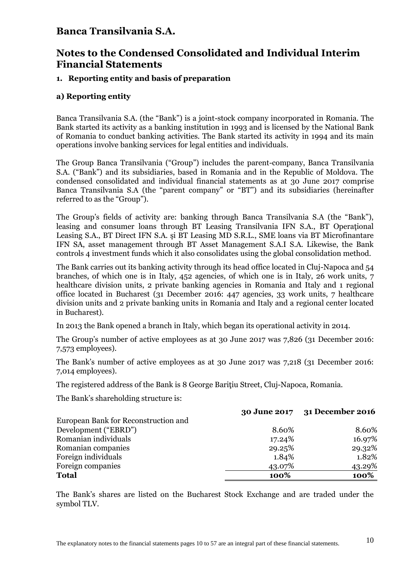## **Notes to the Condensed Consolidated and Individual Interim Financial Statements**

#### **1. Reporting entity and basis of preparation**

#### **a) Reporting entity**

Banca Transilvania S.A. (the "Bank") is a joint-stock company incorporated in Romania. The Bank started its activity as a banking institution in 1993 and is licensed by the National Bank of Romania to conduct banking activities. The Bank started its activity in 1994 and its main operations involve banking services for legal entities and individuals.

The Group Banca Transilvania ("Group") includes the parent-company, Banca Transilvania S.A. ("Bank") and its subsidiaries, based in Romania and in the Republic of Moldova. The condensed consolidated and individual financial statements as at 30 June 2017 comprise Banca Transilvania S.A (the "parent company" or "BT") and its subsidiaries (hereinafter referred to as the "Group").

The Group's fields of activity are: banking through Banca Transilvania S.A (the "Bank"), leasing and consumer loans through BT Leasing Transilvania IFN S.A., BT Operaţional Leasing S.A., BT Direct IFN S.A. şi BT Leasing MD S.R.L., SME loans via BT Microfinantare IFN SA, asset management through BT Asset Management S.A.I S.A. Likewise, the Bank controls 4 investment funds which it also consolidates using the global consolidation method.

The Bank carries out its banking activity through its head office located in Cluj-Napoca and 54 branches, of which one is in Italy, 452 agencies, of which one is in Italy, 26 work units, 7 healthcare division units, 2 private banking agencies in Romania and Italy and 1 regional office located in Bucharest (31 December 2016: 447 agencies, 33 work units, 7 healthcare division units and 2 private banking units in Romania and Italy and a regional center located in Bucharest).

In 2013 the Bank opened a branch in Italy, which began its operational activity in 2014.

The Group's number of active employees as at 30 June 2017 was 7,826 (31 December 2016: 7,573 employees).

The Bank's number of active employees as at 30 June 2017 was 7,218 (31 December 2016: 7,014 employees).

The registered address of the Bank is 8 George Baritiu Street, Cluj-Napoca, Romania.

The Bank's shareholding structure is:

|                                      |        | 30 June 2017 31 December 2016 |
|--------------------------------------|--------|-------------------------------|
| European Bank for Reconstruction and |        |                               |
| Development ("EBRD")                 | 8.60%  | 8.60%                         |
| Romanian individuals                 | 17.24% | 16.97%                        |
| Romanian companies                   | 29.25% | 29.32%                        |
| Foreign individuals                  | 1.84%  | 1.82%                         |
| Foreign companies                    | 43.07% | 43.29%                        |
| <b>Total</b>                         | 100%   | 100%                          |
|                                      |        |                               |

The Bank's shares are listed on the Bucharest Stock Exchange and are traded under the symbol TLV.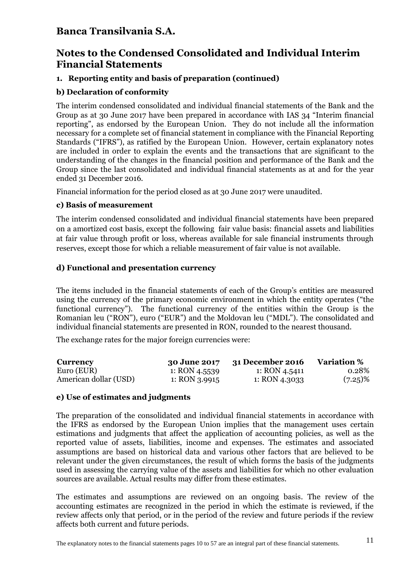## **Notes to the Condensed Consolidated and Individual Interim Financial Statements**

#### **1. Reporting entity and basis of preparation (continued)**

#### **b) Declaration of conformity**

The interim condensed consolidated and individual financial statements of the Bank and the Group as at 30 June 2017 have been prepared in accordance with IAS 34 "Interim financial reporting", as endorsed by the European Union. They do not include all the information necessary for a complete set of financial statement in compliance with the Financial Reporting Standards ("IFRS"), as ratified by the European Union. However, certain explanatory notes are included in order to explain the events and the transactions that are significant to the understanding of the changes in the financial position and performance of the Bank and the Group since the last consolidated and individual financial statements as at and for the year ended 31 December 2016.

Financial information for the period closed as at 30 June 2017 were unaudited.

#### **c) Basis of measurement**

The interim condensed consolidated and individual financial statements have been prepared on a amortized cost basis, except the following fair value basis: financial assets and liabilities at fair value through profit or loss, whereas available for sale financial instruments through reserves, except those for which a reliable measurement of fair value is not available.

#### **d) Functional and presentation currency**

The items included in the financial statements of each of the Group's entities are measured using the currency of the primary economic environment in which the entity operates ("the functional currency"). The functional currency of the entities within the Group is the Romanian leu ("RON"), euro ("EUR") and the Moldovan leu ("MDL"). The consolidated and individual financial statements are presented in RON, rounded to the nearest thousand.

The exchange rates for the major foreign currencies were:

| <b>Currency</b>       | <b>30 June 2017</b> | 31 December 2016 | <b>Variation</b> % |
|-----------------------|---------------------|------------------|--------------------|
| Euro (EUR)            | 1: RON 4.5539       | 1: RON 4.5411    | 0.28%              |
| American dollar (USD) | 1: RON $3.9915$     | 1: RON 4.3033    | $(7.25)\%$         |

#### **e) Use of estimates and judgments**

The preparation of the consolidated and individual financial statements in accordance with the IFRS as endorsed by the European Union implies that the management uses certain estimations and judgments that affect the application of accounting policies, as well as the reported value of assets, liabilities, income and expenses. The estimates and associated assumptions are based on historical data and various other factors that are believed to be relevant under the given circumstances, the result of which forms the basis of the judgments used in assessing the carrying value of the assets and liabilities for which no other evaluation sources are available. Actual results may differ from these estimates.

The estimates and assumptions are reviewed on an ongoing basis. The review of the accounting estimates are recognized in the period in which the estimate is reviewed, if the review affects only that period, or in the period of the review and future periods if the review affects both current and future periods.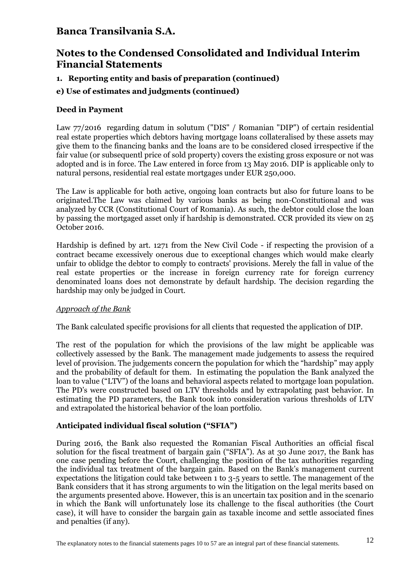# **Notes to the Condensed Consolidated and Individual Interim Financial Statements**

#### **1. Reporting entity and basis of preparation (continued)**

#### **e) Use of estimates and judgments (continued)**

#### **Deed in Payment**

Law 77/2016 regarding datum in solutum ("DIS" / Romanian "DIP") of certain residential real estate properties which debtors having mortgage loans collateralised by these assets may give them to the financing banks and the loans are to be considered closed irrespective if the fair value (or subsequentl price of sold property) covers the existing gross exposure or not was adopted and is in force. The Law entered in force from 13 May 2016. DIP is applicable only to natural persons, residential real estate mortgages under EUR 250,000.

The Law is applicable for both active, ongoing loan contracts but also for future loans to be originated.The Law was claimed by various banks as being non-Constitutional and was analyzed by CCR (Constitutional Court of Romania). As such, the debtor could close the loan by passing the mortgaged asset only if hardship is demonstrated. CCR provided its view on 25 October 2016.

Hardship is defined by art. 1271 from the New Civil Code - if respecting the provision of a contract became excessively onerous due to exceptional changes which would make clearly unfair to oblidge the debtor to comply to contracts' provisions. Merely the fall in value of the real estate properties or the increase in foreign currency rate for foreign currency denominated loans does not demonstrate by default hardship. The decision regarding the hardship may only be judged in Court.

#### *Approach of the Bank*

The Bank calculated specific provisions for all clients that requested the application of DIP.

The rest of the population for which the provisions of the law might be applicable was collectively assessed by the Bank. The management made judgements to assess the required level of provision. The judgements concern the population for which the "hardship" may apply and the probability of default for them. In estimating the population the Bank analyzed the loan to value ("LTV") of the loans and behavioral aspects related to mortgage loan population. The PD's were constructed based on LTV thresholds and by extrapolating past behavior. In estimating the PD parameters, the Bank took into consideration various thresholds of LTV and extrapolated the historical behavior of the loan portfolio.

#### **Anticipated individual fiscal solution ("SFIA")**

During 2016, the Bank also requested the Romanian Fiscal Authorities an official fiscal solution for the fiscal treatment of bargain gain ("SFIA"). As at 30 June 2017, the Bank has one case pending before the Court, challenging the position of the tax authorities regarding the individual tax treatment of the bargain gain. Based on the Bank's management current expectations the litigation could take between 1 to 3-5 years to settle. The management of the Bank considers that it has strong arguments to win the litigation on the legal merits based on the arguments presented above. However, this is an uncertain tax position and in the scenario in which the Bank will unfortunately lose its challenge to the fiscal authorities (the Court case), it will have to consider the bargain gain as taxable income and settle associated fines and penalties (if any).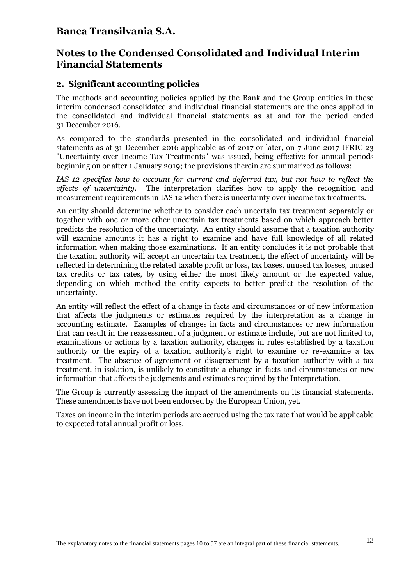### **Notes to the Condensed Consolidated and Individual Interim Financial Statements**

#### **2. Significant accounting policies**

The methods and accounting policies applied by the Bank and the Group entities in these interim condensed consolidated and individual financial statements are the ones applied in the consolidated and individual financial statements as at and for the period ended 31 December 2016.

As compared to the standards presented in the consolidated and individual financial statements as at 31 December 2016 applicable as of 2017 or later, on 7 June 2017 IFRIC 23 "Uncertainty over Income Tax Treatments" was issued, being effective for annual periods beginning on or after 1 January 2019; the provisions therein are summarized as follows:

*IAS 12 specifies how to account for current and deferred tax, but not how to reflect the effects of uncertainty.* The interpretation clarifies how to apply the recognition and measurement requirements in IAS 12 when there is uncertainty over income tax treatments.

An entity should determine whether to consider each uncertain tax treatment separately or together with one or more other uncertain tax treatments based on which approach better predicts the resolution of the uncertainty. An entity should assume that a taxation authority will examine amounts it has a right to examine and have full knowledge of all related information when making those examinations. If an entity concludes it is not probable that the taxation authority will accept an uncertain tax treatment, the effect of uncertainty will be reflected in determining the related taxable profit or loss, tax bases, unused tax losses, unused tax credits or tax rates, by using either the most likely amount or the expected value, depending on which method the entity expects to better predict the resolution of the uncertainty.

An entity will reflect the effect of a change in facts and circumstances or of new information that affects the judgments or estimates required by the interpretation as a change in accounting estimate. Examples of changes in facts and circumstances or new information that can result in the reassessment of a judgment or estimate include, but are not limited to, examinations or actions by a taxation authority, changes in rules established by a taxation authority or the expiry of a taxation authority's right to examine or re-examine a tax treatment. The absence of agreement or disagreement by a taxation authority with a tax treatment, in isolation, is unlikely to constitute a change in facts and circumstances or new information that affects the judgments and estimates required by the Interpretation.

The Group is currently assessing the impact of the amendments on its financial statements. These amendments have not been endorsed by the European Union, yet.

Taxes on income in the interim periods are accrued using the tax rate that would be applicable to expected total annual profit or loss.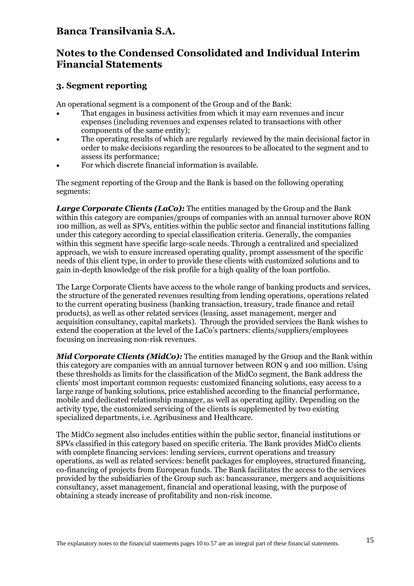## **Notes to the Condensed Consolidated and Individual Interim Financial Statements**

#### **3. Segment reporting**

An operational segment is a component of the Group and of the Bank:

- That engages in business activities from which it may earn revenues and incur expenses (including revenues and expenses related to transactions with other components of the same entity);
- The operating results of which are regularly reviewed by the main decisional factor in order to make decisions regarding the resources to be allocated to the segment and to assess its performance;
- For which discrete financial information is available.

The segment reporting of the Group and the Bank is based on the following operating segments:

*Large Corporate Clients (LaCo):* The entities managed by the Group and the Bank within this category are companies/groups of companies with an annual turnover above RON 100 million, as well as SPVs, entities within the public sector and financial institutions falling under this category according to special classification criteria. Generally, the companies within this segment have specific large-scale needs. Through a centralized and specialized approach, we wish to ensure increased operating quality, prompt assessment of the specific needs of this client type, in order to provide these clients with customized solutions and to gain in-depth knowledge of the risk profile for a high quality of the loan portfolio.

The Large Corporate Clients have access to the whole range of banking products and services, the structure of the generated revenues resulting from lending operations, operations related to the current operating business (banking transaction, treasury, trade finance and retail products), as well as other related services (leasing, asset management, merger and acquisition consultancy, capital markets). Through the provided services the Bank wishes to extend the cooperation at the level of the LaCo's partners: clients/suppliers/employees focusing on increasing non-risk revenues.

*Mid Corporate Clients (MidCo):* The entities managed by the Group and the Bank within this category are companies with an annual turnover between RON 9 and 100 million. Using these thresholds as limits for the classification of the MidCo segment, the Bank address the clients' most important common requests: customized financing solutions, easy access to a large range of banking solutions, price established according to the financial performance, mobile and dedicated relationship manager, as well as operating agility. Depending on the activity type, the customized servicing of the clients is supplemented by two existing specialized departments, i.e. Agribusiness and Healthcare.

The MidCo segment also includes entities within the public sector, financial institutions or SPVs classified in this category based on specific criteria. The Bank provides MidCo clients with complete financing services: lending services, current operations and treasury operations, as well as related services: benefit packages for employees, structured financing, co-financing of projects from European funds. The Bank facilitates the access to the services provided by the subsidiaries of the Group such as: bancassurance, mergers and acquisitions consultancy, asset management, financial and operational leasing, with the purpose of obtaining a steady increase of profitability and non-risk income.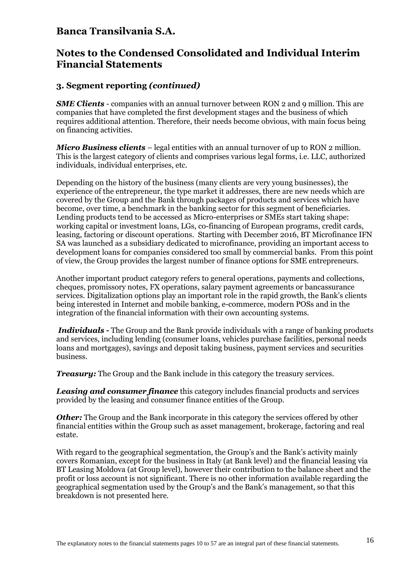### **Notes to the Condensed Consolidated and Individual Interim Financial Statements**

#### **3. Segment reporting** *(continued)*

*SME Clients* - companies with an annual turnover between RON 2 and 9 million. This are companies that have completed the first development stages and the business of which requires additional attention. Therefore, their needs become obvious, with main focus being on financing activities.

*Micro Business clients* – legal entities with an annual turnover of up to RON 2 million. This is the largest category of clients and comprises various legal forms, i.e. LLC, authorized individuals, individual enterprises, etc.

Depending on the history of the business (many clients are very young businesses), the experience of the entrepreneur, the type market it addresses, there are new needs which are covered by the Group and the Bank through packages of products and services which have become, over time, a benchmark in the banking sector for this segment of beneficiaries. Lending products tend to be accessed as Micro-enterprises or SMEs start taking shape: working capital or investment loans, LGs, co-financing of European programs, credit cards, leasing, factoring or discount operations. Starting with December 2016, BT Microfinance IFN SA was launched as a subsidiary dedicated to microfinance, providing an important access to development loans for companies considered too small by commercial banks. From this point of view, the Group provides the largest number of finance options for SME entrepreneurs.

Another important product category refers to general operations, payments and collections, cheques, promissory notes, FX operations, salary payment agreements or bancassurance services. Digitalization options play an important role in the rapid growth, the Bank's clients being interested in Internet and mobile banking, e-commerce, modern POSs and in the integration of the financial information with their own accounting systems.

*Individuals* **-** The Group and the Bank provide individuals with a range of banking products and services, including lending (consumer loans, vehicles purchase facilities, personal needs loans and mortgages), savings and deposit taking business, payment services and securities business.

*Treasury:* The Group and the Bank include in this category the treasury services.

*Leasing and consumer finance* this category includes financial products and services provided by the leasing and consumer finance entities of the Group.

*Other:* The Group and the Bank incorporate in this category the services offered by other financial entities within the Group such as asset management, brokerage, factoring and real estate.

With regard to the geographical segmentation, the Group's and the Bank's activity mainly covers Romanian, except for the business in Italy (at Bank level) and the financial leasing via BT Leasing Moldova (at Group level), however their contribution to the balance sheet and the profit or loss account is not significant. There is no other information available regarding the geographical segmentation used by the Group's and the Bank's management, so that this breakdown is not presented here.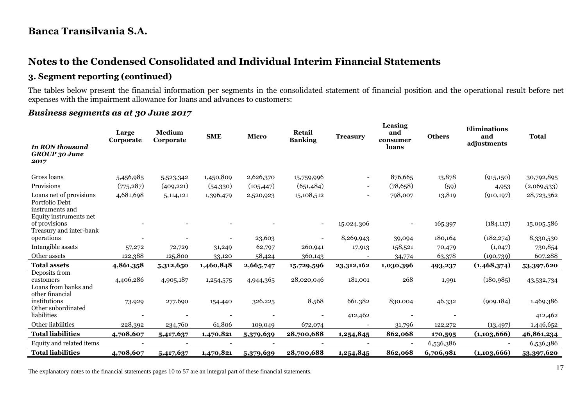# **Notes to the Condensed Consolidated and Individual Interim Financial Statements**

### **3. Segment reporting (continued)**

The tables below present the financial information per segments in the consolidated statement of financial position and the operational result before net expenses with the impairment allowance for loans and advances to customers:

#### *Business segments as at 30 June 2017*

|                                                                    | Large<br>Corporate | Medium<br>Corporate | <b>SME</b> | Micro      | Retail<br><b>Banking</b> | <b>Treasury</b>          | Leasing<br>and<br>consumer | <b>Others</b> | <b>Eliminations</b><br>and | <b>Total</b> |
|--------------------------------------------------------------------|--------------------|---------------------|------------|------------|--------------------------|--------------------------|----------------------------|---------------|----------------------------|--------------|
| <b>In RON thousand</b><br><b>GROUP</b> 30 June<br>2017             |                    |                     |            |            |                          |                          | loans                      |               | adjustments                |              |
| Gross loans                                                        | 5,456,985          | 5,523,342           | 1,450,809  | 2,626,370  | 15,759,996               | $\overline{\phantom{a}}$ | 876,665                    | 13,878        | (915, 150)                 | 30,792,895   |
| Provisions                                                         | (775, 287)         | (409, 221)          | (54,330)   | (105, 447) | (651, 484)               | $\overline{\phantom{a}}$ | (78, 658)                  | (59)          | 4,953                      | (2,069,533)  |
| Loans net of provisions<br>Portfolio Debt<br>instruments and       | 4,681,698          | 5,114,121           | 1,396,479  | 2,520,923  | 15,108,512               | $\overline{\phantom{a}}$ | 798,007                    | 13,819        | (910, 197)                 | 28,723,362   |
| Equity instruments net<br>of provisions<br>Treasury and inter-bank |                    |                     |            |            | $\sim$                   | 15.024.306               | $\overline{\phantom{a}}$   | 165.397       | (184.117)                  | 15.005.586   |
| operations                                                         |                    |                     |            | 23,603     |                          | 8,269,943                | 39,094                     | 180,164       | (182, 274)                 | 8,330,530    |
| Intangible assets                                                  | 57,272             | 72,729              | 31,249     | 62,797     | 260,941                  | 17,913                   | 158,521                    | 70,479        | (1,047)                    | 730,854      |
| Other assets                                                       | 122,388            | 125,800             | 33,120     | 58,424     | 360,143                  |                          | 34,774                     | 63,378        | (190, 739)                 | 607,288      |
| <b>Total assets</b>                                                | 4,861,358          | 5,312,650           | 1,460,848  | 2,665,747  | 15,729,596               | 23,312,162               | 1,030,396                  | 493,237       | (1,468,374)                | 53,397,620   |
| Deposits from<br>customers<br>Loans from banks and                 | 4,406,286          | 4,905,187           | 1,254,575  | 4,944,365  | 28,020,046               | 181,001                  | 268                        | 1,991         | (180, 985)                 | 43,532,734   |
| other financial<br>institutions<br>Other subordinated              | 73.929             | 277.690             | 154.440    | 326.225    | 8.568                    | 661.382                  | 830.004                    | 46.332        | (909.184)                  | 1.469.386    |
| liabilities                                                        |                    |                     |            |            |                          | 412,462                  |                            |               |                            | 412,462      |
| Other liabilities                                                  | 228,392            | 234,760             | 61,806     | 109,049    | 672,074                  |                          | 31,796                     | 122,272       | (13, 497)                  | 1,446,652    |
| <b>Total liabilities</b>                                           | 4,708,607          | 5,417,637           | 1,470,821  | 5,379,639  | 28,700,688               | 1,254,845                | 862,068                    | 170,595       | (1,103,666)                | 46,861,234   |
| Equity and related items                                           |                    |                     |            |            |                          |                          |                            | 6,536,386     |                            | 6,536,386    |
| <b>Total liabilities</b>                                           | 4,708,607          | 5,417,637           | 1,470,821  | 5,379,639  | 28,700,688               | 1,254,845                | 862,068                    | 6,706,981     | (1,103,666)                | 53,397,620   |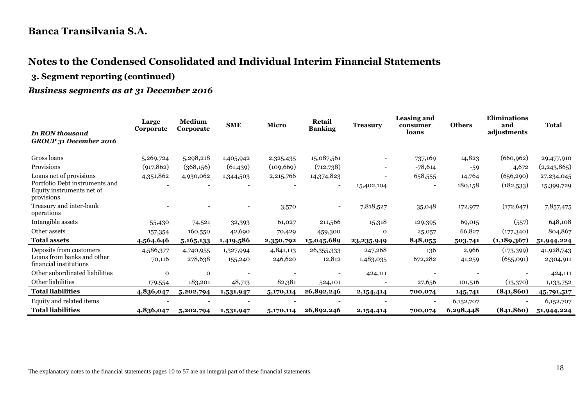# **Notes to the Condensed Consolidated and Individual Interim Financial Statements**

**3. Segment reporting (continued)**

### *Business segments as at 31 December 2016*

|                                                                           | Large                    | Medium      | <b>SME</b> | <b>Micro</b> | Retail                   | <b>Treasury</b> | Leasing and<br>consumer  | <b>Others</b> | <b>Eliminations</b><br>and | <b>Total</b> |  |
|---------------------------------------------------------------------------|--------------------------|-------------|------------|--------------|--------------------------|-----------------|--------------------------|---------------|----------------------------|--------------|--|
| <b>In RON thousand</b><br>GROUP 31 December 2016                          | Corporate                | Corporate   |            |              | <b>Banking</b>           |                 | loans                    |               | adjustments                |              |  |
| Gross loans                                                               | 5,269,724                | 5,298,218   | 1,405,942  | 2,325,435    | 15,087,561               |                 | 737,169                  | 14,823        | (660, 962)                 | 29,477,910   |  |
| Provisions                                                                | (917, 862)               | (368,156)   | (61, 439)  | (109, 669)   | (712,738)                |                 | $-78,614$                | $-59$         | 4,672                      | (2,243,865)  |  |
| Loans net of provisions                                                   | 4,351,862                | 4,930,062   | 1,344,503  | 2,215,766    | 14,374,823               | ۰               | 658,555                  | 14,764        | (656, 290)                 | 27,234,045   |  |
| Portfolio Debt instruments and<br>Equity instruments net of<br>provisions |                          |             |            |              | $\overline{\phantom{a}}$ | 15,402,104      | $\overline{\phantom{a}}$ | 180,158       | (182, 533)                 | 15,399,729   |  |
| Treasury and inter-bank<br>operations                                     |                          |             |            | 3,570        | $\blacksquare$           | 7,818,527       | 35,048                   | 172,977       | (172, 647)                 | 7,857,475    |  |
| Intangible assets                                                         | 55,430                   | 74,521      | 32,393     | 61,027       | 211,566                  | 15,318          | 129,395                  | 69,015        | (557)                      | 648,108      |  |
| Other assets                                                              | 157,354                  | 160,550     | 42,690     | 70,429       | 459,300                  | $\mathbf 0$     | 25,057                   | 66,827        | (177,340)                  | 804,867      |  |
| <b>Total assets</b>                                                       | 4,564,646                | 5,165,133   | 1,419,586  | 2,350,792    | 15,045,689               | 23,235,949      | 848,055                  | 503,741       | (1, 189, 367)              | 51,944,224   |  |
| Deposits from customers                                                   | 4,586,377                | 4,740,955   | 1,327,994  | 4,841,113    | 26,355,333               | 247,268         | 136                      | 2,966         | (173, 399)                 | 41,928,743   |  |
| Loans from banks and other<br>financial institutions                      | 70,116                   | 278,638     | 155,240    | 246,620      | 12,812                   | 1,483,035       | 672,282                  | 41,259        | (655,091)                  | 2,304,911    |  |
| Other subordinated liabilities                                            | $\Omega$                 | $\mathbf 0$ |            |              |                          | 424,111         |                          |               |                            | 424,111      |  |
| Other liabilities                                                         | 179,554                  | 183,201     | 48,713     | 82,381       | 524,101                  |                 | 27,656                   | 101,516       | (13,370)                   | 1,133,752    |  |
| <b>Total liabilities</b>                                                  | 4,836,047                | 5,202,794   | 1,531,947  | 5,170,114    | 26,892,246               | 2,154,414       | 700,074                  | 145,741       | (841, 860)                 | 45,791,517   |  |
| Equity and related items                                                  | $\overline{\phantom{0}}$ |             |            |              | $\overline{\phantom{a}}$ |                 | $\overline{\phantom{a}}$ | 6,152,707     |                            | 6,152,707    |  |
| <b>Total liabilities</b>                                                  | 4,836,047                | 5,202,794   | 1,531,947  | 5,170,114    | 26,892,246               | 2,154,414       | 700,074                  | 6,298,448     | (841, 860)                 | 51,944,224   |  |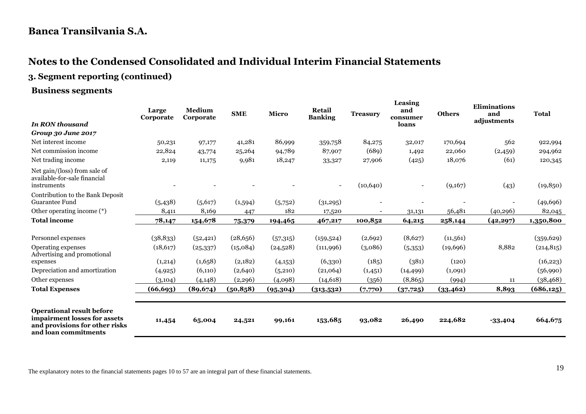# **Notes to the Condensed Consolidated and Individual Interim Financial Statements**

**3. Segment reporting (continued)**

**Business segments**

|                                                                                                                            | Large<br>Corporate | Medium<br>Corporate | <b>SME</b> | Micro    | Retail<br><b>Banking</b> | <b>Treasury</b>          | Leasing<br>and<br>consumer | <b>Others</b> | <b>Eliminations</b><br>and<br>adjustments | <b>Total</b> |
|----------------------------------------------------------------------------------------------------------------------------|--------------------|---------------------|------------|----------|--------------------------|--------------------------|----------------------------|---------------|-------------------------------------------|--------------|
| <b>In RON thousand</b>                                                                                                     |                    |                     |            |          |                          |                          | loans                      |               |                                           |              |
| Group 30 June 2017                                                                                                         |                    |                     |            |          |                          |                          |                            |               |                                           |              |
| Net interest income                                                                                                        | 50,231             | 97,177              | 41,281     | 86,999   | 359,758                  | 84,275                   | 32,017                     | 170,694       | 562                                       | 922,994      |
| Net commission income                                                                                                      | 22,824             | 43,774              | 25,264     | 94,789   | 87,907                   | (689)                    | 1,492                      | 22,060        | (2,459)                                   | 294,962      |
| Net trading income                                                                                                         | 2,119              | 11,175              | 9,981      | 18,247   | 33,327                   | 27,906                   | (425)                      | 18,076        | (61)                                      | 120,345      |
| Net gain/(loss) from sale of<br>available-for-sale financial<br>instruments                                                |                    |                     |            |          | $\overline{\phantom{0}}$ | (10,640)                 |                            | (9,167)       | (43)                                      | (19, 850)    |
| Contribution to the Bank Deposit<br><b>Guarantee Fund</b>                                                                  | (5,438)            | (5,617)             | (1,594)    | (5,752)  | (31,295)                 |                          |                            |               |                                           | (49, 696)    |
| Other operating income (*)                                                                                                 | 8,411              | 8,169               | 447        | 182      | 17,520                   | $\overline{\phantom{a}}$ | 31,131                     | 56,481        | (40,296)                                  | 82,045       |
| <b>Total income</b>                                                                                                        | 78,147             | 154,678             | 75,379     | 194,465  | 467,217                  | 100,852                  | 64,215                     | 258,144       | (42, 297)                                 | 1,350,800    |
|                                                                                                                            |                    |                     |            |          |                          |                          |                            |               |                                           |              |
| Personnel expenses                                                                                                         | (38, 833)          | (52, 421)           | (28, 656)  | (57,315) | (159, 524)               | (2,692)                  | (8,627)                    | (11,561)      |                                           | (359, 629)   |
| Operating expenses<br>Advertising and promotional                                                                          | (18, 617)          | (25, 337)           | (15,084)   | (24,528) | (111,996)                | (3,086)                  | (5,353)                    | (19, 696)     | 8,882                                     | (214, 815)   |
| expenses                                                                                                                   | (1,214)            | (1,658)             | (2,182)    | (4,153)  | (6,330)                  | (185)                    | (381)                      | (120)         |                                           | (16, 223)    |
| Depreciation and amortization                                                                                              | (4,925)            | (6,110)             | (2,640)    | (5,210)  | (21,064)                 | (1,451)                  | (14, 499)                  | (1,091)       |                                           | (56,990)     |
| Other expenses                                                                                                             | (3,104)            | (4, 148)            | (2, 296)   | (4,098)  | (14, 618)                | (356)                    | (8, 865)                   | (994)         | 11                                        | (38, 468)    |
| <b>Total Expenses</b>                                                                                                      | (66, 693)          | (89, 674)           | (50, 858)  | (95,304) | (313,532)                | (7,770)                  | (37,725)                   | (33, 462)     | 8,893                                     | (686, 125)   |
| <b>Operational result before</b><br>impairment losses for assets<br>and provisions for other risks<br>and loan commitments | 11,454             | 65,004              | 24,521     | 99,161   | 153,685                  | 93,082                   | 26,490                     | 224,682       | $-33,404$                                 | 664,675      |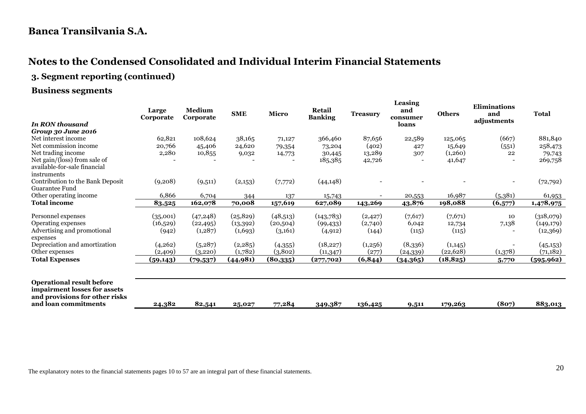# **Notes to the Condensed Consolidated and Individual Interim Financial Statements**

# **3. Segment reporting (continued)**

#### **Business segments**

|                                                                                                    | Large<br>Corporate | Medium<br>Corporate | <b>SME</b> | <b>Micro</b> | <b>Retail</b><br><b>Banking</b> | <b>Treasury</b> | Leasing<br>and<br>consumer | <b>Others</b> | <b>Eliminations</b><br>and<br>adjustments | <b>Total</b> |
|----------------------------------------------------------------------------------------------------|--------------------|---------------------|------------|--------------|---------------------------------|-----------------|----------------------------|---------------|-------------------------------------------|--------------|
| <b>In RON thousand</b>                                                                             |                    |                     |            |              |                                 |                 | loans                      |               |                                           |              |
| Group 30 June 2016                                                                                 |                    |                     |            |              |                                 |                 |                            |               |                                           |              |
| Net interest income                                                                                | 62,821             | 108,624             | 38,165     | 71,127       | 366,460                         | 87,656          | 22,589                     | 125,065       | (667)                                     | 881,840      |
| Net commission income                                                                              | 20,766             | 45,406              | 24,620     | 79,354       | 73,204                          | (402)           | 427                        | 15,649        | (551)                                     | 258,473      |
| Net trading income                                                                                 | 2,280              | 10,855              | 9,032      | 14,773       | 30,445                          | 13,289          | 307                        | (1,260)       | 22                                        | 79,743       |
| Net gain/(loss) from sale of                                                                       |                    |                     |            |              | 185,385                         | 42,726          |                            | 41,647        |                                           | 269,758      |
| available-for-sale financial                                                                       |                    |                     |            |              |                                 |                 |                            |               |                                           |              |
| instruments                                                                                        |                    |                     |            |              |                                 |                 |                            |               |                                           |              |
| Contribution to the Bank Deposit                                                                   | (9,208)            | (9,511)             | (2,153)    | (7,772)      | (44, 148)                       |                 |                            |               | $\overline{\phantom{a}}$                  | (72, 792)    |
| Guarantee Fund                                                                                     |                    |                     |            |              |                                 |                 |                            |               |                                           |              |
| Other operating income                                                                             | 6,866              | 6,704               | 344        | 137          | 15,743                          |                 | 20,553                     | 16,987        | (5,381)                                   | 61,953       |
| <b>Total income</b>                                                                                | 83,525             | 162,078             | 70,008     | 157,619      | 627,089                         | 143,269         | 43,876                     | 198,088       | (6,577)                                   | 1,478,975    |
| Personnel expenses                                                                                 | (35,001)           | (47, 248)           | (25, 829)  | (48,513)     | (143,783)                       | (2, 427)        | (7,617)                    | (7,671)       | 10                                        | (318,079)    |
| Operating expenses                                                                                 | (16,529)           | (22, 495)           | (13,392)   | (20, 504)    | (99, 433)                       | (2,740)         | 6,042                      | 12,734        | 7,138                                     | (149, 179)   |
| Advertising and promotional                                                                        | (942)              | (1, 287)            | (1,693)    | (3,161)      | (4, 912)                        | (144)           | (115)                      | (115)         |                                           | (12,369)     |
| expenses                                                                                           |                    |                     |            |              |                                 |                 |                            |               |                                           |              |
| Depreciation and amortization                                                                      | (4,262)            | (5,287)             | (2, 285)   | (4,355)      | (18, 227)                       | (1,256)         | (8,336)                    | (1, 145)      |                                           | (45, 153)    |
| Other expenses                                                                                     | (2,409)            | (3,220)             | (1,782)    | (3, 802)     | (11, 347)                       | (277)           | <u>(24,339)</u>            | (22, 628)     | (1,378)                                   | (71, 182)    |
| <b>Total Expenses</b>                                                                              | (59,143)           | (79, 537)           | (44,981)   | (80, 335)    | (277,702)                       | (6, 844)        | (34,365)                   | (18, 825)     | 5,770                                     | (595, 962)   |
|                                                                                                    |                    |                     |            |              |                                 |                 |                            |               |                                           |              |
| <b>Operational result before</b><br>impairment losses for assets<br>and provisions for other risks |                    |                     |            |              |                                 |                 |                            |               |                                           |              |
| and loan commitments                                                                               | 24,382             | 82,541              | 25,027     | 77,284       | 349,387                         | 136,425         | 9,511                      | 179,263       | (807)                                     | 883,013      |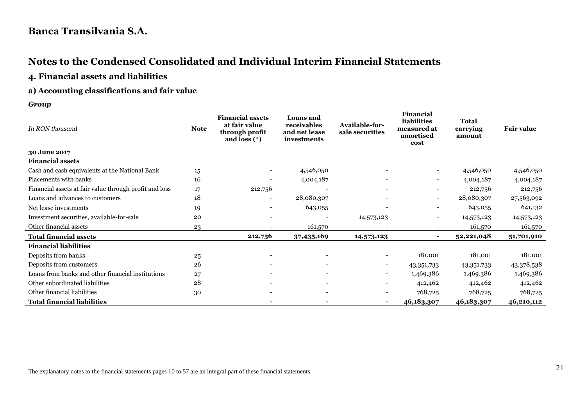# **Notes to the Condensed Consolidated and Individual Interim Financial Statements**

### **4. Financial assets and liabilities**

#### **a) Accounting classifications and fair value**

*Group*

| In RON thousand                                        | <b>Note</b> | <b>Financial assets</b><br>at fair value<br>through profit<br>and loss $(*)$ | Loans and<br>receivables<br>and net lease<br>investments | Available-for-<br>sale securities | <b>Financial</b><br>liabilities<br>measured at<br>amortised<br>cost | <b>Total</b><br>carrying<br>amount | <b>Fair value</b> |
|--------------------------------------------------------|-------------|------------------------------------------------------------------------------|----------------------------------------------------------|-----------------------------------|---------------------------------------------------------------------|------------------------------------|-------------------|
| 30 June 2017                                           |             |                                                                              |                                                          |                                   |                                                                     |                                    |                   |
| <b>Financial assets</b>                                |             |                                                                              |                                                          |                                   |                                                                     |                                    |                   |
| Cash and cash equivalents at the National Bank         | 15          |                                                                              | 4,546,050                                                |                                   | $\sim$                                                              | 4,546,050                          | 4,546,050         |
| Placements with banks                                  | 16          |                                                                              | 4,004,187                                                |                                   | $\overline{\phantom{a}}$                                            | 4,004,187                          | 4,004,187         |
| Financial assets at fair value through profit and loss | 17          | 212,756                                                                      |                                                          |                                   | $\overline{\phantom{a}}$                                            | 212,756                            | 212,756           |
| Loans and advances to customers                        | 18          |                                                                              | 28,080,307                                               |                                   | $\overline{\phantom{a}}$                                            | 28,080,307                         | 27,563,092        |
| Net lease investments                                  | 19          | $\overline{\phantom{a}}$                                                     | 643,055                                                  |                                   | $\overline{\phantom{a}}$                                            | 643,055                            | 641,132           |
| Investment securities, available-for-sale              | 20          |                                                                              |                                                          | 14,573,123                        | $\overline{\phantom{a}}$                                            | 14,573,123                         | 14,573,123        |
| Other financial assets                                 | 23          |                                                                              | 161,570                                                  |                                   | $\overline{\phantom{0}}$                                            | 161,570                            | 161,570           |
| <b>Total financial assets</b>                          |             | 212,756                                                                      | 37,435,169                                               | 14,573,123                        | $\sim$                                                              | 52,221,048                         | 51,701,910        |
| <b>Financial liabilities</b>                           |             |                                                                              |                                                          |                                   |                                                                     |                                    |                   |
| Deposits from banks                                    | 25          |                                                                              |                                                          |                                   | 181,001                                                             | 181,001                            | 181,001           |
| Deposits from customers                                | 26          |                                                                              |                                                          | $\overline{\phantom{a}}$          | 43,351,733                                                          | 43,351,733                         | 43,378,538        |
| Loans from banks and other financial institutions      | 27          |                                                                              | $\overline{\phantom{a}}$                                 |                                   | 1,469,386                                                           | 1,469,386                          | 1,469,386         |
| Other subordinated liabilities                         | 28          |                                                                              | $\overline{\phantom{a}}$                                 |                                   | 412,462                                                             | 412,462                            | 412,462           |
| Other financial liabilities                            | 30          |                                                                              |                                                          |                                   | 768,725                                                             | 768,725                            | 768,725           |
| <b>Total financial liabilities</b>                     |             |                                                                              |                                                          |                                   | 46,183,307                                                          | 46,183,307                         | 46,210,112        |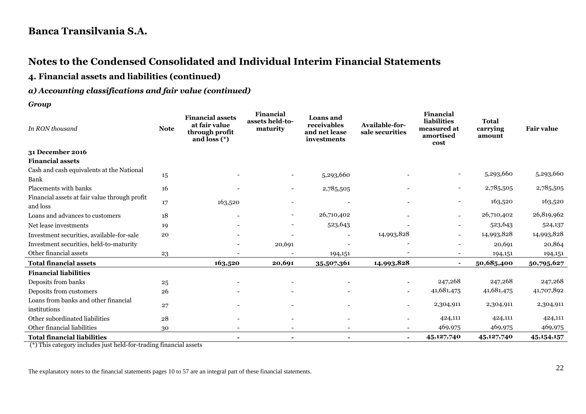# **Notes to the Condensed Consolidated and Individual Interim Financial Statements**

**4. Financial assets and liabilities (continued)**

#### *a) Accounting classifications and fair value (continued)*

*Group*

| In RON thousand                                           | <b>Note</b> | <b>Financial assets</b><br>at fair value<br>through profit<br>and loss $(*)$ | Financial<br>assets held-to-<br>maturity | <b>Loans</b> and<br>receivables<br>and net lease<br>investments | Available-for-<br>sale securities | Financial<br>liabilities<br>measured at<br>amortised<br>cost | <b>Total</b><br>carrying<br>amount | <b>Fair value</b> |
|-----------------------------------------------------------|-------------|------------------------------------------------------------------------------|------------------------------------------|-----------------------------------------------------------------|-----------------------------------|--------------------------------------------------------------|------------------------------------|-------------------|
| 31 December 2016                                          |             |                                                                              |                                          |                                                                 |                                   |                                                              |                                    |                   |
| <b>Financial assets</b>                                   |             |                                                                              |                                          |                                                                 |                                   |                                                              |                                    |                   |
| Cash and cash equivalents at the National<br><b>Bank</b>  | 15          |                                                                              |                                          | 5,293,660                                                       |                                   |                                                              | 5,293,660                          | 5,293,660         |
| Placements with banks                                     | 16          |                                                                              |                                          | 2,785,505                                                       |                                   | -                                                            | 2,785,505                          | 2,785,505         |
| Financial assets at fair value through profit<br>and loss | 17          | 163,520                                                                      |                                          |                                                                 |                                   |                                                              | 163,520                            | 163,520           |
| Loans and advances to customers                           | 18          |                                                                              |                                          | 26,710,402                                                      |                                   |                                                              | 26,710,402                         | 26,819,962        |
| Net lease investments                                     | 19          |                                                                              |                                          | 523,643                                                         |                                   |                                                              | 523,643                            | 524,137           |
| Investment securities, available-for-sale                 | 20          |                                                                              |                                          |                                                                 | 14,993,828                        | $\overline{\phantom{0}}$                                     | 14,993,828                         | 14,993,828        |
| Investment securities, held-to-maturity                   |             |                                                                              | 20,691                                   |                                                                 |                                   |                                                              | 20,691                             | 20,864            |
| Other financial assets                                    | 23          | $\overline{\phantom{0}}$                                                     |                                          | 194,151                                                         |                                   | $\overline{\phantom{a}}$                                     | 194,151                            | 194,151           |
| <b>Total financial assets</b>                             |             | 163,520                                                                      | 20,691                                   | 35,507,361                                                      | 14,993,828                        | $\sim$                                                       | 50,685,400                         | 50,795,627        |
| <b>Financial liabilities</b>                              |             |                                                                              |                                          |                                                                 |                                   |                                                              |                                    |                   |
| Deposits from banks                                       | 25          |                                                                              |                                          |                                                                 |                                   | 247,268                                                      | 247,268                            | 247,268           |
| Deposits from customers                                   | 26          |                                                                              |                                          |                                                                 |                                   | 41,681,475                                                   | 41,681,475                         | 41,707,892        |
| Loans from banks and other financial<br>institutions      | 27          |                                                                              |                                          |                                                                 |                                   | 2,304,911                                                    | 2,304,911                          | 2,304,911         |
| Other subordinated liabilities                            | 28          |                                                                              |                                          |                                                                 |                                   | 424,111                                                      | 424,111                            | 424,111           |
| Other financial liabilities                               | 30          | $\overline{a}$                                                               | $\overline{\phantom{a}}$                 |                                                                 |                                   | 469,975                                                      | 469,975                            | 469,975           |
| <b>Total financial liabilities</b>                        |             | ۰                                                                            | $\sim$                                   |                                                                 | $\blacksquare$                    | 45,127,740                                                   | 45,127,740                         | 45, 154, 157      |

(\*) This category includes just held-for-trading financial assets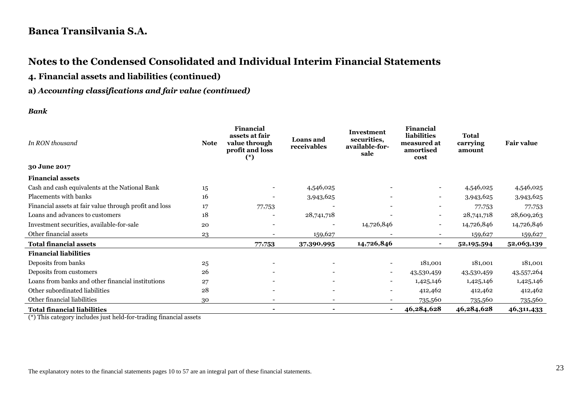# **Notes to the Condensed Consolidated and Individual Interim Financial Statements**

**4. Financial assets and liabilities (continued)**

#### **a)** *Accounting classifications and fair value (continued)*

#### *Bank*

| In RON thousand                                        | <b>Note</b> | <b>Financial</b><br>assets at fair<br>value through<br>profit and loss<br>$(*)$ | <b>Loans and</b><br>receivables | <b>Investment</b><br>securities,<br>available-for-<br>sale | <b>Financial</b><br>liabilities<br>measured at<br>amortised<br>cost | <b>Total</b><br>carrying<br>amount | <b>Fair value</b> |
|--------------------------------------------------------|-------------|---------------------------------------------------------------------------------|---------------------------------|------------------------------------------------------------|---------------------------------------------------------------------|------------------------------------|-------------------|
| 30 June 2017                                           |             |                                                                                 |                                 |                                                            |                                                                     |                                    |                   |
| <b>Financial assets</b>                                |             |                                                                                 |                                 |                                                            |                                                                     |                                    |                   |
| Cash and cash equivalents at the National Bank         | 15          |                                                                                 | 4,546,025                       |                                                            | $\overline{\phantom{0}}$                                            | 4,546,025                          | 4,546,025         |
| Placements with banks                                  | 16          |                                                                                 | 3,943,625                       |                                                            | $\overline{\phantom{a}}$                                            | 3,943,625                          | 3,943,625         |
| Financial assets at fair value through profit and loss | 17          | 77,753                                                                          |                                 |                                                            |                                                                     | 77,753                             | 77,753            |
| Loans and advances to customers                        | 18          |                                                                                 | 28,741,718                      |                                                            | $\overline{\phantom{0}}$                                            | 28,741,718                         | 28,609,263        |
| Investment securities, available-for-sale              | 20          |                                                                                 |                                 | 14,726,846                                                 | $\overline{\phantom{a}}$                                            | 14,726,846                         | 14,726,846        |
| Other financial assets                                 | 23          |                                                                                 | 159,627                         |                                                            |                                                                     | 159,627                            | 159,627           |
| <b>Total financial assets</b>                          |             | 77,753                                                                          | 37,390,995                      | 14,726,846                                                 | ۰                                                                   | 52,195,594                         | 52,063,139        |
| <b>Financial liabilities</b>                           |             |                                                                                 |                                 |                                                            |                                                                     |                                    |                   |
| Deposits from banks                                    | 25          |                                                                                 |                                 |                                                            | 181,001                                                             | 181,001                            | 181,001           |
| Deposits from customers                                | 26          |                                                                                 |                                 | $\overline{\phantom{a}}$                                   | 43,530,459                                                          | 43,530,459                         | 43,557,264        |
| Loans from banks and other financial institutions      | 27          |                                                                                 | $\overline{\phantom{a}}$        | $\overline{\phantom{a}}$                                   | 1,425,146                                                           | 1,425,146                          | 1,425,146         |
| Other subordinated liabilities                         | 28          |                                                                                 | $\overline{\phantom{a}}$        | $\overline{\phantom{a}}$                                   | 412,462                                                             | 412,462                            | 412,462           |
| Other financial liabilities                            | 30          |                                                                                 |                                 |                                                            | 735,560                                                             | 735,560                            | 735,560           |
| <b>Total financial liabilities</b>                     |             |                                                                                 |                                 | ۰                                                          | 46,284,628                                                          | 46,284,628                         | 46,311,433        |

(\*) This category includes just held-for-trading financial assets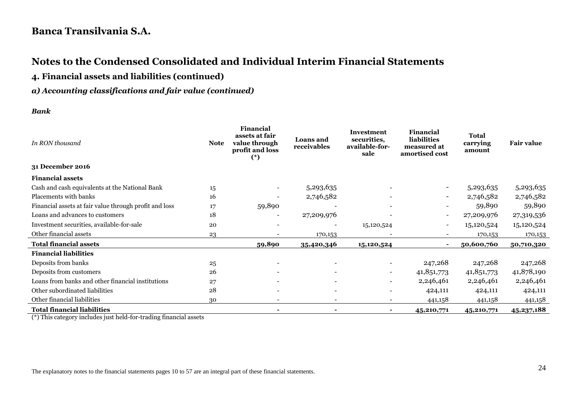# **Notes to the Condensed Consolidated and Individual Interim Financial Statements**

**4. Financial assets and liabilities (continued)**

#### *a) Accounting classifications and fair value (continued)*

#### *Bank*

| In RON thousand                                        | <b>Note</b> | <b>Financial</b><br>assets at fair<br>value through<br>profit and loss<br>$(*)$ | <b>Loans</b> and<br>receivables | Investment<br>securities,<br>available-for-<br>sale | <b>Financial</b><br><b>liabilities</b><br>measured at<br>amortised cost | <b>Total</b><br>carrying<br>amount | <b>Fair value</b> |
|--------------------------------------------------------|-------------|---------------------------------------------------------------------------------|---------------------------------|-----------------------------------------------------|-------------------------------------------------------------------------|------------------------------------|-------------------|
| 31 December 2016                                       |             |                                                                                 |                                 |                                                     |                                                                         |                                    |                   |
| <b>Financial assets</b>                                |             |                                                                                 |                                 |                                                     |                                                                         |                                    |                   |
| Cash and cash equivalents at the National Bank         | 15          |                                                                                 | 5,293,635                       |                                                     |                                                                         | 5,293,635                          | 5,293,635         |
| Placements with banks                                  | 16          |                                                                                 | 2,746,582                       |                                                     | $\blacksquare$                                                          | 2,746,582                          | 2,746,582         |
| Financial assets at fair value through profit and loss | 17          | 59,890                                                                          |                                 |                                                     |                                                                         | 59,890                             | 59,890            |
| Loans and advances to customers                        | 18          |                                                                                 | 27,209,976                      |                                                     | $\overline{\phantom{0}}$                                                | 27,209,976                         | 27,319,536        |
| Investment securities, available-for-sale              | 20          |                                                                                 |                                 | 15,120,524                                          | $\overline{\phantom{0}}$                                                | 15,120,524                         | 15,120,524        |
| Other financial assets                                 | 23          |                                                                                 | 170,153                         |                                                     |                                                                         | 170,153                            | 170,153           |
| <b>Total financial assets</b>                          |             | 59,890                                                                          | 35,420,346                      | 15,120,524                                          |                                                                         | 50,600,760                         | 50,710,320        |
| <b>Financial liabilities</b>                           |             |                                                                                 |                                 |                                                     |                                                                         |                                    |                   |
| Deposits from banks                                    | 25          |                                                                                 |                                 |                                                     | 247,268                                                                 | 247,268                            | 247,268           |
| Deposits from customers                                | 26          |                                                                                 |                                 | $\sim$                                              | 41,851,773                                                              | 41,851,773                         | 41,878,190        |
| Loans from banks and other financial institutions      | 27          |                                                                                 |                                 |                                                     | 2,246,461                                                               | 2,246,461                          | 2,246,461         |
| Other subordinated liabilities                         | 28          |                                                                                 |                                 |                                                     | 424,111                                                                 | 424,111                            | 424,111           |
| Other financial liabilities                            | 30          |                                                                                 |                                 |                                                     | 441,158                                                                 | 441,158                            | 441,158           |
| <b>Total financial liabilities</b>                     |             |                                                                                 |                                 |                                                     | 45,210,771                                                              | 45,210,771                         | 45,237,188        |

(\*) This category includes just held-for-trading financial assets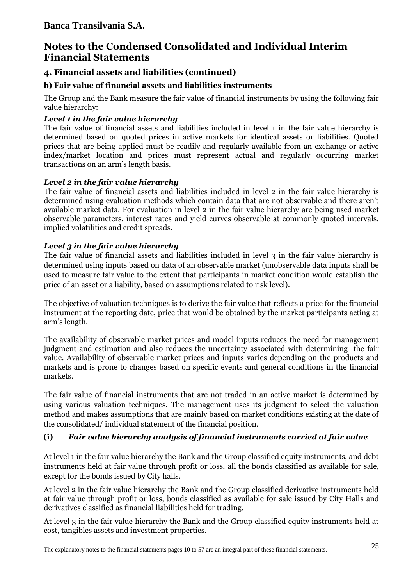# **Notes to the Condensed Consolidated and Individual Interim Financial Statements**

### **4. Financial assets and liabilities (continued)**

### **b) Fair value of financial assets and liabilities instruments**

The Group and the Bank measure the fair value of financial instruments by using the following fair value hierarchy:

### *Level 1 in the fair value hierarchy*

The fair value of financial assets and liabilities included in level 1 in the fair value hierarchy is determined based on quoted prices in active markets for identical assets or liabilities. Quoted prices that are being applied must be readily and regularly available from an exchange or active index/market location and prices must represent actual and regularly occurring market transactions on an arm's length basis.

### *Level 2 in the fair value hierarchy*

The fair value of financial assets and liabilities included in level 2 in the fair value hierarchy is determined using evaluation methods which contain data that are not observable and there aren't available market data. For evaluation in level 2 in the fair value hierarchy are being used market observable parameters, interest rates and yield curves observable at commonly quoted intervals, implied volatilities and credit spreads.

### *Level 3 in the fair value hierarchy*

The fair value of financial assets and liabilities included in level 3 in the fair value hierarchy is determined using inputs based on data of an observable market (unobservable data inputs shall be used to measure fair value to the extent that participants in market condition would establish the price of an asset or a liability, based on assumptions related to risk level).

The objective of valuation techniques is to derive the fair value that reflects a price for the financial instrument at the reporting date, price that would be obtained by the market participants acting at arm's length.

The availability of observable market prices and model inputs reduces the need for management judgment and estimation and also reduces the uncertainty associated with determining the fair value. Availability of observable market prices and inputs varies depending on the products and markets and is prone to changes based on specific events and general conditions in the financial markets.

The fair value of financial instruments that are not traded in an active market is determined by using various valuation techniques. The management uses its judgment to select the valuation method and makes assumptions that are mainly based on market conditions existing at the date of the consolidated/ individual statement of the financial position.

### **(i)** *Fair value hierarchy analysis of financial instruments carried at fair value*

At level 1 in the fair value hierarchy the Bank and the Group classified equity instruments, and debt instruments held at fair value through profit or loss, all the bonds classified as available for sale, except for the bonds issued by City halls.

At level 2 in the fair value hierarchy the Bank and the Group classified derivative instruments held at fair value through profit or loss, bonds classified as available for sale issued by City Halls and derivatives classified as financial liabilities held for trading.

At level 3 in the fair value hierarchy the Bank and the Group classified equity instruments held at cost, tangibles assets and investment properties.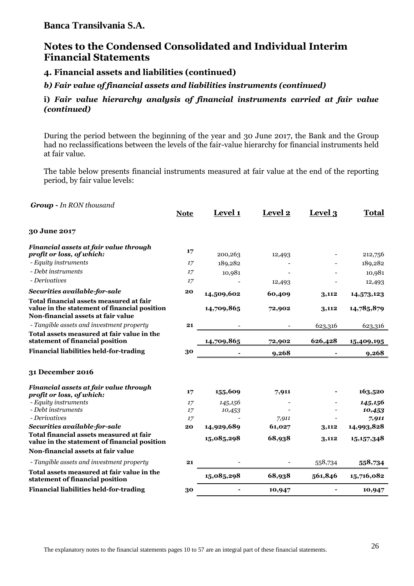### **Notes to the Condensed Consolidated and Individual Interim Financial Statements**

**4. Financial assets and liabilities (continued)**

*b) Fair value of financial assets and liabilities instruments (continued)*

#### **i)** *Fair value hierarchy analysis of financial instruments carried at fair value (continued)*

During the period between the beginning of the year and 30 June 2017, the Bank and the Group had no reclassifications between the levels of the fair-value hierarchy for financial instruments held at fair value.

The table below presents financial instruments measured at fair value at the end of the reporting period, by fair value levels:

| 30 June 2017<br>Financial assets at fair value through<br>17<br>profit or loss, of which:<br>200,263<br>212,756<br>12,493<br>- Equity instruments<br>17<br>189,282<br>189,282<br>- Debt instruments<br>17<br>10,981<br>10,981<br>- Derivatives<br>17<br>12,493<br>12,493<br>Securities available-for-sale<br>20<br>14,509,602<br>60,409<br>3,112<br>14,573,123<br>Total financial assets measured at fair<br>value in the statement of financial position<br>14,709,865<br>14,785,879<br>72,902<br>3,112<br>Non-financial assets at fair value<br>- Tangible assets and investment property<br>21<br>623,316<br>623,316<br>Total assets measured at fair value in the<br>statement of financial position<br>14,709,865<br>626,428<br>72,902<br>15,409,195<br><b>Financial liabilities held-for-trading</b><br>30<br>9,268<br>9,268<br>31 December 2016<br>Financial assets at fair value through<br>155,609<br>163,520<br>7,911<br>17<br>profit or loss, of which:<br>- Equity instruments<br>145,156<br>145,156<br>17<br>- Debt instruments<br>17<br>10,453<br>10,453<br>- Derivatives<br>17<br>7,911<br>7,911<br>Securities available-for-sale<br>14,993,828<br>14,929,689<br>61,027<br>20<br>3,112<br>Total financial assets measured at fair<br>15,085,298<br>68,938<br>15, 157, 348<br>3,112<br>value in the statement of financial position<br>Non-financial assets at fair value<br>- Tangible assets and investment property<br>558,734<br>21<br>558,734<br>Total assets measured at fair value in the<br>15,085,298<br>561,846<br>68,938<br>15,716,082<br>statement of financial position<br>30<br>10,947<br>10,947 | <b>Group - In RON thousand</b>                | <b>Note</b> | Level 1 | Level 2 | Level 3 | <b>Total</b> |
|------------------------------------------------------------------------------------------------------------------------------------------------------------------------------------------------------------------------------------------------------------------------------------------------------------------------------------------------------------------------------------------------------------------------------------------------------------------------------------------------------------------------------------------------------------------------------------------------------------------------------------------------------------------------------------------------------------------------------------------------------------------------------------------------------------------------------------------------------------------------------------------------------------------------------------------------------------------------------------------------------------------------------------------------------------------------------------------------------------------------------------------------------------------------------------------------------------------------------------------------------------------------------------------------------------------------------------------------------------------------------------------------------------------------------------------------------------------------------------------------------------------------------------------------------------------------------------------------------------------------------|-----------------------------------------------|-------------|---------|---------|---------|--------------|
|                                                                                                                                                                                                                                                                                                                                                                                                                                                                                                                                                                                                                                                                                                                                                                                                                                                                                                                                                                                                                                                                                                                                                                                                                                                                                                                                                                                                                                                                                                                                                                                                                              |                                               |             |         |         |         |              |
|                                                                                                                                                                                                                                                                                                                                                                                                                                                                                                                                                                                                                                                                                                                                                                                                                                                                                                                                                                                                                                                                                                                                                                                                                                                                                                                                                                                                                                                                                                                                                                                                                              |                                               |             |         |         |         |              |
|                                                                                                                                                                                                                                                                                                                                                                                                                                                                                                                                                                                                                                                                                                                                                                                                                                                                                                                                                                                                                                                                                                                                                                                                                                                                                                                                                                                                                                                                                                                                                                                                                              |                                               |             |         |         |         |              |
|                                                                                                                                                                                                                                                                                                                                                                                                                                                                                                                                                                                                                                                                                                                                                                                                                                                                                                                                                                                                                                                                                                                                                                                                                                                                                                                                                                                                                                                                                                                                                                                                                              |                                               |             |         |         |         |              |
|                                                                                                                                                                                                                                                                                                                                                                                                                                                                                                                                                                                                                                                                                                                                                                                                                                                                                                                                                                                                                                                                                                                                                                                                                                                                                                                                                                                                                                                                                                                                                                                                                              |                                               |             |         |         |         |              |
|                                                                                                                                                                                                                                                                                                                                                                                                                                                                                                                                                                                                                                                                                                                                                                                                                                                                                                                                                                                                                                                                                                                                                                                                                                                                                                                                                                                                                                                                                                                                                                                                                              |                                               |             |         |         |         |              |
|                                                                                                                                                                                                                                                                                                                                                                                                                                                                                                                                                                                                                                                                                                                                                                                                                                                                                                                                                                                                                                                                                                                                                                                                                                                                                                                                                                                                                                                                                                                                                                                                                              |                                               |             |         |         |         |              |
|                                                                                                                                                                                                                                                                                                                                                                                                                                                                                                                                                                                                                                                                                                                                                                                                                                                                                                                                                                                                                                                                                                                                                                                                                                                                                                                                                                                                                                                                                                                                                                                                                              |                                               |             |         |         |         |              |
|                                                                                                                                                                                                                                                                                                                                                                                                                                                                                                                                                                                                                                                                                                                                                                                                                                                                                                                                                                                                                                                                                                                                                                                                                                                                                                                                                                                                                                                                                                                                                                                                                              |                                               |             |         |         |         |              |
|                                                                                                                                                                                                                                                                                                                                                                                                                                                                                                                                                                                                                                                                                                                                                                                                                                                                                                                                                                                                                                                                                                                                                                                                                                                                                                                                                                                                                                                                                                                                                                                                                              |                                               |             |         |         |         |              |
|                                                                                                                                                                                                                                                                                                                                                                                                                                                                                                                                                                                                                                                                                                                                                                                                                                                                                                                                                                                                                                                                                                                                                                                                                                                                                                                                                                                                                                                                                                                                                                                                                              |                                               |             |         |         |         |              |
|                                                                                                                                                                                                                                                                                                                                                                                                                                                                                                                                                                                                                                                                                                                                                                                                                                                                                                                                                                                                                                                                                                                                                                                                                                                                                                                                                                                                                                                                                                                                                                                                                              |                                               |             |         |         |         |              |
|                                                                                                                                                                                                                                                                                                                                                                                                                                                                                                                                                                                                                                                                                                                                                                                                                                                                                                                                                                                                                                                                                                                                                                                                                                                                                                                                                                                                                                                                                                                                                                                                                              |                                               |             |         |         |         |              |
|                                                                                                                                                                                                                                                                                                                                                                                                                                                                                                                                                                                                                                                                                                                                                                                                                                                                                                                                                                                                                                                                                                                                                                                                                                                                                                                                                                                                                                                                                                                                                                                                                              |                                               |             |         |         |         |              |
|                                                                                                                                                                                                                                                                                                                                                                                                                                                                                                                                                                                                                                                                                                                                                                                                                                                                                                                                                                                                                                                                                                                                                                                                                                                                                                                                                                                                                                                                                                                                                                                                                              |                                               |             |         |         |         |              |
|                                                                                                                                                                                                                                                                                                                                                                                                                                                                                                                                                                                                                                                                                                                                                                                                                                                                                                                                                                                                                                                                                                                                                                                                                                                                                                                                                                                                                                                                                                                                                                                                                              |                                               |             |         |         |         |              |
|                                                                                                                                                                                                                                                                                                                                                                                                                                                                                                                                                                                                                                                                                                                                                                                                                                                                                                                                                                                                                                                                                                                                                                                                                                                                                                                                                                                                                                                                                                                                                                                                                              |                                               |             |         |         |         |              |
|                                                                                                                                                                                                                                                                                                                                                                                                                                                                                                                                                                                                                                                                                                                                                                                                                                                                                                                                                                                                                                                                                                                                                                                                                                                                                                                                                                                                                                                                                                                                                                                                                              |                                               |             |         |         |         |              |
|                                                                                                                                                                                                                                                                                                                                                                                                                                                                                                                                                                                                                                                                                                                                                                                                                                                                                                                                                                                                                                                                                                                                                                                                                                                                                                                                                                                                                                                                                                                                                                                                                              |                                               |             |         |         |         |              |
|                                                                                                                                                                                                                                                                                                                                                                                                                                                                                                                                                                                                                                                                                                                                                                                                                                                                                                                                                                                                                                                                                                                                                                                                                                                                                                                                                                                                                                                                                                                                                                                                                              |                                               |             |         |         |         |              |
|                                                                                                                                                                                                                                                                                                                                                                                                                                                                                                                                                                                                                                                                                                                                                                                                                                                                                                                                                                                                                                                                                                                                                                                                                                                                                                                                                                                                                                                                                                                                                                                                                              | <b>Financial liabilities held-for-trading</b> |             |         |         |         |              |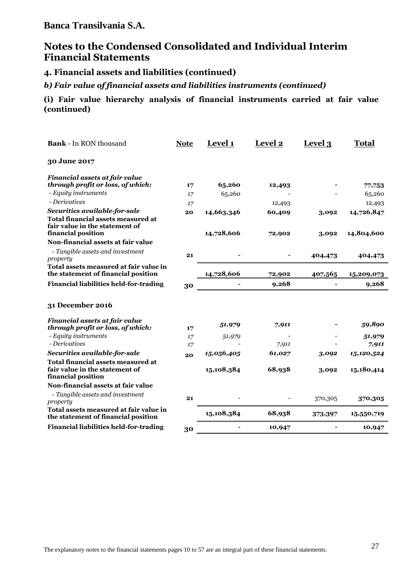# **Notes to the Condensed Consolidated and Individual Interim Financial Statements**

**4. Financial assets and liabilities (continued)**

*b) Fair value of financial assets and liabilities instruments (continued)*

**(i) Fair value hierarchy analysis of financial instruments carried at fair value (continued)**

| 30 June 2017<br>Financial assets at fair value<br>through profit or loss, of which:<br>65,260<br>17<br>12,493<br>77,753<br>- Equity instruments<br>65,260<br>65,260<br>17<br>- Derivatives<br>12,493<br>12,493<br>17<br>Securities available-for-sale<br>14,726,847<br>20<br>14,663,346<br>60,409<br>3,092<br><b>Total financial assets measured at</b><br>fair value in the statement of<br>financial position<br>14,728,606<br>14,804,600<br>72,902<br>3,092<br>Non-financial assets at fair value<br>- Tangible assets and investment<br>21<br>404,473<br>404,473<br>property<br>Total assets measured at fair value in<br>the statement of financial position<br>14,728,606<br>407,565<br>72,902<br>15,209,073<br><b>Financial liabilities held-for-trading</b><br>9,268<br>9,268<br>30<br>31 December 2016<br>Financial assets at fair value<br>59,890<br>51,979<br>7,911<br>through profit or loss, of which:<br>17<br>- Equity instruments<br>51,979<br>51,979<br>17<br>- Derivatives<br>17<br>7,911<br>7,911<br>Securities available-for-sale<br>15,056,405<br>61,027<br>15,120,524<br>3,092<br>20<br>Total financial assets measured at<br>fair value in the statement of<br>15,108,384<br>68,938<br>15,180,414<br>3,092<br>financial position<br>Non-financial assets at fair value<br>- Tangible assets and investment<br>21<br>370,305<br>370,305<br>property<br>Total assets measured at fair value in<br>15,108,384<br>68,938<br>15,550,719<br>373,397<br>the statement of financial position<br><b>Financial liabilities held-for-trading</b><br>10,947<br>10,947<br>30 | <b>Bank - In RON thousand</b> | <b>Note</b> | Level 1 | <b>Level 2</b> | Level 3 | <b>Total</b> |
|----------------------------------------------------------------------------------------------------------------------------------------------------------------------------------------------------------------------------------------------------------------------------------------------------------------------------------------------------------------------------------------------------------------------------------------------------------------------------------------------------------------------------------------------------------------------------------------------------------------------------------------------------------------------------------------------------------------------------------------------------------------------------------------------------------------------------------------------------------------------------------------------------------------------------------------------------------------------------------------------------------------------------------------------------------------------------------------------------------------------------------------------------------------------------------------------------------------------------------------------------------------------------------------------------------------------------------------------------------------------------------------------------------------------------------------------------------------------------------------------------------------------------------------------------------------------------------------|-------------------------------|-------------|---------|----------------|---------|--------------|
|                                                                                                                                                                                                                                                                                                                                                                                                                                                                                                                                                                                                                                                                                                                                                                                                                                                                                                                                                                                                                                                                                                                                                                                                                                                                                                                                                                                                                                                                                                                                                                                        |                               |             |         |                |         |              |
|                                                                                                                                                                                                                                                                                                                                                                                                                                                                                                                                                                                                                                                                                                                                                                                                                                                                                                                                                                                                                                                                                                                                                                                                                                                                                                                                                                                                                                                                                                                                                                                        |                               |             |         |                |         |              |
|                                                                                                                                                                                                                                                                                                                                                                                                                                                                                                                                                                                                                                                                                                                                                                                                                                                                                                                                                                                                                                                                                                                                                                                                                                                                                                                                                                                                                                                                                                                                                                                        |                               |             |         |                |         |              |
|                                                                                                                                                                                                                                                                                                                                                                                                                                                                                                                                                                                                                                                                                                                                                                                                                                                                                                                                                                                                                                                                                                                                                                                                                                                                                                                                                                                                                                                                                                                                                                                        |                               |             |         |                |         |              |
|                                                                                                                                                                                                                                                                                                                                                                                                                                                                                                                                                                                                                                                                                                                                                                                                                                                                                                                                                                                                                                                                                                                                                                                                                                                                                                                                                                                                                                                                                                                                                                                        |                               |             |         |                |         |              |
|                                                                                                                                                                                                                                                                                                                                                                                                                                                                                                                                                                                                                                                                                                                                                                                                                                                                                                                                                                                                                                                                                                                                                                                                                                                                                                                                                                                                                                                                                                                                                                                        |                               |             |         |                |         |              |
|                                                                                                                                                                                                                                                                                                                                                                                                                                                                                                                                                                                                                                                                                                                                                                                                                                                                                                                                                                                                                                                                                                                                                                                                                                                                                                                                                                                                                                                                                                                                                                                        |                               |             |         |                |         |              |
|                                                                                                                                                                                                                                                                                                                                                                                                                                                                                                                                                                                                                                                                                                                                                                                                                                                                                                                                                                                                                                                                                                                                                                                                                                                                                                                                                                                                                                                                                                                                                                                        |                               |             |         |                |         |              |
|                                                                                                                                                                                                                                                                                                                                                                                                                                                                                                                                                                                                                                                                                                                                                                                                                                                                                                                                                                                                                                                                                                                                                                                                                                                                                                                                                                                                                                                                                                                                                                                        |                               |             |         |                |         |              |
|                                                                                                                                                                                                                                                                                                                                                                                                                                                                                                                                                                                                                                                                                                                                                                                                                                                                                                                                                                                                                                                                                                                                                                                                                                                                                                                                                                                                                                                                                                                                                                                        |                               |             |         |                |         |              |
|                                                                                                                                                                                                                                                                                                                                                                                                                                                                                                                                                                                                                                                                                                                                                                                                                                                                                                                                                                                                                                                                                                                                                                                                                                                                                                                                                                                                                                                                                                                                                                                        |                               |             |         |                |         |              |
|                                                                                                                                                                                                                                                                                                                                                                                                                                                                                                                                                                                                                                                                                                                                                                                                                                                                                                                                                                                                                                                                                                                                                                                                                                                                                                                                                                                                                                                                                                                                                                                        |                               |             |         |                |         |              |
|                                                                                                                                                                                                                                                                                                                                                                                                                                                                                                                                                                                                                                                                                                                                                                                                                                                                                                                                                                                                                                                                                                                                                                                                                                                                                                                                                                                                                                                                                                                                                                                        |                               |             |         |                |         |              |
|                                                                                                                                                                                                                                                                                                                                                                                                                                                                                                                                                                                                                                                                                                                                                                                                                                                                                                                                                                                                                                                                                                                                                                                                                                                                                                                                                                                                                                                                                                                                                                                        |                               |             |         |                |         |              |
|                                                                                                                                                                                                                                                                                                                                                                                                                                                                                                                                                                                                                                                                                                                                                                                                                                                                                                                                                                                                                                                                                                                                                                                                                                                                                                                                                                                                                                                                                                                                                                                        |                               |             |         |                |         |              |
|                                                                                                                                                                                                                                                                                                                                                                                                                                                                                                                                                                                                                                                                                                                                                                                                                                                                                                                                                                                                                                                                                                                                                                                                                                                                                                                                                                                                                                                                                                                                                                                        |                               |             |         |                |         |              |
|                                                                                                                                                                                                                                                                                                                                                                                                                                                                                                                                                                                                                                                                                                                                                                                                                                                                                                                                                                                                                                                                                                                                                                                                                                                                                                                                                                                                                                                                                                                                                                                        |                               |             |         |                |         |              |
|                                                                                                                                                                                                                                                                                                                                                                                                                                                                                                                                                                                                                                                                                                                                                                                                                                                                                                                                                                                                                                                                                                                                                                                                                                                                                                                                                                                                                                                                                                                                                                                        |                               |             |         |                |         |              |
|                                                                                                                                                                                                                                                                                                                                                                                                                                                                                                                                                                                                                                                                                                                                                                                                                                                                                                                                                                                                                                                                                                                                                                                                                                                                                                                                                                                                                                                                                                                                                                                        |                               |             |         |                |         |              |
|                                                                                                                                                                                                                                                                                                                                                                                                                                                                                                                                                                                                                                                                                                                                                                                                                                                                                                                                                                                                                                                                                                                                                                                                                                                                                                                                                                                                                                                                                                                                                                                        |                               |             |         |                |         |              |
|                                                                                                                                                                                                                                                                                                                                                                                                                                                                                                                                                                                                                                                                                                                                                                                                                                                                                                                                                                                                                                                                                                                                                                                                                                                                                                                                                                                                                                                                                                                                                                                        |                               |             |         |                |         |              |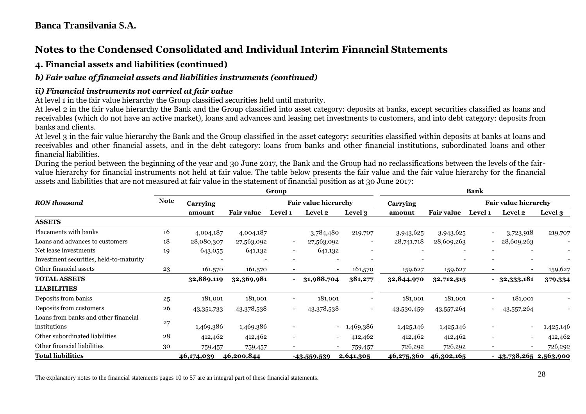# **Notes to the Condensed Consolidated and Individual Interim Financial Statements**

#### **4. Financial assets and liabilities (continued)**

#### *b) Fair value of financial assets and liabilities instruments (continued)*

#### *ii) Financial instruments not carried at fair value*

At level 1 in the fair value hierarchy the Group classified securities held until maturity.

At level 2 in the fair value hierarchy the Bank and the Group classified into asset category: deposits at banks, except securities classified as loans and receivables (which do not have an active market), loans and advances and leasing net investments to customers, and into debt category: deposits from banks and clients.

At level 3 in the fair value hierarchy the Bank and the Group classified in the asset category: securities classified within deposits at banks at loans and receivables and other financial assets, and in the debt category: loans from banks and other financial institutions, subordinated loans and other financial liabilities.

During the period between the beginning of the year and 30 June 2017, the Bank and the Group had no reclassifications between the levels of the fairvalue hierarchy for financial instruments not held at fair value. The table below presents the fair value and the fair value hierarchy for the financial assets and liabilities that are not measured at fair value in the statement of financial position as at 30 June 2017:

|                                         |             |            | Group             |                          |                             | <b>Bank</b>              |            |                   |                          |                             |           |
|-----------------------------------------|-------------|------------|-------------------|--------------------------|-----------------------------|--------------------------|------------|-------------------|--------------------------|-----------------------------|-----------|
| <b>RON</b> thousand                     | <b>Note</b> | Carrying   |                   |                          | <b>Fair value hierarchy</b> |                          | Carrying   |                   |                          | <b>Fair value hierarchy</b> |           |
|                                         |             | amount     | <b>Fair value</b> | <b>Level</b> 1           | <b>Level 2</b>              | Level 3                  | amount     | <b>Fair value</b> | <b>Level 1</b>           | <b>Level 2</b>              | Level 3   |
| <b>ASSETS</b>                           |             |            |                   |                          |                             |                          |            |                   |                          |                             |           |
| Placements with banks                   | 16          | 4,004,187  | 4,004,187         |                          | 3,784,480                   | 219,707                  | 3,943,625  | 3,943,625         |                          | 3,723,918                   | 219,707   |
| Loans and advances to customers         | $18\,$      | 28,080,307 | 27,563,092        | $\overline{\phantom{a}}$ | 27,563,092                  | $\overline{\phantom{a}}$ | 28,741,718 | 28,609,263        | $\sim$ 100 $\mu$         | 28,609,263                  |           |
| Net lease investments                   | 19          | 643,055    | 641,132           | $\overline{\phantom{a}}$ | 641,132                     | $\overline{\phantom{a}}$ |            |                   |                          |                             |           |
| Investment securities, held-to-maturity |             |            |                   | $\overline{\phantom{0}}$ |                             |                          |            |                   |                          |                             |           |
| Other financial assets                  | 23          | 161,570    | 161,570           | $\overline{\phantom{a}}$ | $\sim$                      | 161,570                  | 159,627    | 159,627           |                          | $\overline{\phantom{a}}$    | 159,627   |
| <b>TOTAL ASSETS</b>                     |             | 32,889,119 | 32,369,981        |                          | 31,988,704                  | 381,277                  | 32,844,970 | 32,712,515        |                          | $-32,333,181$               | 379,334   |
| <b>LIABILITIES</b>                      |             |            |                   |                          |                             |                          |            |                   |                          |                             |           |
| Deposits from banks                     | 25          | 181,001    | 181,001           | $\overline{\phantom{a}}$ | 181,001                     | $\overline{\phantom{a}}$ | 181,001    | 181,001           | -                        | 181,001                     |           |
| Deposits from customers                 | 26          | 43,351,733 | 43,378,538        | $\overline{\phantom{a}}$ | 43,378,538                  | $\overline{\phantom{a}}$ | 43,530,459 | 43,557,264        | -                        | 43,557,264                  |           |
| Loans from banks and other financial    |             |            |                   |                          |                             |                          |            |                   |                          |                             |           |
| institutions                            | 27          | 1,469,386  | 1,469,386         | $\overline{\phantom{0}}$ | $\sim$                      | 1,469,386                | 1,425,146  | 1,425,146         |                          | $\overline{\phantom{a}}$    | 1,425,146 |
| Other subordinated liabilities          | 28          | 412,462    | 412,462           | $\overline{\phantom{a}}$ | $\overline{\phantom{0}}$    | 412,462                  | 412,462    | 412,462           | $\overline{\phantom{0}}$ | $\overline{\phantom{a}}$    | 412,462   |
| Other financial liabilities             | 30          | 759,457    | 759,457           | $\overline{\phantom{a}}$ |                             | 759,457                  | 726,292    | 726,292           |                          |                             | 726,292   |
| <b>Total liabilities</b>                |             | 46,174,039 | 46,200,844        |                          | -43,559,539                 | 2,641,305                | 46,275,360 | 46,302,165        |                          | $-43,738,265$ 2,563,900     |           |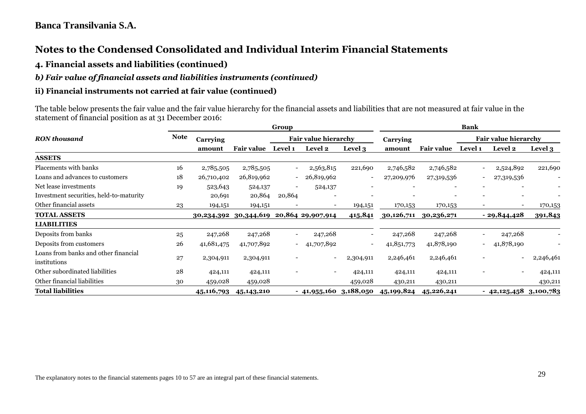# **Notes to the Condensed Consolidated and Individual Interim Financial Statements**

#### **4. Financial assets and liabilities (continued)**

#### *b) Fair value of financial assets and liabilities instruments (continued)*

#### **ii) Financial instruments not carried at fair value (continued)**

The table below presents the fair value and the fair value hierarchy for the financial assets and liabilities that are not measured at fair value in the statement of financial position as at 31 December 2016:

|                                                      |             |            |                   | Group                       |                          |                          | <b>Bank</b> |                             |                          |                          |                |
|------------------------------------------------------|-------------|------------|-------------------|-----------------------------|--------------------------|--------------------------|-------------|-----------------------------|--------------------------|--------------------------|----------------|
| <b>RON</b> thousand                                  | <b>Note</b> | Carrying   |                   | <b>Fair value hierarchy</b> |                          | Carrying                 |             | <b>Fair value hierarchy</b> |                          |                          |                |
|                                                      |             | amount     | <b>Fair value</b> | <b>Level 1</b>              | Level 2                  | Level 3                  | amount      | <b>Fair value</b>           | <b>Level 1</b>           | <b>Level 2</b>           | <b>Level 3</b> |
| <b>ASSETS</b>                                        |             |            |                   |                             |                          |                          |             |                             |                          |                          |                |
| Placements with banks                                | 16          | 2,785,505  | 2,785,505         |                             | 2,563,815                | 221,690                  | 2,746,582   | 2,746,582                   |                          | 2,524,892                | 221,690        |
| Loans and advances to customers                      | 18          | 26,710,402 | 26,819,962        | $\overline{\phantom{a}}$    | 26,819,962               | $\overline{\phantom{a}}$ | 27,209,976  | 27,319,536                  | $\overline{\phantom{a}}$ | 27,319,536               |                |
| Net lease investments                                | 19          | 523,643    | 524,137           |                             | 524,137                  |                          |             |                             |                          |                          |                |
| Investment securities, held-to-maturity              |             | 20,691     | 20,864            | 20,864                      |                          |                          |             |                             |                          |                          |                |
| Other financial assets                               | 23          | 194,151    | 194,151           |                             | $\overline{\phantom{a}}$ | 194,151                  | 170,153     | 170,153                     | $\overline{\phantom{a}}$ | $\overline{\phantom{a}}$ | 170,153        |
| <b>TOTAL ASSETS</b>                                  |             | 30,234,392 | 30,344,619        |                             | 20,864 29,907,914        | 415,841                  | 30,126,711  | 30,236,271                  |                          | $-29,844,428$            | 391,843        |
| <b>LIABILITIES</b>                                   |             |            |                   |                             |                          |                          |             |                             |                          |                          |                |
| Deposits from banks                                  | 25          | 247,268    | 247,268           |                             | 247,268                  | $\overline{\phantom{a}}$ | 247,268     | 247,268                     | $\overline{\phantom{a}}$ | 247,268                  |                |
| Deposits from customers                              | 26          | 41,681,475 | 41,707,892        | $\overline{\phantom{a}}$    | 41,707,892               |                          | 41,851,773  | 41,878,190                  | $\overline{\phantom{a}}$ | 41,878,190               |                |
| Loans from banks and other financial<br>institutions | 27          | 2,304,911  | 2,304,911         |                             | $\overline{\phantom{a}}$ | 2,304,911                | 2,246,461   | 2,246,461                   |                          | $\blacksquare$           | 2,246,461      |
| Other subordinated liabilities                       | 28          | 424,111    | 424,111           |                             | $\overline{\phantom{0}}$ | 424,111                  | 424,111     | 424,111                     |                          | $\overline{\phantom{a}}$ | 424,111        |
| Other financial liabilities                          | 30          | 459,028    | 459,028           |                             |                          | 459,028                  | 430,211     | 430,211                     |                          |                          | 430,211        |
| <b>Total liabilities</b>                             |             | 45,116,793 | 45, 143, 210      |                             | $-41,955,160$ 3,188,050  |                          | 45,199,824  | 45,226,241                  |                          | $-42,125,458$ 3,100,783  |                |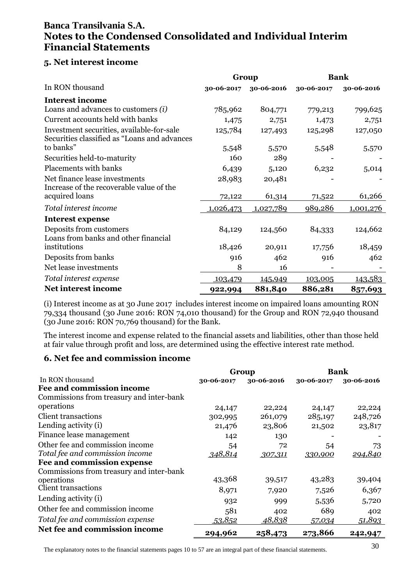### **5. Net interest income**

|                                                                                            | Group      |            | <b>Bank</b> |            |
|--------------------------------------------------------------------------------------------|------------|------------|-------------|------------|
| In RON thousand                                                                            | 30-06-2017 | 30-06-2016 | 30-06-2017  | 30-06-2016 |
| <b>Interest income</b>                                                                     |            |            |             |            |
| Loans and advances to customers $(i)$                                                      | 785,962    | 804,771    | 779,213     | 799,625    |
| Current accounts held with banks                                                           | 1,475      | 2,751      | 1,473       | 2,751      |
| Investment securities, available-for-sale<br>Securities classified as "Loans and advances" | 125,784    | 127,493    | 125,298     | 127,050    |
| to banks"                                                                                  | 5,548      | 5,570      | 5,548       | 5,570      |
| Securities held-to-maturity                                                                | 160        | 289        |             |            |
| Placements with banks                                                                      | 6,439      | 5,120      | 6,232       | 5,014      |
| Net finance lease investments<br>Increase of the recoverable value of the                  | 28,983     | 20,481     |             |            |
| acquired loans                                                                             | 72,122     | 61,314     | 71,522      | 61,266     |
| Total interest income                                                                      | 1,026,473  | 1,027,789  | 989,286     | 1,001,276  |
| <b>Interest expense</b>                                                                    |            |            |             |            |
| Deposits from customers<br>Loans from banks and other financial                            | 84,129     | 124,560    | 84,333      | 124,662    |
| institutions                                                                               | 18,426     | 20,911     | 17,756      | 18,459     |
| Deposits from banks                                                                        | 916        | 462        | 916         | 462        |
| Net lease investments                                                                      | 8          | 16         |             |            |
| Total interest expense                                                                     | 103,479    | 145,949    | 103,005     | 143,583    |
| Net interest income                                                                        | 922,994    | 881,840    | 886,281     | 857,693    |

(i) Interest income as at 30 June 2017 includes interest income on impaired loans amounting RON 79,334 thousand (30 June 2016: RON 74,010 thousand) for the Group and RON 72,940 thousand (30 June 2016: RON 70,769 thousand) for the Bank.

The interest income and expense related to the financial assets and liabilities, other than those held at fair value through profit and loss, are determined using the effective interest rate method.

### **6. Net fee and commission income**

|                                          |            | Group         | <b>Bank</b> |            |
|------------------------------------------|------------|---------------|-------------|------------|
| In RON thousand                          | 30-06-2017 | 30-06-2016    | 30-06-2017  | 30-06-2016 |
| Fee and commission income                |            |               |             |            |
| Commissions from treasury and inter-bank |            |               |             |            |
| operations                               | 24,147     | 22,224        | 24,147      | 22,224     |
| Client transactions                      | 302,995    | 261,079       | 285,197     | 248,726    |
| Lending activity (i)                     | 21,476     | 23,806        | 21,502      | 23,817     |
| Finance lease management                 | 142        | 130           |             |            |
| Other fee and commission income          | 54         | 72            | 54          | 73         |
| Total fee and commission income          | 348,814    | 307,311       | 330,900     | 294,840    |
| Fee and commission expense               |            |               |             |            |
| Commissions from treasury and inter-bank |            |               |             |            |
| operations                               | 43,368     | 39,517        | 43,283      | 39,404     |
| <b>Client transactions</b>               | 8,971      | 7,920         | 7,526       | 6,367      |
| Lending activity (i)                     | 932        | 999           | 5,536       | 5,720      |
| Other fee and commission income          | 581        | 402           | 689         | 402        |
| Total fee and commission expense         | 53,852     | <u>48,838</u> | 57,034      | 51,893     |
| Net fee and commission income            | 294,962    | 258,473       | 273,866     | 242,947    |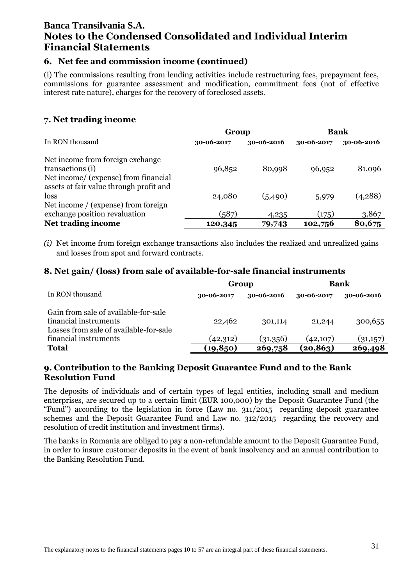#### **6. Net fee and commission income (continued)**

(i) The commissions resulting from lending activities include restructuring fees, prepayment fees, commissions for guarantee assessment and modification, commitment fees (not of effective interest rate nature), charges for the recovery of foreclosed assets.

#### **7. Net trading income**

|                                                                                                                                         | Group            |                 | Bank             |                 |
|-----------------------------------------------------------------------------------------------------------------------------------------|------------------|-----------------|------------------|-----------------|
| In RON thousand                                                                                                                         | 30-06-2017       | 30-06-2016      | 30-06-2017       | 30-06-2016      |
| Net income from foreign exchange<br>transactions (i)<br>Net income/ (expense) from financial<br>assets at fair value through profit and | 96,852           | 80,998          | 96,952           | 81,096          |
| loss<br>Net income / (expense) from foreign                                                                                             | 24,080           | (5,490)         | 5,979            | (4,288)         |
| exchange position revaluation<br>Net trading income                                                                                     | (587)<br>120,345 | 4,235<br>79,743 | (175)<br>102,756 | 3,867<br>80,675 |

*(i)* Net income from foreign exchange transactions also includes the realized and unrealized gains and losses from spot and forward contracts.

#### **8. Net gain/ (loss) from sale of available-for-sale financial instruments**

|                                                                                                         | Group      |            | <b>Bank</b> |            |
|---------------------------------------------------------------------------------------------------------|------------|------------|-------------|------------|
| In RON thousand                                                                                         | 30-06-2017 | 30-06-2016 | 30-06-2017  | 30-06-2016 |
| Gain from sale of available-for-sale<br>financial instruments<br>Losses from sale of available-for-sale | 22,462     | 301,114    | 21,244      | 300,655    |
| financial instruments                                                                                   | (42, 312)  | (31,356)   | (42, 107)   | (31,157)   |
| <b>Total</b>                                                                                            | (19, 850)  | 269,758    | (20, 863)   | 269,498    |

#### **9. Contribution to the Banking Deposit Guarantee Fund and to the Bank Resolution Fund**

The deposits of individuals and of certain types of legal entities, including small and medium enterprises, are secured up to a certain limit (EUR 100,000) by the Deposit Guarantee Fund (the "Fund") according to the legislation in force (Law no. 311/2015 regarding deposit guarantee schemes and the Deposit Guarantee Fund and Law no. 312/2015 regarding the recovery and resolution of credit institution and investment firms).

The banks in Romania are obliged to pay a non-refundable amount to the Deposit Guarantee Fund, in order to insure customer deposits in the event of bank insolvency and an annual contribution to the Banking Resolution Fund.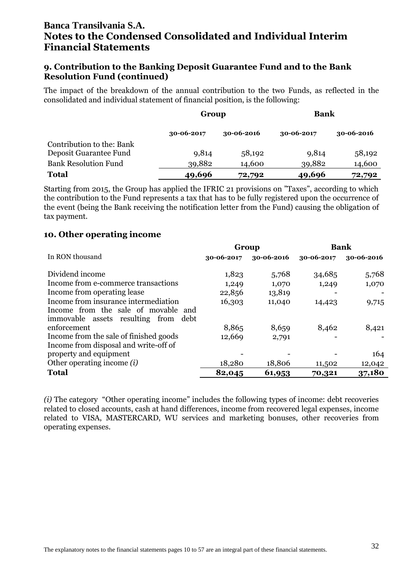#### **9. Contribution to the Banking Deposit Guarantee Fund and to the Bank Resolution Fund (continued)**

The impact of the breakdown of the annual contribution to the two Funds, as reflected in the consolidated and individual statement of financial position, is the following:

|                             | Group      |            | <b>Bank</b> |            |
|-----------------------------|------------|------------|-------------|------------|
|                             | 30-06-2017 | 30-06-2016 | 30-06-2017  | 30-06-2016 |
| Contribution to the: Bank   |            |            |             |            |
| Deposit Guarantee Fund      | 9,814      | 58,192     | 9,814       | 58,192     |
| <b>Bank Resolution Fund</b> | 39,882     | 14,600     | 39,882      | 14,600     |
| <b>Total</b>                | 49,696     | 72,792     | 49,696      | 72,792     |

Starting from 2015, the Group has applied the IFRIC 21 provisions on "Taxes", according to which the contribution to the Fund represents a tax that has to be fully registered upon the occurrence of the event (being the Bank receiving the notification letter from the Fund) causing the obligation of tax payment.

#### **10. Other operating income**

|                                        | Group      |            |            | <b>Bank</b> |  |
|----------------------------------------|------------|------------|------------|-------------|--|
| In RON thousand                        | 30-06-2017 | 30-06-2016 | 30-06-2017 | 30-06-2016  |  |
| Dividend income                        | 1,823      | 5,768      | 34,685     | 5,768       |  |
| Income from e-commerce transactions    | 1,249      | 1,070      | 1,249      | 1,070       |  |
| Income from operating lease            | 22,856     | 13,819     |            |             |  |
| Income from insurance intermediation   | 16,303     | 11,040     | 14,423     | 9,715       |  |
| Income from the sale of movable and    |            |            |            |             |  |
| immovable assets resulting from debt   |            |            |            |             |  |
| enforcement                            | 8,865      | 8,659      | 8,462      | 8,421       |  |
| Income from the sale of finished goods | 12,669     | 2,791      |            |             |  |
| Income from disposal and write-off of  |            |            |            |             |  |
| property and equipment                 |            |            |            | 164         |  |
| Other operating income $(i)$           | 18,280     | 18,806     | 11,502     | 12,042      |  |
| <b>Total</b>                           | 82,045     | 61,953     | 70,321     | 37,180      |  |

*(i)* The category "Other operating income" includes the following types of income: debt recoveries related to closed accounts, cash at hand differences, income from recovered legal expenses, income related to VISA, MASTERCARD, WU services and marketing bonuses, other recoveries from operating expenses.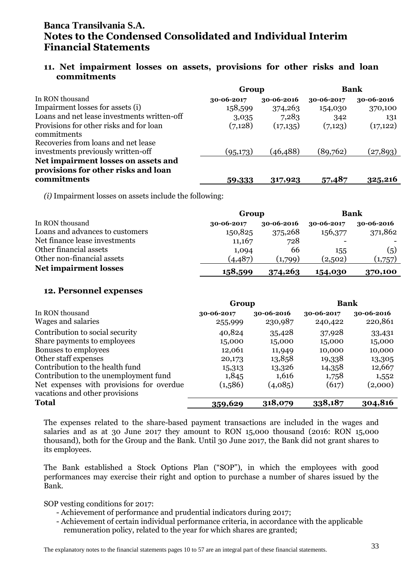#### **11. Net impairment losses on assets, provisions for other risks and loan commitments**

|                                                                            | Group      |            | <b>Bank</b> |            |
|----------------------------------------------------------------------------|------------|------------|-------------|------------|
| In RON thousand                                                            | 30-06-2017 | 30-06-2016 | 30-06-2017  | 30-06-2016 |
| Impairment losses for assets (i)                                           | 158,599    | 374,263    | 154,030     | 370,100    |
| Loans and net lease investments written-off                                | 3,035      | 7,283      | 342         | 131        |
| Provisions for other risks and for loan<br>commitments                     | (7,128)    | (17,135)   | (7,123)     | (17, 122)  |
| Recoveries from loans and net lease                                        |            |            |             |            |
| investments previously written-off                                         | (95,173)   | (46, 488)  | (89,762)    | (27, 893)  |
| Net impairment losses on assets and<br>provisions for other risks and loan |            |            |             |            |
| commitments                                                                | 59,333     | 317,923    | 57,487      | 325,216    |

*(i)* Impairment losses on assets include the following:

|                                 | Group      | Bank       |            |            |  |
|---------------------------------|------------|------------|------------|------------|--|
| In RON thousand                 | 30-06-2017 | 30-06-2016 | 30-06-2017 | 30-06-2016 |  |
| Loans and advances to customers | 150,825    | 375,268    | 156,377    | 371,862    |  |
| Net finance lease investments   | 11,167     | 728        |            |            |  |
| Other financial assets          | 1,094      | 66         | 155        | (5)        |  |
| Other non-financial assets      | (4, 487)   | (1,799)    | (2,502)    | (1,757)    |  |
| <b>Net impairment losses</b>    | 158,599    | 374,263    | 154,030    | 370,100    |  |

#### **12. Personnel expenses**

|                                          | Group      |            | <b>Bank</b> |            |
|------------------------------------------|------------|------------|-------------|------------|
| In RON thousand                          | 30-06-2017 | 30-06-2016 | 30-06-2017  | 30-06-2016 |
| Wages and salaries                       | 255,999    | 230,987    | 240,422     | 220,861    |
| Contribution to social security          | 40,824     | 35,428     | 37,928      | 33,431     |
| Share payments to employees              | 15,000     | 15,000     | 15,000      | 15,000     |
| Bonuses to employees                     | 12,061     | 11,949     | 10,000      | 10,000     |
| Other staff expenses                     | 20,173     | 13,858     | 19,338      | 13,305     |
| Contribution to the health fund          | 15,313     | 13,326     | 14,358      | 12,667     |
| Contribution to the unemployment fund    | 1,845      | 1,616      | 1,758       | 1,552      |
| Net expenses with provisions for overdue | (1,586)    | (4,085)    | (617)       | (2,000)    |
| vacations and other provisions           |            |            |             |            |
| <b>Total</b>                             | 359,629    | 318,079    | 338,187     | 304,816    |

The expenses related to the share-based payment transactions are included in the wages and salaries and as at 30 June 2017 they amount to RON 15,000 thousand (2016: RON 15,000 thousand), both for the Group and the Bank. Until 30 June 2017, the Bank did not grant shares to its employees.

The Bank established a Stock Options Plan ("SOP"), in which the employees with good performances may exercise their right and option to purchase a number of shares issued by the Bank.

SOP vesting conditions for 2017:

- Achievement of performance and prudential indicators during 2017;
- Achievement of certain individual performance criteria, in accordance with the applicable remuneration policy, related to the year for which shares are granted;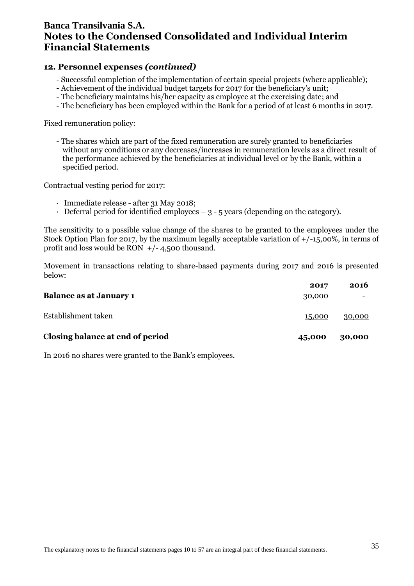#### **12. Personnel expenses** *(continued)*

- Successful completion of the implementation of certain special projects (where applicable);
- Achievement of the individual budget targets for 2017 for the beneficiary's unit;
- The beneficiary maintains his/her capacity as employee at the exercising date; and
- The beneficiary has been employed within the Bank for a period of at least 6 months in 2017.

Fixed remuneration policy:

- The shares which are part of the fixed remuneration are surely granted to beneficiaries without any conditions or any decreases/increases in remuneration levels as a direct result of the performance achieved by the beneficiaries at individual level or by the Bank, within a specified period.

Contractual vesting period for 2017:

- · Immediate release after 31 May 2018;
- $\cdot$  Deferral period for identified employees  $-3$  5 years (depending on the category).

The sensitivity to a possible value change of the shares to be granted to the employees under the Stock Option Plan for 2017, by the maximum legally acceptable variation of  $+/-15,00\%$ , in terms of profit and loss would be RON  $+/- 4,500$  thousand.

Movement in transactions relating to share-based payments during 2017 and 2016 is presented below:

|                                  | 2017   | 2016   |
|----------------------------------|--------|--------|
| <b>Balance as at January 1</b>   | 30,000 |        |
| Establishment taken              | 15,000 | 30,000 |
| Closing balance at end of period | 45,000 | 30,000 |

In 2016 no shares were granted to the Bank's employees.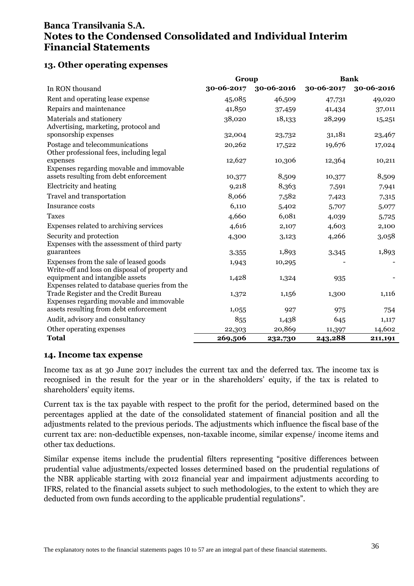### **13. Other operating expenses**

|                                                                                          | Group      |            |            | <b>Bank</b> |
|------------------------------------------------------------------------------------------|------------|------------|------------|-------------|
| In RON thousand                                                                          | 30-06-2017 | 30-06-2016 | 30-06-2017 | 30-06-2016  |
| Rent and operating lease expense                                                         | 45,085     | 46,509     | 47,731     | 49,020      |
| Repairs and maintenance                                                                  | 41,850     | 37,459     | 41,434     | 37,011      |
| Materials and stationery<br>Advertising, marketing, protocol and                         | 38,020     | 18,133     | 28,299     | 15,251      |
| sponsorship expenses                                                                     | 32,004     | 23,732     | 31,181     | 23,467      |
| Postage and telecommunications<br>Other professional fees, including legal               | 20,262     | 17,522     | 19,676     | 17,024      |
| expenses                                                                                 | 12,627     | 10,306     | 12,364     | 10,211      |
| Expenses regarding movable and immovable<br>assets resulting from debt enforcement       | 10,377     | 8,509      | 10,377     | 8,509       |
| Electricity and heating                                                                  | 9,218      | 8,363      | 7,591      | 7,941       |
| Travel and transportation                                                                | 8,066      | 7,582      | 7,423      | 7,315       |
| Insurance costs                                                                          | 6,110      | 5,402      | 5,707      | 5,077       |
| <b>Taxes</b>                                                                             | 4,660      | 6,081      | 4,039      | 5,725       |
| Expenses related to archiving services                                                   | 4,616      | 2,107      | 4,603      | 2,100       |
| Security and protection<br>Expenses with the assessment of third party                   | 4,300      | 3,123      | 4,266      | 3,058       |
| guarantees                                                                               | 3,355      | 1,893      | 3,345      | 1,893       |
| Expenses from the sale of leased goods<br>Write-off and loss on disposal of property and | 1,943      | 10,295     |            |             |
| equipment and intangible assets<br>Expenses related to database queries from the         | 1,428      | 1,324      | 935        |             |
| Trade Register and the Credit Bureau<br>Expenses regarding movable and immovable         | 1,372      | 1,156      | 1,300      | 1,116       |
| assets resulting from debt enforcement                                                   | 1,055      | 927        | 975        | 754         |
| Audit, advisory and consultancy                                                          | 855        | 1,438      | 645        | 1,117       |
| Other operating expenses                                                                 | 22,303     | 20,869     | 11,397     | 14,602      |
| <b>Total</b>                                                                             | 269,506    | 232,730    | 243,288    | 211,191     |

#### **14. Income tax expense**

Income tax as at 30 June 2017 includes the current tax and the deferred tax. The income tax is recognised in the result for the year or in the shareholders' equity, if the tax is related to shareholders' equity items.

Current tax is the tax payable with respect to the profit for the period, determined based on the percentages applied at the date of the consolidated statement of financial position and all the adjustments related to the previous periods. The adjustments which influence the fiscal base of the current tax are: non-deductible expenses, non-taxable income, similar expense/ income items and other tax deductions.

Similar expense items include the prudential filters representing "positive differences between prudential value adjustments/expected losses determined based on the prudential regulations of the NBR applicable starting with 2012 financial year and impairment adjustments according to IFRS, related to the financial assets subject to such methodologies, to the extent to which they are deducted from own funds according to the applicable prudential regulations".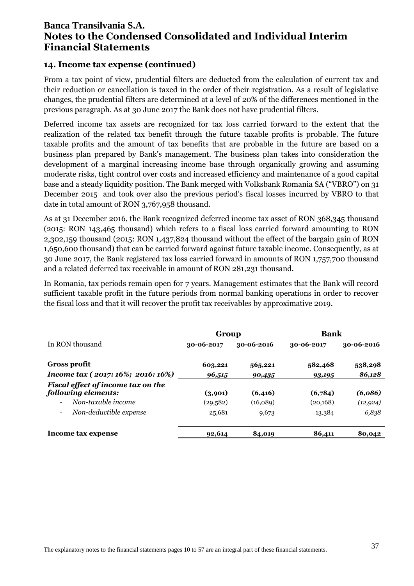#### **14. Income tax expense (continued)**

From a tax point of view, prudential filters are deducted from the calculation of current tax and their reduction or cancellation is taxed in the order of their registration. As a result of legislative changes, the prudential filters are determined at a level of 20% of the differences mentioned in the previous paragraph. As at 30 June 2017 the Bank does not have prudential filters.

Deferred income tax assets are recognized for tax loss carried forward to the extent that the realization of the related tax benefit through the future taxable profits is probable. The future taxable profits and the amount of tax benefits that are probable in the future are based on a business plan prepared by Bank's management. The business plan takes into consideration the development of a marginal increasing income base through organically growing and assuming moderate risks, tight control over costs and increased efficiency and maintenance of a good capital base and a steady liquidity position. The Bank merged with Volksbank Romania SA ("VBRO") on 31 December 2015 and took over also the previous period's fiscal losses incurred by VBRO to that date in total amount of RON 3,767,958 thousand.

As at 31 December 2016, the Bank recognized deferred income tax asset of RON 368,345 thousand (2015: RON 143,465 thousand) which refers to a fiscal loss carried forward amounting to RON 2,302,159 thousand (2015: RON 1,437,824 thousand without the effect of the bargain gain of RON 1,650,600 thousand) that can be carried forward against future taxable income. Consequently, as at 30 June 2017, the Bank registered tax loss carried forward in amounts of RON 1,757,700 thousand and a related deferred tax receivable in amount of RON 281,231 thousand.

In Romania, tax periods remain open for 7 years. Management estimates that the Bank will record sufficient taxable profit in the future periods from normal banking operations in order to recover the fiscal loss and that it will recover the profit tax receivables by approximative 2019.

|                                                    | Group      |            | <b>Bank</b> |            |
|----------------------------------------------------|------------|------------|-------------|------------|
| In RON thousand                                    | 30-06-2017 | 30-06-2016 | 30-06-2017  | 30-06-2016 |
| <b>Gross profit</b>                                | 603,221    | 565,221    | 582,468     | 538,298    |
| Income tax (2017: 16%; 2016: 16%)                  | 96,515     | 90,435     | 93,195      | 86,128     |
| Fiscal effect of income tax on the                 |            |            |             |            |
| following elements:                                | (3,901)    | (6,416)    | (6,784)     | (6,086)    |
| Non-taxable income<br>$\overline{\phantom{0}}$     | (29, 582)  | (16,089)   | (20, 168)   | (12, 924)  |
| Non-deductible expense<br>$\overline{\phantom{a}}$ | 25,681     | 9,673      | 13,384      | 6,838      |
| Income tax expense                                 | 92,614     | 84,019     | 86,411      | 80,042     |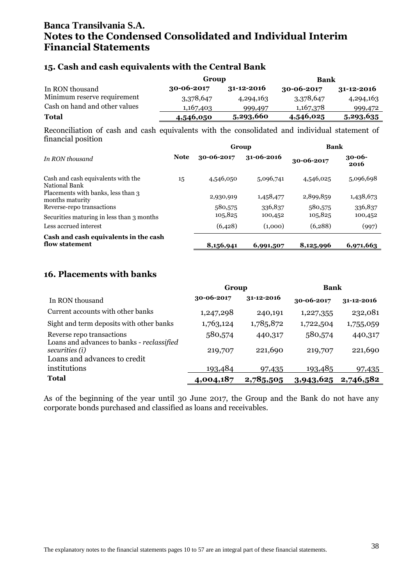#### **15. Cash and cash equivalents with the Central Bank**

|                               |                  | Group            |            | Bank             |
|-------------------------------|------------------|------------------|------------|------------------|
| In RON thousand               | $30 - 06 - 2017$ | $31 - 12 - 2016$ | 30-06-2017 | $31 - 12 - 2016$ |
| Minimum reserve requirement   | 3,378,647        | 4,294,163        | 3,378,647  | 4,294,163        |
| Cash on hand and other values | 1,167,403        | 999,497          | 1,167,378  | 999,472          |
| Total                         | 4,546,050        | 5,293,660        | 4,546,025  | 5,293,635        |

Reconciliation of cash and cash equivalents with the consolidated and individual statement of financial position

|                                                       |             | Group      |            | <b>Bank</b> |                     |
|-------------------------------------------------------|-------------|------------|------------|-------------|---------------------|
| In RON thousand                                       | <b>Note</b> | 30-06-2017 | 31-06-2016 | 30-06-2017  | $30 - 06 -$<br>2016 |
| Cash and cash equivalents with the<br>National Bank   | 15          | 4,546,050  | 5,096,741  | 4,546,025   | 5,096,698           |
| Placements with banks, less than 3<br>months maturity |             | 2,930,919  | 1,458,477  | 2,899,859   | 1,438,673           |
| Reverse-repo transactions                             |             | 580,575    | 336,837    | 580,575     | 336,837             |
| Securities maturing in less than 3 months             |             | 105,825    | 100,452    | 105,825     | 100,452             |
| Less accrued interest                                 |             | (6,428)    | (1,000)    | (6, 288)    | (997)               |
| Cash and cash equivalents in the cash                 |             |            |            |             |                     |
| flow statement                                        |             | 8,156,941  | 6,991,507  | 8,125,996   | 6,971,663           |

#### **16. Placements with banks**

|                                                                         | Group      |            | <b>Bank</b> |            |
|-------------------------------------------------------------------------|------------|------------|-------------|------------|
| In RON thousand                                                         | 30-06-2017 | 31-12-2016 | 30-06-2017  | 31-12-2016 |
| Current accounts with other banks                                       | 1,247,298  | 240,191    | 1,227,355   | 232,081    |
| Sight and term deposits with other banks                                | 1,763,124  | 1,785,872  | 1,722,504   | 1,755,059  |
| Reverse repo transactions<br>Loans and advances to banks - reclassified | 580,574    | 440,317    | 580,574     | 440,317    |
| securities (i)                                                          | 219,707    | 221,690    | 219,707     | 221,690    |
| Loans and advances to credit                                            |            |            |             |            |
| institutions                                                            | 193,484    | 97,435     | 193,485     | 97,435     |
| <b>Total</b>                                                            | 4,004,187  | 2,785,505  | 3,943,625   | 2,746,582  |

As of the beginning of the year until 30 June 2017, the Group and the Bank do not have any corporate bonds purchased and classified as loans and receivables.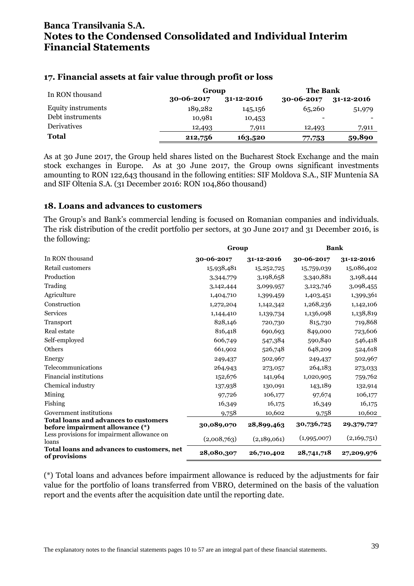#### **17. Financial assets at fair value through profit or loss**

| In RON thousand    | Group      |                  | <b>The Bank</b>  |                  |  |
|--------------------|------------|------------------|------------------|------------------|--|
|                    | 30-06-2017 | $31 - 12 - 2016$ | $30 - 06 - 2017$ | $31 - 12 - 2016$ |  |
| Equity instruments | 189,282    | 145,156          | 65,260           | 51,979           |  |
| Debt instruments   | 10,981     | 10,453           |                  |                  |  |
| <b>Derivatives</b> | 12,493     | 7,911            | 12,493           | 7,911            |  |
| Total              | 212,756    | 163,520          | 77,753           | 59,890           |  |

As at 30 June 2017, the Group held shares listed on the Bucharest Stock Exchange and the main stock exchanges in Europe. As at 30 June 2017, the Group owns significant investments amounting to RON 122,643 thousand in the following entities: SIF Moldova S.A., SIF Muntenia SA and SIF Oltenia S.A. (31 December 2016: RON 104,860 thousand)

#### **18. Loans and advances to customers**

The Group's and Bank's commercial lending is focused on Romanian companies and individuals. The risk distribution of the credit portfolio per sectors, at 30 June 2017 and 31 December 2016, is the following:

|                                                                                                                         | Group       |             | <b>Bank</b>               |                           |
|-------------------------------------------------------------------------------------------------------------------------|-------------|-------------|---------------------------|---------------------------|
| In RON thousand                                                                                                         | 30-06-2017  | 31-12-2016  | 30-06-2017                | 31-12-2016                |
| Retail customers                                                                                                        | 15,938,481  | 15,252,725  | 15,759,039                | 15,086,402                |
| Production                                                                                                              | 3,344,779   | 3,198,658   | 3,340,881                 | 3,198,444                 |
| Trading                                                                                                                 | 3,142,444   | 3,099,957   | 3,123,746                 | 3,098,455                 |
| Agriculture                                                                                                             | 1,404,710   | 1,399,459   | 1,403,451                 | 1,399,361                 |
| Construction                                                                                                            | 1,272,204   | 1,142,342   | 1,268,236                 | 1,142,106                 |
| Services                                                                                                                | 1,144,410   | 1,139,734   | 1,136,098                 | 1,138,819                 |
| Transport                                                                                                               | 828,146     | 720,730     | 815,730                   | 719,868                   |
| Real estate                                                                                                             | 816,418     | 690,693     | 849,000                   | 723,606                   |
| Self-employed                                                                                                           | 606,749     | 547,384     | 590,840                   | 546,418                   |
| Others                                                                                                                  | 661,902     | 526,748     | 648,209                   | 524,618                   |
| Energy                                                                                                                  | 249,437     | 502,967     | 249,437                   | 502,967                   |
| Telecommunications                                                                                                      | 264,943     | 273,057     | 264,183                   | 273,033                   |
| <b>Financial institutions</b>                                                                                           | 152,676     | 141,964     | 1,020,905                 | 759,762                   |
| Chemical industry                                                                                                       | 137,938     | 130,091     | 143,189                   | 132,914                   |
| Mining                                                                                                                  | 97,726      | 106,177     | 97,674                    | 106,177                   |
| Fishing                                                                                                                 | 16,349      | 16,175      | 16,349                    | 16,175                    |
| Government institutions                                                                                                 | 9,758       | 10,602      | 9,758                     | 10,602                    |
| Total loans and advances to customers<br>before impairment allowance (*)<br>Less provisions for impairment allowance on | 30,089,070  | 28,899,463  | 30,736,725<br>(1,995,007) | 29,379,727<br>(2,169,751) |
| loans<br>Total loans and advances to customers, net                                                                     | (2,008,763) | (2,189,061) |                           |                           |
| of provisions                                                                                                           | 28,080,307  | 26,710,402  | 28,741,718                | 27,209,976                |

(\*) Total loans and advances before impairment allowance is reduced by the adjustments for fair value for the portfolio of loans transferred from VBRO, determined on the basis of the valuation report and the events after the acquisition date until the reporting date.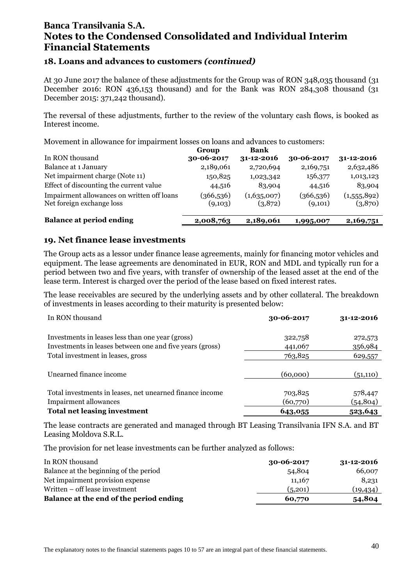#### **18. Loans and advances to customers** *(continued)*

At 30 June 2017 the balance of these adjustments for the Group was of RON 348,035 thousand (31 December 2016: RON 436,153 thousand) and for the Bank was RON 284,308 thousand (31 December 2015: 371,242 thousand).

The reversal of these adjustments, further to the review of the voluntary cash flows, is booked as Interest income.

Movement in allowance for impairment losses on loans and advances to customers:

|                                                                         | Group                 | Bank                   |                      |                        |
|-------------------------------------------------------------------------|-----------------------|------------------------|----------------------|------------------------|
| In RON thousand                                                         | 30-06-2017            | 31-12-2016             | 30-06-2017           | $31 - 12 - 2016$       |
| Balance at 1 January                                                    | 2,189,061             | 2,720,694              | 2,169,751            | 2,632,486              |
| Net impairment charge (Note 11)                                         | 150,825               | 1,023,342              | 156,377              | 1,013,123              |
| Effect of discounting the current value                                 | 44,516                | 83,904                 | 44,516               | 83,904                 |
| Impairment allowances on written off loans<br>Net foreign exchange loss | (366, 536)<br>(9,103) | (1,635,007)<br>(3,872) | (366,536)<br>(9,101) | (1,555,892)<br>(3,870) |
| <b>Balance at period ending</b>                                         | 2,008,763             | 2,189,061              | 1,995,007            | 2,169,751              |

#### **19. Net finance lease investments**

The Group acts as a lessor under finance lease agreements, mainly for financing motor vehicles and equipment. The lease agreements are denominated in EUR, RON and MDL and typically run for a period between two and five years, with transfer of ownership of the leased asset at the end of the lease term. Interest is charged over the period of the lease based on fixed interest rates.

The lease receivables are secured by the underlying assets and by other collateral. The breakdown of investments in leases according to their maturity is presented below:

| In RON thousand                                                                                              | 30-06-2017          | 31-12-2016          |
|--------------------------------------------------------------------------------------------------------------|---------------------|---------------------|
| Investments in leases less than one year (gross)<br>Investments in leases between one and five years (gross) | 322,758<br>441,067  | 272,573<br>356,984  |
| Total investment in leases, gross                                                                            | 763,825             | 629,557             |
| Unearned finance income                                                                                      | (60,000)            | (51,110)            |
| Total investments in leases, net unearned finance income<br><b>Impairment allowances</b>                     | 703,825<br>(60,770) | 578,447<br>(54,804) |
| <b>Total net leasing investment</b>                                                                          | 643,055             | 523,643             |

The lease contracts are generated and managed through BT Leasing Transilvania IFN S.A. and BT Leasing Moldova S.R.L.

The provision for net lease investments can be further analyzed as follows:

| In RON thousand                         | $30 - 06 - 2017$ | $31 - 12 - 2016$ |
|-----------------------------------------|------------------|------------------|
| Balance at the beginning of the period  | 54,804           | 66,007           |
| Net impairment provision expense        | 11,167           | 8,231            |
| Written – off lease investment          | (5,201)          | (19,434)         |
| Balance at the end of the period ending | 60,770           | 54,804           |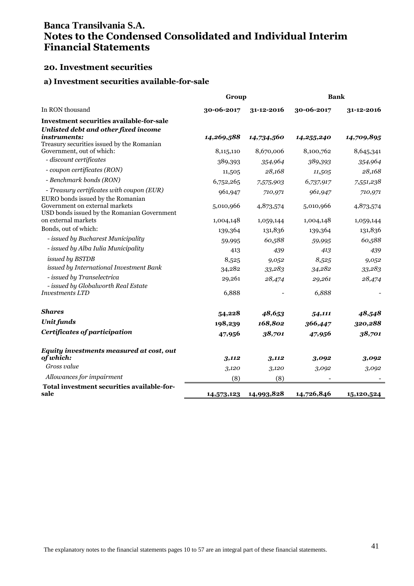#### **20. Investment securities**

#### **a) Investment securities available-for-sale**

|                                                                                                                    | Group      |                       | <b>Bank</b> |            |
|--------------------------------------------------------------------------------------------------------------------|------------|-----------------------|-------------|------------|
| In RON thousand                                                                                                    | 30-06-2017 | 31-12-2016            | 30-06-2017  | 31-12-2016 |
| <b>Investment securities available-for-sale</b><br>Unlisted debt and other fixed income                            |            |                       |             |            |
| instruments:<br>Treasury securities issued by the Romanian                                                         | 14,269,588 | 14,734,560            | 14,255,240  | 14,709,895 |
| Government, out of which:                                                                                          | 8,115,110  | 8,670,006             | 8,100,762   | 8,645,341  |
| - discount certificates                                                                                            | 389,393    | 354,964               | 389,393     | 354,964    |
| - coupon certificates (RON)                                                                                        | 11,505     | 28,168                | 11,505      | 28,168     |
| - Benchmark bonds (RON)                                                                                            | 6,752,265  | 7,575,903             | 6,737,917   | 7,551,238  |
| - Treasury certificates with coupon (EUR)                                                                          | 961,947    | 710,971               | 961,947     | 710,971    |
| EURO bonds issued by the Romanian<br>Government on external markets<br>USD bonds issued by the Romanian Government | 5,010,966  | 4,873,574             | 5,010,966   | 4,873,574  |
| on external markets                                                                                                | 1,004,148  | 1,059,144             | 1,004,148   | 1,059,144  |
| Bonds, out of which:                                                                                               | 139,364    | 131,836               | 139,364     | 131,836    |
| - issued by Bucharest Municipality                                                                                 | 59,995     | 60,588                | 59,995      | 60,588     |
| - issued by Alba Iulia Municipality                                                                                | 413        | 439                   | 413         | 439        |
| issued by BSTDB                                                                                                    | 8,525      | 9,052                 | 8,525       | 9,0,52     |
| issued by International Investment Bank                                                                            | 34,282     | 33,283                | 34,282      | 33,283     |
| - issued by Transelectrica                                                                                         | 29,261     | 28,474                | 29,261      | 28,474     |
| - issued by Globalworth Real Estate<br><b>Investments LTD</b>                                                      | 6,888      |                       | 6,888       |            |
| <b>Shares</b>                                                                                                      | 54,228     | 48,653                | 54,111      | 48,548     |
| <b>Unit funds</b>                                                                                                  | 198,239    | 168,802               | 366,447     | 320,288    |
| Certificates of participation                                                                                      | 47,956     | 38,701                | 47,956      | 38,701     |
| Equity investments measured at cost, out<br>of which:                                                              |            |                       |             |            |
| Gross value                                                                                                        | 3,112      | 3,112                 | 3,092       | 3,092      |
| Allowances for impairment                                                                                          | 3,120      | 3,120                 | 3,092       | 3,092      |
| Total investment securities available-for-                                                                         | (8)        | (8)                   |             |            |
| sale                                                                                                               |            | 14,573,123 14,993,828 | 14,726,846  | 15,120,524 |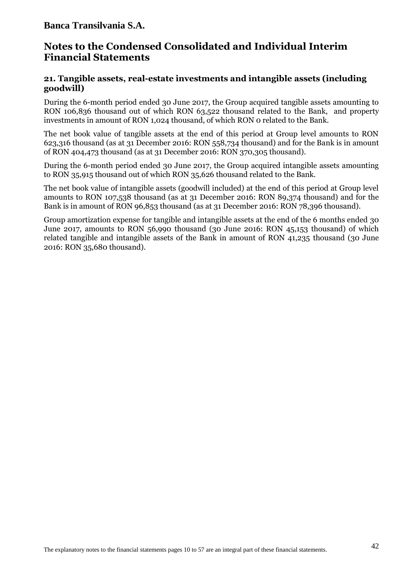### **Notes to the Condensed Consolidated and Individual Interim Financial Statements**

#### **21. Tangible assets, real-estate investments and intangible assets (including goodwill)**

During the 6-month period ended 30 June 2017, the Group acquired tangible assets amounting to RON 106,836 thousand out of which RON 63,522 thousand related to the Bank, and property investments in amount of RON 1,024 thousand, of which RON 0 related to the Bank.

The net book value of tangible assets at the end of this period at Group level amounts to RON 623,316 thousand (as at 31 December 2016: RON 558,734 thousand) and for the Bank is in amount of RON 404,473 thousand (as at 31 December 2016: RON 370,305 thousand).

During the 6-month period ended 30 June 2017, the Group acquired intangible assets amounting to RON 35,915 thousand out of which RON 35,626 thousand related to the Bank.

The net book value of intangible assets (goodwill included) at the end of this period at Group level amounts to RON 107,538 thousand (as at 31 December 2016: RON 89,374 thousand) and for the Bank is in amount of RON 96,853 thousand (as at 31 December 2016: RON 78,396 thousand).

Group amortization expense for tangible and intangible assets at the end of the 6 months ended 30 June 2017, amounts to RON 56,990 thousand (30 June 2016: RON 45,153 thousand) of which related tangible and intangible assets of the Bank in amount of RON 41,235 thousand (30 June 2016: RON 35,680 thousand).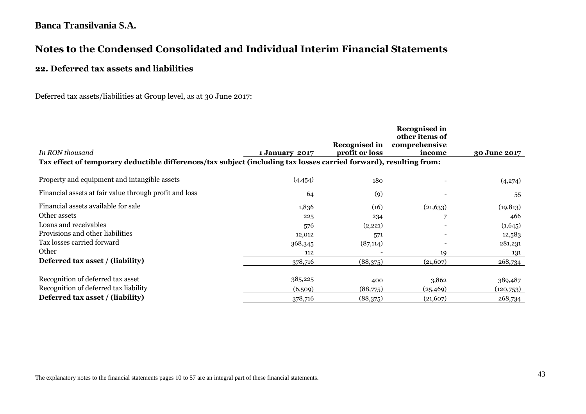# **Notes to the Condensed Consolidated and Individual Interim Financial Statements**

#### **22. Deferred tax assets and liabilities**

Deferred tax assets/liabilities at Group level, as at 30 June 2017:

|                                                                                                                    |                | <b>Recognised in</b> | <b>Recognised in</b><br>other items of<br>comprehensive |              |
|--------------------------------------------------------------------------------------------------------------------|----------------|----------------------|---------------------------------------------------------|--------------|
| In RON thousand                                                                                                    | 1 January 2017 | profit or loss       | income                                                  | 30 June 2017 |
| Tax effect of temporary deductible differences/tax subject (including tax losses carried forward), resulting from: |                |                      |                                                         |              |
| Property and equipment and intangible assets                                                                       | (4,454)        | 180                  |                                                         | (4,274)      |
| Financial assets at fair value through profit and loss                                                             | 64             | (9)                  |                                                         | 55           |
| Financial assets available for sale                                                                                | 1,836          | (16)                 | (21, 633)                                               | (19, 813)    |
| Other assets                                                                                                       | 225            | 234                  | 7                                                       | 466          |
| Loans and receivables                                                                                              | 576            | (2,221)              |                                                         | (1,645)      |
| Provisions and other liabilities                                                                                   | 12,012         | 571                  |                                                         | 12,583       |
| Tax losses carried forward                                                                                         | 368,345        | (87, 114)            |                                                         | 281,231      |
| Other                                                                                                              | 112            |                      | 19                                                      | 131          |
| Deferred tax asset / (liability)                                                                                   | 378,716        | (88,375)             | (21, 607)                                               | 268,734      |
| Recognition of deferred tax asset                                                                                  | 385,225        | 400                  | 3,862                                                   | 389,487      |
| Recognition of deferred tax liability                                                                              | (6,509)        | (88,775)             | (25,469)                                                | (120,753)    |
| Deferred tax asset / (liability)                                                                                   | 378,716        | (88,375)             | (21,607)                                                | 268,734      |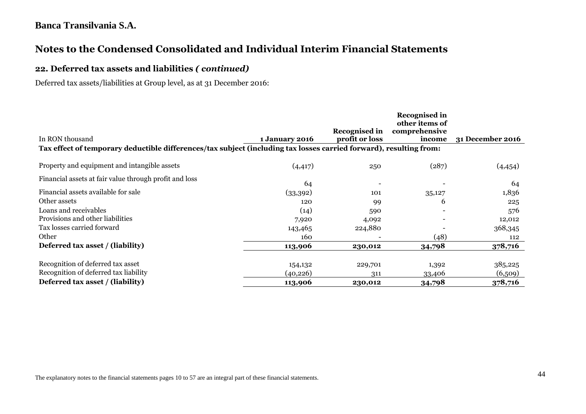# **Notes to the Condensed Consolidated and Individual Interim Financial Statements**

### **22. Deferred tax assets and liabilities** *( continued)*

Deferred tax assets/liabilities at Group level, as at 31 December 2016:

|                                                                                                                    |                       |                      | <b>Recognised in</b><br>other items of |                         |
|--------------------------------------------------------------------------------------------------------------------|-----------------------|----------------------|----------------------------------------|-------------------------|
|                                                                                                                    |                       | <b>Recognised in</b> | comprehensive                          |                         |
| In RON thousand                                                                                                    | <b>1 January 2016</b> | profit or loss       | income                                 | <b>31 December 2016</b> |
| Tax effect of temporary deductible differences/tax subject (including tax losses carried forward), resulting from: |                       |                      |                                        |                         |
| Property and equipment and intangible assets                                                                       | (4, 417)              | 250                  | (287)                                  | (4, 454)                |
| Financial assets at fair value through profit and loss                                                             | 64                    |                      |                                        | 64                      |
| Financial assets available for sale                                                                                | (33,392)              | 101                  | 35,127                                 | 1,836                   |
| Other assets                                                                                                       | 120                   | 99                   | 6                                      | 225                     |
| Loans and receivables                                                                                              | (14)                  | 590                  |                                        | 576                     |
| Provisions and other liabilities                                                                                   | 7,920                 | 4,092                |                                        | 12,012                  |
| Tax losses carried forward                                                                                         | 143,465               | 224,880              |                                        | 368,345                 |
| Other                                                                                                              | 160                   |                      | (48)                                   | 112                     |
| Deferred tax asset / (liability)                                                                                   | 113,906               | 230,012              | 34,798                                 | 378,716                 |
| Recognition of deferred tax asset                                                                                  | 154,132               | 229,701              | 1,392                                  | 385,225                 |
| Recognition of deferred tax liability                                                                              | (40, 226)             | 311                  | 33,406                                 | (6,509)                 |
| Deferred tax asset / (liability)                                                                                   | 113,906               | 230,012              | 34,798                                 | 378,716                 |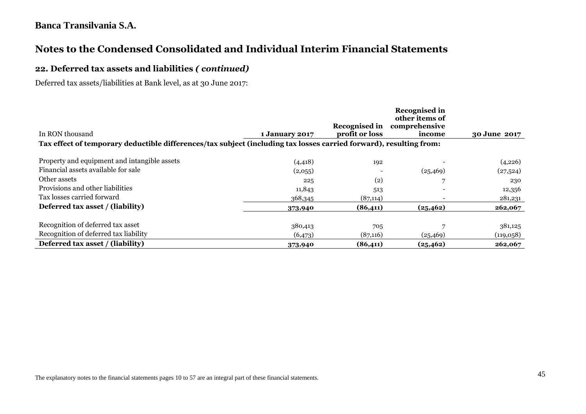# **Notes to the Condensed Consolidated and Individual Interim Financial Statements**

#### **22. Deferred tax assets and liabilities** *( continued)*

Deferred tax assets/liabilities at Bank level, as at 30 June 2017:

|                                                                                                                    |                       |                | <b>Recognised in</b><br>other items of |              |  |  |
|--------------------------------------------------------------------------------------------------------------------|-----------------------|----------------|----------------------------------------|--------------|--|--|
| In RON thousand                                                                                                    | <b>1 January 2017</b> | profit or loss | Recognised in comprehensive<br>income  | 30 June 2017 |  |  |
| Tax effect of temporary deductible differences/tax subject (including tax losses carried forward), resulting from: |                       |                |                                        |              |  |  |
| Property and equipment and intangible assets                                                                       | (4, 418)              | 192            |                                        | (4,226)      |  |  |
| Financial assets available for sale                                                                                | (2,055)               |                | (25, 469)                              | (27,524)     |  |  |
| Other assets                                                                                                       | 225                   | (2)            | 7                                      | 230          |  |  |
| Provisions and other liabilities                                                                                   | 11,843                | 513            |                                        | 12,356       |  |  |
| Tax losses carried forward                                                                                         | 368,345               | (87, 114)      | $\overline{\phantom{0}}$               | 281,231      |  |  |
| Deferred tax asset / (liability)                                                                                   | 373,940               | (86, 411)      | (25, 462)                              | 262,067      |  |  |
| Recognition of deferred tax asset                                                                                  | 380,413               | 705            |                                        | 381,125      |  |  |
| Recognition of deferred tax liability                                                                              | (6,473)               | (87,116)       | (25, 469)                              | (119,058)    |  |  |
| Deferred tax asset / (liability)                                                                                   | 373,940               | (86,411)       | (25, 462)                              | 262,067      |  |  |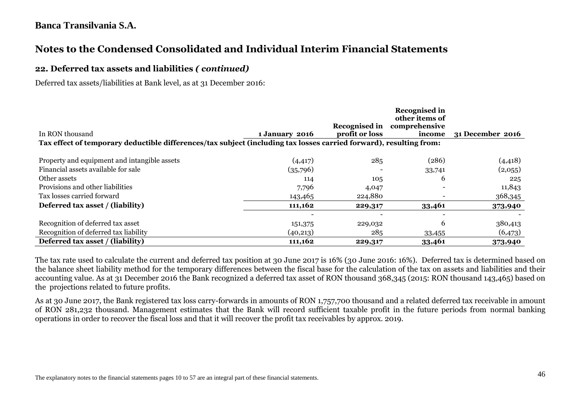# **Notes to the Condensed Consolidated and Individual Interim Financial Statements**

#### **22. Deferred tax assets and liabilities** *( continued)*

Deferred tax assets/liabilities at Bank level, as at 31 December 2016:

|                                                                                                                    |                |                | Recognised in<br>other items of |                  |
|--------------------------------------------------------------------------------------------------------------------|----------------|----------------|---------------------------------|------------------|
|                                                                                                                    |                |                | Recognised in comprehensive     |                  |
| In RON thousand                                                                                                    | 1 January 2016 | profit or loss | income                          | 31 December 2016 |
| Tax effect of temporary deductible differences/tax subject (including tax losses carried forward), resulting from: |                |                |                                 |                  |
| Property and equipment and intangible assets                                                                       | (4, 417)       | 285            | (286)                           | (4, 418)         |
| Financial assets available for sale                                                                                | (35,796)       |                | 33,741                          | (2,055)          |
| Other assets                                                                                                       | 114            | 105            | 6                               | 225              |
| Provisions and other liabilities                                                                                   | 7,796          | 4,047          |                                 | 11,843           |
| Tax losses carried forward                                                                                         | 143,465        | 224,880        |                                 | 368,345          |
| Deferred tax asset / (liability)                                                                                   | 111,162        | 229,317        | 33,461                          | 373,940          |
|                                                                                                                    |                |                | -                               |                  |
| Recognition of deferred tax asset                                                                                  | 151,375        | 229,032        | 6                               | 380,413          |
| Recognition of deferred tax liability                                                                              | (40,213)       | 285            | 33,455                          | (6,473)          |
| Deferred tax asset / (liability)                                                                                   | 111,162        | 229,317        | 33,461                          | 373,940          |

The tax rate used to calculate the current and deferred tax position at 30 June 2017 is 16% (30 June 2016: 16%). Deferred tax is determined based on the balance sheet liability method for the temporary differences between the fiscal base for the calculation of the tax on assets and liabilities and their accounting value. As at 31 December 2016 the Bank recognized a deferred tax asset of RON thousand 368,345 (2015: RON thousand 143,465) based on the projections related to future profits.

As at 30 June 2017, the Bank registered tax loss carry-forwards in amounts of RON 1,757,700 thousand and a related deferred tax receivable in amount of RON 281,232 thousand. Management estimates that the Bank will record sufficient taxable profit in the future periods from normal banking operations in order to recover the fiscal loss and that it will recover the profit tax receivables by approx. 2019.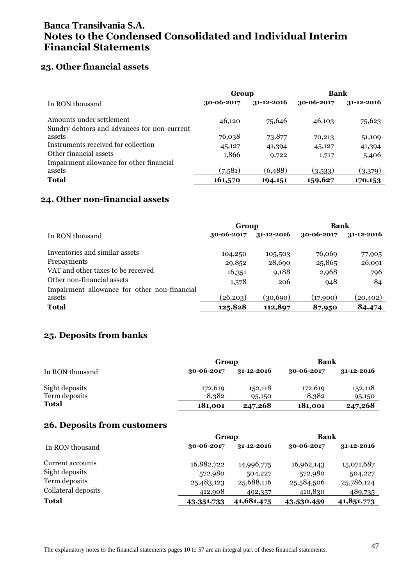### **23. Other financial assets**

|                                                                         | Group      |                  | Bank       |                  |
|-------------------------------------------------------------------------|------------|------------------|------------|------------------|
| In RON thousand                                                         | 30-06-2017 | $31 - 12 - 2016$ | 30-06-2017 | $31 - 12 - 2016$ |
| Amounts under settlement<br>Sundry debtors and advances for non-current | 46,120     | 75,646           | 46,103     | 75,623           |
| assets                                                                  | 76,038     | 73,877           | 70,213     | 51,109           |
| Instruments received for collection                                     | 45,127     | 41,394           | 45,127     | 41,394           |
| Other financial assets                                                  | 1,866      | 9,722            | 1,717      | 5,406            |
| Impairment allowance for other financial                                |            |                  |            |                  |
| assets                                                                  | (7,581)    | (6,488)          | (3,533)    | (3,379)          |
| <b>Total</b>                                                            | 161,570    | 194.151          | 159,627    | 170.153          |

### **24. Other non-financial assets**

|                                              | Group      |                  | Bank       |                  |
|----------------------------------------------|------------|------------------|------------|------------------|
| In RON thousand                              | 30-06-2017 | $31 - 12 - 2016$ | 30-06-2017 | $31 - 12 - 2016$ |
| Inventories and similar assets               | 104,250    | 105,503          | 76,069     | 77,905           |
| Prepayments                                  | 29,852     | 28,690           | 25,865     | 26,091           |
| VAT and other taxes to be received           | 16,351     | 9,188            | 2,968      | 796              |
| Other non-financial assets                   | 1,578      | 206              | 948        | 84               |
| Impairment allowance for other non-financial |            |                  |            |                  |
| assets                                       | (26, 203)  | (30,690)         | (17,900)   | (20,402)         |
| <b>Total</b>                                 | 125,828    | 112,897          | 87,950     | 84,474           |

### **25. Deposits from banks**

|                 |            | Group            |                  | Bank             |  |  |
|-----------------|------------|------------------|------------------|------------------|--|--|
| In RON thousand | 30-06-2017 | $31 - 12 - 2016$ | $30 - 06 - 2017$ | $31 - 12 - 2016$ |  |  |
| Sight deposits  | 172,619    | 152,118          | 172,619          | 152,118          |  |  |
| Term deposits   | 8,382      | 95,150           | 8,382            | 95,150           |  |  |
| <b>Total</b>    | 181,001    | 247,268          | 181,001          | 247,268          |  |  |

#### **26. Deposits from customers**

|                     | Group      |            | Bank       |                  |  |
|---------------------|------------|------------|------------|------------------|--|
| In RON thousand     | 30-06-2017 | 31-12-2016 | 30-06-2017 | $31 - 12 - 2016$ |  |
| Current accounts    | 16,882,722 | 14,996,775 | 16,962,143 | 15,071,687       |  |
| Sight deposits      | 572,980    | 504,227    | 572,980    | 504,227          |  |
| Term deposits       | 25,483,123 | 25,688,116 | 25,584,506 | 25,786,124       |  |
| Collateral deposits | 412,908    | 492,357    | 410,830    | 489,735          |  |
| <b>Total</b>        | 43,351,733 | 41,681,475 | 43,530,459 | 41,851,773       |  |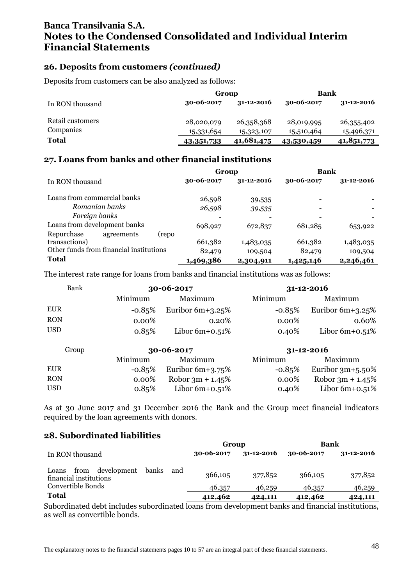### **26. Deposits from customers** *(continued)*

Deposits from customers can be also analyzed as follows:

|                  | Group            |                  | Bank             |                  |  |
|------------------|------------------|------------------|------------------|------------------|--|
| In RON thousand  | $30 - 06 - 2017$ | $31 - 12 - 2016$ | $30 - 06 - 2017$ | $31 - 12 - 2016$ |  |
| Retail customers | 28,020,079       | 26,358,368       | 28,019,995       | 26,355,402       |  |
| Companies        | 15,331,654       | 15,323,107       | 15,510,464       | 15,496,371       |  |
| <b>Total</b>     | 43,351,733       | 41,681,475       | 43,530,459       | 41,851,773       |  |

### **27. Loans from banks and other financial institutions**

|                                         | Group      |            | <b>Bank</b> |                  |
|-----------------------------------------|------------|------------|-------------|------------------|
| In RON thousand                         | 30-06-2017 | 31-12-2016 | 30-06-2017  | $31 - 12 - 2016$ |
| Loans from commercial banks             | 26,598     | 39,535     |             |                  |
| Romanian banks                          | 26,598     | 39,535     |             |                  |
| Foreign banks                           |            |            |             |                  |
| Loans from development banks            | 698,927    | 672,837    | 681,285     | 653,922          |
| Repurchase<br>agreements<br>(repo       |            |            |             |                  |
| transactions)                           | 661,382    | 1,483,035  | 661,382     | 1,483,035        |
| Other funds from financial institutions | 82,479     | 109,504    | 82,479      | 109,504          |
| <b>Total</b>                            | 1,469,386  | 2,304,911  | 1,425,146   | 2,246,461        |

The interest rate range for loans from banks and financial institutions was as follows:

| Bank       | 30-06-2017 |                     |           | 31-12-2016         |
|------------|------------|---------------------|-----------|--------------------|
|            | Minimum    | Maximum             | Minimum   | Maximum            |
| <b>EUR</b> | $-0.85%$   | Euribor $6m+3.25\%$ | $-0.85\%$ | Euribor $6m+3.25%$ |
| <b>RON</b> | $0.00\%$   | $0.20\%$            | $0.00\%$  | 0.60%              |
| <b>USD</b> | 0.85%      | Libor $6m+0.51\%$   | 0.40%     | Libor $6m+0.51\%$  |
| Group      |            | 30-06-2017          |           | 31-12-2016         |
|            | Minimum    | Maximum             | Minimum   | Maximum            |
| <b>EUR</b> | $-0.85%$   | Euribor $6m+3.75\%$ | $-0.85\%$ | Euribor $3m+5.50%$ |
| <b>RON</b> | $0.00\%$   | Robor $3m + 1.45%$  | $0.00\%$  | Robor $3m + 1.45%$ |

As at 30 June 2017 and 31 December 2016 the Bank and the Group meet financial indicators required by the loan agreements with donors.

USD 0.85% Libor 6m+0.51% 0.40% Libor 6m+0.51%

#### **28. Subordinated liabilities**

|                                                                 |     | Group      |            | <b>Bank</b> |                  |
|-----------------------------------------------------------------|-----|------------|------------|-------------|------------------|
| In RON thousand                                                 |     | 30-06-2017 | 31-12-2016 | 30-06-2017  | $31 - 12 - 2016$ |
| development<br>banks<br>from<br>Loans<br>financial institutions | and | 366,105    | 377,852    | 366,105     | 377,852          |
| Convertible Bonds                                               |     | 46,357     | 46,259     | 46,357      | 46,259           |
| <b>Total</b>                                                    |     | 412,462    | 424,111    | 412,462     | 424,111          |

Subordinated debt includes subordinated loans from development banks and financial institutions, as well as convertible bonds.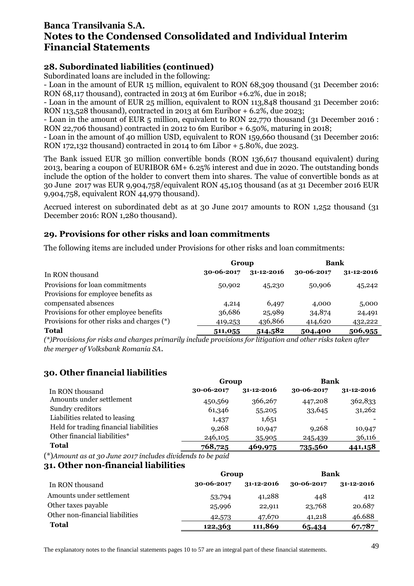### **28. Subordinated liabilities (continued)**

Subordinated loans are included in the following:

- Loan in the amount of EUR 15 million, equivalent to RON 68,309 thousand (31 December 2016: RON 68,117 thousand), contracted in 2013 at 6m Euribor +6.2%, due in 2018;

- Loan in the amount of EUR 25 million, equivalent to RON 113,848 thousand 31 December 2016: RON 113,528 thousand), contracted in 2013 at 6m Euribor + 6.2%, due 2023;

- Loan in the amount of EUR 5 million, equivalent to RON 22,770 thousand (31 December 2016 : RON 22,706 thousand) contracted in 2012 to 6m Euribor  $+$  6.50%, maturing in 2018;

- Loan in the amount of 40 million USD, equivalent to RON 159,660 thousand (31 December 2016: RON 172,132 thousand) contracted in 2014 to 6m Libor + 5.80%, due 2023.

The Bank issued EUR 30 million convertible bonds (RON 136,617 thousand equivalent) during 2013, bearing a coupon of EURIBOR 6M+ 6.25% interest and due in 2020. The outstanding bonds include the option of the holder to convert them into shares. The value of convertible bonds as at 30 June 2017 was EUR 9,904,758/equivalent RON 45,105 thousand (as at 31 December 2016 EUR 9,904,758, equivalent RON 44,979 thousand).

Accrued interest on subordinated debt as at 30 June 2017 amounts to RON 1,252 thousand (31 December 2016: RON 1,280 thousand).

### **29. Provisions for other risks and loan commitments**

The following items are included under Provisions for other risks and loan commitments:

| Group                                      |            |                  | Bank       |                  |  |
|--------------------------------------------|------------|------------------|------------|------------------|--|
| In RON thousand                            | 30-06-2017 | $31 - 12 - 2016$ | 30-06-2017 | $31 - 12 - 2016$ |  |
| Provisions for loan commitments            | 50,902     | 45,230           | 50,906     | 45,242           |  |
| Provisions for employee benefits as        |            |                  |            |                  |  |
| compensated absences                       | 4,214      | 6,497            | 4,000      | 5,000            |  |
| Provisions for other employee benefits     | 36,686     | 25,989           | 34,874     | 24,491           |  |
| Provisions for other risks and charges (*) | 419,253    | 436,866          | 414,620    | 432,222          |  |
| <b>Total</b>                               | 511,055    | 514,582          | 504,400    | 506,955          |  |

*(\*)Provisions for risks and charges primarily include provisions for litigation and other risks taken after the merger of Volksbank Romania SA.*

### **30. Other financial liabilities**

|                                        | Group      |            | Bank       |                  |  |
|----------------------------------------|------------|------------|------------|------------------|--|
| In RON thousand                        | 30-06-2017 | 31-12-2016 | 30-06-2017 | $31 - 12 - 2016$ |  |
| Amounts under settlement               | 450,569    | 366,267    | 447,208    | 362,833          |  |
| Sundry creditors                       | 61,346     | 55,205     | 33,645     | 31,262           |  |
| Liabilities related to leasing         | 1,437      | 1,651      |            |                  |  |
| Held for trading financial liabilities | 9,268      | 10,947     | 9,268      | 10,947           |  |
| Other financial liabilities*           | 246,105    | 35,905     | 245,439    | 36,116           |  |
| <b>Total</b>                           | 768,725    | 469,975    | 735,560    | 441,158          |  |

(\*)*Amount as at 30 June 2017 includes dividends to be paid*

#### **31. Other non-financial liabilities**

|                                 | Group      |                  | Bank       |                  |  |
|---------------------------------|------------|------------------|------------|------------------|--|
| In RON thousand                 | 30-06-2017 | $31 - 12 - 2016$ | 30-06-2017 | $31 - 12 - 2016$ |  |
| Amounts under settlement        | 53,794     | 41,288           | 448        | 412              |  |
| Other taxes payable             | 25,996     | 22,911           | 23,768     | 20.687           |  |
| Other non-financial liabilities | 42,573     | 47,670           | 41,218     | 46.688           |  |
| <b>Total</b>                    | 122,363    | 111,869          | 65,434     | 67.787           |  |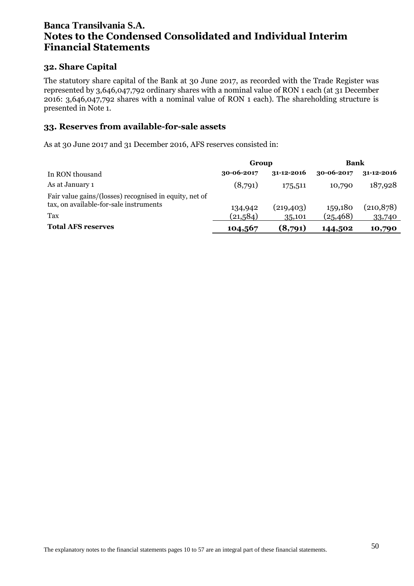#### **32. Share Capital**

The statutory share capital of the Bank at 30 June 2017, as recorded with the Trade Register was represented by 3,646,047,792 ordinary shares with a nominal value of RON 1 each (at 31 December 2016: 3,646,047,792 shares with a nominal value of RON 1 each). The shareholding structure is presented in Note 1.

#### **33. Reserves from available-for-sale assets**

As at 30 June 2017 and 31 December 2016, AFS reserves consisted in:

|                                                                                                  | Group      |                  | <b>Bank</b> |                  |  |
|--------------------------------------------------------------------------------------------------|------------|------------------|-------------|------------------|--|
| In RON thousand                                                                                  | 30-06-2017 | $31 - 12 - 2016$ | 30-06-2017  | $31 - 12 - 2016$ |  |
| As at January 1                                                                                  | (8,791)    | 175,511          | 10,790      | 187,928          |  |
| Fair value gains/(losses) recognised in equity, net of<br>tax, on available-for-sale instruments | 134,942    | (219, 403)       | 159,180     | (210, 878)       |  |
| Tax                                                                                              | (21,584)   | 35,101           | (25, 468)   | 33,740           |  |
| <b>Total AFS reserves</b>                                                                        | 104,567    | (8,791)          | 144,502     | 10,790           |  |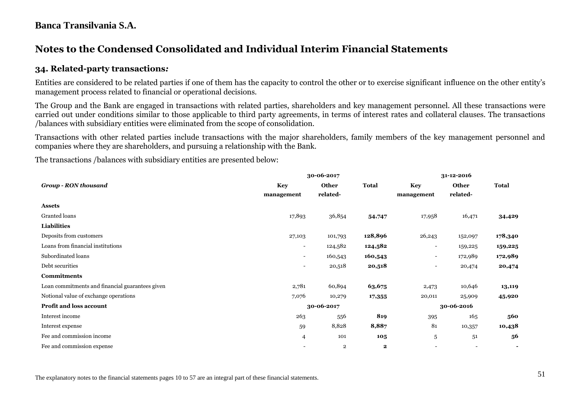# **Notes to the Condensed Consolidated and Individual Interim Financial Statements**

#### **34. Related-party transactions***:*

Entities are considered to be related parties if one of them has the capacity to control the other or to exercise significant influence on the other entity's management process related to financial or operational decisions.

The Group and the Bank are engaged in transactions with related parties, shareholders and key management personnel. All these transactions were carried out under conditions similar to those applicable to third party agreements, in terms of interest rates and collateral clauses. The transactions /balances with subsidiary entities were eliminated from the scope of consolidation.

Transactions with other related parties include transactions with the major shareholders, family members of the key management personnel and companies where they are shareholders, and pursuing a relationship with the Bank.

The transactions /balances with subsidiary entities are presented below:

|                                                 |                          | 30-06-2017   | 31-12-2016   |                          |              |                |  |
|-------------------------------------------------|--------------------------|--------------|--------------|--------------------------|--------------|----------------|--|
| <b>Group - RON thousand</b>                     | <b>Key</b>               | <b>Other</b> | <b>Total</b> | <b>Key</b>               | <b>Other</b> | <b>Total</b>   |  |
|                                                 | management               | related-     |              | management               | related-     |                |  |
| <b>Assets</b>                                   |                          |              |              |                          |              |                |  |
| Granted loans                                   | 17,893                   | 36,854       | 54,747       | 17,958                   | 16,471       | 34,429         |  |
| <b>Liabilities</b>                              |                          |              |              |                          |              |                |  |
| Deposits from customers                         | 27,103                   | 101,793      | 128,896      | 26,243                   | 152,097      | 178,340        |  |
| Loans from financial institutions               | $\overline{\phantom{a}}$ | 124,582      | 124,582      | $\overline{\phantom{a}}$ | 159,225      | 159,225        |  |
| Subordinated loans                              | $\overline{\phantom{0}}$ | 160,543      | 160,543      | $\overline{\phantom{a}}$ | 172,989      | 172,989        |  |
| Debt securities                                 | $\overline{\phantom{0}}$ | 20,518       | 20,518       | $\overline{\phantom{a}}$ | 20,474       | 20,474         |  |
| <b>Commitments</b>                              |                          |              |              |                          |              |                |  |
| Loan commitments and financial guarantees given | 2,781                    | 60,894       | 63,675       | 2,473                    | 10,646       | 13,119         |  |
| Notional value of exchange operations           | 7,076                    | 10,279       | 17,355       | 20,011                   | 25,909       | 45,920         |  |
| <b>Profit and loss account</b>                  |                          | 30-06-2017   |              | 30-06-2016               |              |                |  |
| Interest income                                 | 263                      | 556          | 819          | 395                      | 165          | 560            |  |
| Interest expense                                | 59                       | 8,828        | 8,887        | 81                       | 10,357       | 10,438         |  |
| Fee and commission income                       | 4                        | 101          | 105          | 5                        | 51           | 56             |  |
| Fee and commission expense                      |                          | $\mathbf{2}$ | $\mathbf{2}$ |                          |              | $\blacksquare$ |  |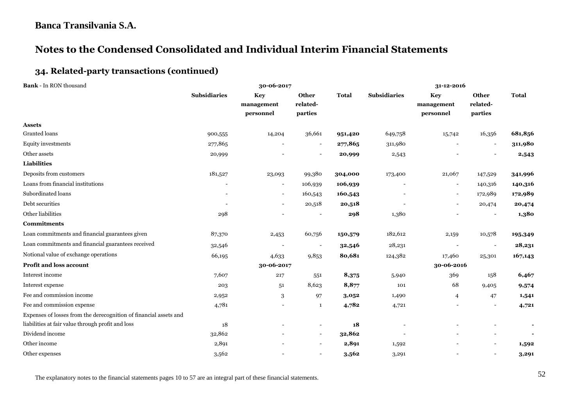# **Notes to the Condensed Consolidated and Individual Interim Financial Statements**

### **34. Related-party transactions (continued)**

| <b>Bank - In RON thousand</b>                                     | 30-06-2017          |                                |                              |              | 31-12-2016               |                                       |                              |              |
|-------------------------------------------------------------------|---------------------|--------------------------------|------------------------------|--------------|--------------------------|---------------------------------------|------------------------------|--------------|
|                                                                   | <b>Subsidiaries</b> | Key<br>management<br>personnel | Other<br>related-<br>parties | <b>Total</b> | <b>Subsidiaries</b>      | <b>Key</b><br>management<br>personnel | Other<br>related-<br>parties | <b>Total</b> |
| <b>Assets</b>                                                     |                     |                                |                              |              |                          |                                       |                              |              |
| Granted loans                                                     | 900,555             | 14,204                         | 36,661                       | 951,420      | 649,758                  | 15,742                                | 16,356                       | 681,856      |
| <b>Equity investments</b>                                         | 277,865             | $\overline{\phantom{a}}$       | $\overline{\phantom{a}}$     | 277,865      | 311,980                  | $\overline{\phantom{a}}$              | $\overline{\phantom{a}}$     | 311,980      |
| Other assets                                                      | 20,999              |                                |                              | 20,999       | 2,543                    |                                       |                              | 2,543        |
| <b>Liabilities</b>                                                |                     |                                |                              |              |                          |                                       |                              |              |
| Deposits from customers                                           | 181,527             | 23,093                         | 99,380                       | 304,000      | 173,400                  | 21,067                                | 147,529                      | 341,996      |
| Loans from financial institutions                                 |                     | $\overline{\phantom{a}}$       | 106,939                      | 106,939      |                          | $\overline{\phantom{a}}$              | 140,316                      | 140,316      |
| Subordinated loans                                                |                     | $\overline{\phantom{a}}$       | 160,543                      | 160,543      | $\overline{\phantom{a}}$ | $\overline{\phantom{a}}$              | 172,989                      | 172,989      |
| Debt securities                                                   |                     |                                | 20,518                       | 20,518       |                          |                                       | 20,474                       | 20,474       |
| Other liabilities                                                 | 298                 |                                |                              | 298          | 1,380                    |                                       |                              | 1,380        |
| <b>Commitments</b>                                                |                     |                                |                              |              |                          |                                       |                              |              |
| Loan commitments and financial guarantees given                   | 87,370              | 2,453                          | 60,756                       | 150,579      | 182,612                  | 2,159                                 | 10,578                       | 195,349      |
| Loan commitments and financial guarantees received                | 32,546              |                                | $\overline{\phantom{a}}$     | 32,546       | 28,231                   | $\overline{\phantom{a}}$              | $\overline{\phantom{a}}$     | 28,231       |
| Notional value of exchange operations                             | 66,195              | 4,633                          | 9,853                        | 80,681       | 124,382                  | 17,460                                | 25,301                       | 167,143      |
| Profit and loss account                                           |                     | 30-06-2017                     |                              |              |                          | 30-06-2016                            |                              |              |
| Interest income                                                   | 7,607               | 217                            | 551                          | 8,375        | 5,940                    | 369                                   | 158                          | 6,467        |
| Interest expense                                                  | 203                 | 51                             | 8,623                        | 8,877        | 101                      | 68                                    | 9,405                        | 9,574        |
| Fee and commission income                                         | 2,952               | 3                              | 97                           | 3,052        | 1,490                    | $\overline{4}$                        | 47                           | 1,541        |
| Fee and commission expense                                        | 4,781               |                                | 1                            | 4,782        | 4,721                    |                                       |                              | 4,721        |
| Expenses of losses from the derecognition of financial assets and |                     |                                |                              |              |                          |                                       |                              |              |
| liabilities at fair value through profit and loss                 | 18                  |                                | $\overline{\phantom{0}}$     | 18           |                          |                                       |                              |              |
| Dividend income                                                   | 32,862              |                                | $\overline{\phantom{a}}$     | 32,862       |                          |                                       |                              |              |
| Other income                                                      | 2,891               |                                | $\overline{\phantom{a}}$     | 2,891        | 1,592                    |                                       |                              | 1,592        |
| Other expenses                                                    | 3,562               |                                | $\blacksquare$               | 3,562        | 3,291                    |                                       |                              | 3,291        |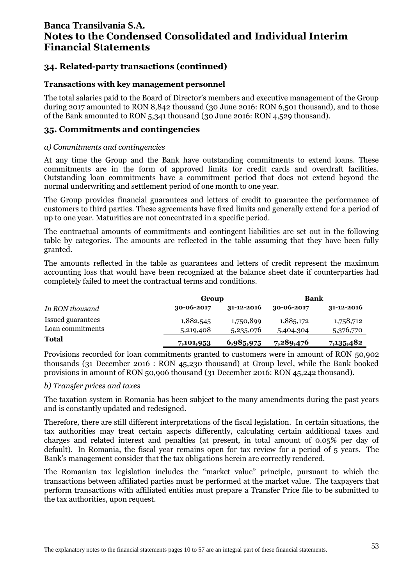### **34. Related-party transactions (continued)**

#### **Transactions with key management personnel**

The total salaries paid to the Board of Director's members and executive management of the Group during 2017 amounted to RON 8,842 thousand (30 June 2016: RON 6,501 thousand), and to those of the Bank amounted to RON 5,341 thousand (30 June 2016: RON 4,529 thousand).

#### **35. Commitments and contingencies**

#### *a) Commitments and contingencies*

At any time the Group and the Bank have outstanding commitments to extend loans. These commitments are in the form of approved limits for credit cards and overdraft facilities. Outstanding loan commitments have a commitment period that does not extend beyond the normal underwriting and settlement period of one month to one year.

The Group provides financial guarantees and letters of credit to guarantee the performance of customers to third parties. These agreements have fixed limits and generally extend for a period of up to one year. Maturities are not concentrated in a specific period.

The contractual amounts of commitments and contingent liabilities are set out in the following table by categories. The amounts are reflected in the table assuming that they have been fully granted.

The amounts reflected in the table as guarantees and letters of credit represent the maximum accounting loss that would have been recognized at the balance sheet date if counterparties had completely failed to meet the contractual terms and conditions.

|                   | Group            |                  | Bank       |                  |  |
|-------------------|------------------|------------------|------------|------------------|--|
| In RON thousand   | $30 - 06 - 2017$ | $31 - 12 - 2016$ | 30-06-2017 | $31 - 12 - 2016$ |  |
| Issued guarantees | 1,882,545        | 1,750,899        | 1,885,172  | 1,758,712        |  |
| Loan commitments  | 5,219,408        | 5,235,076        | 5,404,304  | 5,376,770        |  |
| <b>Total</b>      | 7,101,953        | 6,985,975        | 7,289,476  | 7,135,482        |  |

Provisions recorded for loan commitments granted to customers were in amount of RON 50,902 thousands (31 December 2016 : RON 45,230 thousand) at Group level, while the Bank booked provisions in amount of RON 50,906 thousand (31 December 2016: RON 45,242 thousand).

#### *b) Transfer prices and taxes*

The taxation system in Romania has been subject to the many amendments during the past years and is constantly updated and redesigned.

Therefore, there are still different interpretations of the fiscal legislation. In certain situations, the tax authorities may treat certain aspects differently, calculating certain additional taxes and charges and related interest and penalties (at present, in total amount of 0.05% per day of default). In Romania, the fiscal year remains open for tax review for a period of 5 years. The Bank's management consider that the tax obligations herein are correctly rendered.

The Romanian tax legislation includes the "market value" principle, pursuant to which the transactions between affiliated parties must be performed at the market value. The taxpayers that perform transactions with affiliated entities must prepare a Transfer Price file to be submitted to the tax authorities, upon request.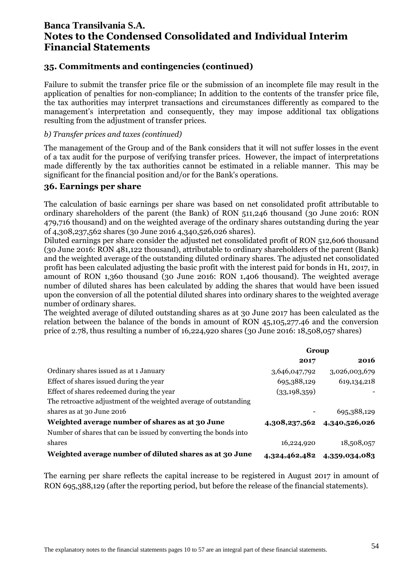### **35. Commitments and contingencies (continued)**

Failure to submit the transfer price file or the submission of an incomplete file may result in the application of penalties for non-compliance; In addition to the contents of the transfer price file, the tax authorities may interpret transactions and circumstances differently as compared to the management's interpretation and consequently, they may impose additional tax obligations resulting from the adjustment of transfer prices.

#### *b) Transfer prices and taxes (continued)*

The management of the Group and of the Bank considers that it will not suffer losses in the event of a tax audit for the purpose of verifying transfer prices. However, the impact of interpretations made differently by the tax authorities cannot be estimated in a reliable manner. This may be significant for the financial position and/or for the Bank's operations.

#### **36. Earnings per share**

The calculation of basic earnings per share was based on net consolidated profit attributable to ordinary shareholders of the parent (the Bank) of RON 511,246 thousand (30 June 2016: RON 479,716 thousand) and on the weighted average of the ordinary shares outstanding during the year of 4,308,237,562 shares (30 June 2016 4,340,526,026 shares).

Diluted earnings per share consider the adjusted net consolidated profit of RON 512,606 thousand (30 June 2016: RON 481,122 thousand), attributable to ordinary shareholders of the parent (Bank) and the weighted average of the outstanding diluted ordinary shares. The adjusted net consolidated profit has been calculated adjusting the basic profit with the interest paid for bonds in H1, 2017, in amount of RON 1,360 thousand (30 June 2016: RON 1,406 thousand). The weighted average number of diluted shares has been calculated by adding the shares that would have been issued upon the conversion of all the potential diluted shares into ordinary shares to the weighted average number of ordinary shares.

The weighted average of diluted outstanding shares as at 30 June 2017 has been calculated as the relation between the balance of the bonds in amount of RON 45,105,277.46 and the conversion price of 2.78, thus resulting a number of 16,224,920 shares (30 June 2016: 18,508,057 shares)

|                                                                   | Group          |                             |  |
|-------------------------------------------------------------------|----------------|-----------------------------|--|
|                                                                   | 2017           | 2016                        |  |
| Ordinary shares issued as at 1 January                            | 3,646,047,792  | 3,026,003,679               |  |
| Effect of shares issued during the year                           | 695,388,129    | 619, 134, 218               |  |
| Effect of shares redeemed during the year                         | (33, 198, 359) |                             |  |
| The retroactive adjustment of the weighted average of outstanding |                |                             |  |
| shares as at 30 June 2016                                         |                | 695,388,129                 |  |
| Weighted average number of shares as at 30 June                   |                | 4,308,237,562 4,340,526,026 |  |
| Number of shares that can be issued by converting the bonds into  |                |                             |  |
| shares                                                            | 16,224,920     | 18,508,057                  |  |
| Weighted average number of diluted shares as at 30 June           | 4,324,462,482  | 4,359,034,083               |  |

The earning per share reflects the capital increase to be registered in August 2017 in amount of RON 695,388,129 (after the reporting period, but before the release of the financial statements).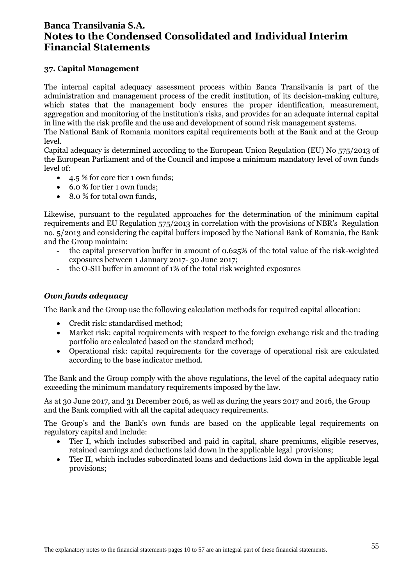#### **37. Capital Management**

The internal capital adequacy assessment process within Banca Transilvania is part of the administration and management process of the credit institution, of its decision-making culture, which states that the management body ensures the proper identification, measurement, aggregation and monitoring of the institution's risks, and provides for an adequate internal capital in line with the risk profile and the use and development of sound risk management systems.

The National Bank of Romania monitors capital requirements both at the Bank and at the Group level.

Capital adequacy is determined according to the European Union Regulation (EU) No 575/2013 of the European Parliament and of the Council and impose a minimum mandatory level of own funds level of:

- 4.5 % for core tier 1 own funds;
- 6.0 % for tier 1 own funds;
- 8.0 % for total own funds.

Likewise, pursuant to the regulated approaches for the determination of the minimum capital requirements and EU Regulation 575/2013 in correlation with the provisions of NBR's Regulation no. 5/2013 and considering the capital buffers imposed by the National Bank of Romania, the Bank and the Group maintain:

- the capital preservation buffer in amount of 0.625% of the total value of the risk-weighted exposures between 1 January 2017- 30 June 2017;
- the O-SII buffer in amount of 1% of the total risk weighted exposures

#### *Own funds adequacy*

The Bank and the Group use the following calculation methods for required capital allocation:

- Credit risk: standardised method;
- Market risk: capital requirements with respect to the foreign exchange risk and the trading portfolio are calculated based on the standard method;
- Operational risk: capital requirements for the coverage of operational risk are calculated according to the base indicator method.

The Bank and the Group comply with the above regulations, the level of the capital adequacy ratio exceeding the minimum mandatory requirements imposed by the law.

As at 30 June 2017, and 31 December 2016, as well as during the years 2017 and 2016, the Group and the Bank complied with all the capital adequacy requirements.

The Group's and the Bank's own funds are based on the applicable legal requirements on regulatory capital and include:

- Tier I, which includes subscribed and paid in capital, share premiums, eligible reserves, retained earnings and deductions laid down in the applicable legal provisions;
- Tier II, which includes subordinated loans and deductions laid down in the applicable legal provisions;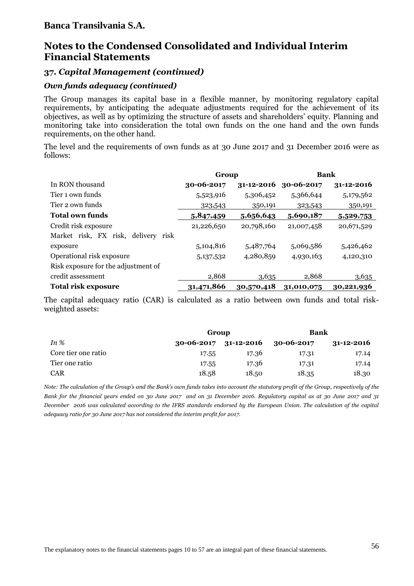# **Notes to the Condensed Consolidated and Individual Interim Financial Statements**

### **37.** *Capital Management (continued)*

#### *Own funds adequacy (continued)*

The Group manages its capital base in a flexible manner, by monitoring regulatory capital requirements, by anticipating the adequate adjustments required for the achievement of its objectives, as well as by optimizing the structure of assets and shareholders' equity. Planning and monitoring take into consideration the total own funds on the one hand and the own funds requirements, on the other hand.

The level and the requirements of own funds as at 30 June 2017 and 31 December 2016 were as follows:

|                                     | Group      |                  | <b>Bank</b> |            |
|-------------------------------------|------------|------------------|-------------|------------|
| In RON thousand                     | 30-06-2017 | $31 - 12 - 2016$ | 30-06-2017  | 31-12-2016 |
| Tier 1 own funds                    | 5,523,916  | 5,306,452        | 5,366,644   | 5,179,562  |
| Tier 2 own funds                    | 323,543    | 350,191          | 323,543     | 350,191    |
| <b>Total own funds</b>              | 5,847,459  | 5,656,643        | 5,690,187   | 5,529,753  |
| Credit risk exposure                | 21,226,650 | 20,798,160       | 21,007,458  | 20,671,529 |
| Market risk, FX risk, delivery risk |            |                  |             |            |
| exposure                            | 5,104,816  | 5,487,764        | 5,069,586   | 5,426,462  |
| Operational risk exposure           | 5,137,532  | 4,280,859        | 4,930,163   | 4,120,310  |
| Risk exposure for the adjustment of |            |                  |             |            |
| credit assessment                   | 2,868      | 3,635            | 2,868       | 3,635      |
| <b>Total risk exposure</b>          | 31,471,866 | 30,570,418       | 31,010,075  | 30,221,936 |

The capital adequacy ratio (CAR) is calculated as a ratio between own funds and total riskweighted assets:

|                     | Group                     |       | Bank       |                  |  |
|---------------------|---------------------------|-------|------------|------------------|--|
| In $%$              | $30-06-2017$ $31-12-2016$ |       | 30-06-2017 | $31 - 12 - 2016$ |  |
| Core tier one ratio | 17.55                     | 17.36 | 17.31      | 17.14            |  |
| Tier one ratio      | 17.55                     | 17.36 | 17.31      | 17.14            |  |
| <b>CAR</b>          | 18.58                     | 18.50 | 18.35      | 18.30            |  |

*Note: The calculation of the Group's and the Bank's own funds takes into account the statutory profit of the Group, respectively of the Bank for the financial years ended on 30 June 2017 and on 31 December 2016. Regulatory capital as at 30 June 2017 and 31 December 2016 was calculated according to the IFRS standards endorsed by the European Union. The calculation of the capital adequacy ratio for 30 June 2017 has not considered the interim profit for 2017.*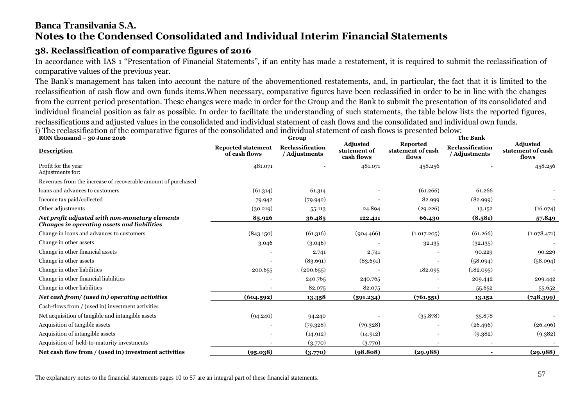### **38. Reclassification of comparative figures of 2016**

In accordance with IAS 1 "Presentation of Financial Statements", if an entity has made a restatement, it is required to submit the reclassification of comparative values of the previous year.

The Bank's management has taken into account the nature of the abovementioned restatements, and, in particular, the fact that it is limited to the reclassification of cash flow and own funds items.When necessary, comparative figures have been reclassified in order to be in line with the changes from the current period presentation. These changes were made in order for the Group and the Bank to submit the presentation of its consolidated and individual financial position as fair as possible. In order to facilitate the understanding of such statements, the table below lists the reported figures, reclassifications and adjusted values in the consolidated and individual statement of cash flows and the consolidated and individual own funds. i) The reclassification of the comparative figures of the consolidated and individual statement of cash flows is presented below:

| RON thousand - 30 June 2016                                                                   |                                            | Group                             |                                               |                                        | <b>The Bank</b>                   |                                               |  |  |
|-----------------------------------------------------------------------------------------------|--------------------------------------------|-----------------------------------|-----------------------------------------------|----------------------------------------|-----------------------------------|-----------------------------------------------|--|--|
| <b>Description</b>                                                                            | <b>Reported statement</b><br>of cash flows | Reclassification<br>/ Adjustments | <b>Adjusted</b><br>statement of<br>cash flows | Reported<br>statement of cash<br>flows | Reclassification<br>/ Adjustments | <b>Adjusted</b><br>statement of cash<br>flows |  |  |
| Profit for the year<br>Adjustments for:                                                       | 481.071                                    |                                   | 481.071                                       | 458.256                                |                                   | 458.256                                       |  |  |
| Revenues from the increase of recoverable amount of purchased                                 |                                            |                                   |                                               |                                        |                                   |                                               |  |  |
| loans and advances to customers                                                               | (61.314)                                   | 61.314                            |                                               | (61.266)                               | 61.266                            |                                               |  |  |
| Income tax paid/collected                                                                     | 79.942                                     | (79.942)                          |                                               | 82.999                                 | (82.999)                          |                                               |  |  |
| Other adjustments                                                                             | (30.219)                                   | 55.113                            | 24.894                                        | (29.226)                               | 13.152                            | (16.074)                                      |  |  |
| Net profit adjusted with non-monetary elements<br>Changes in operating assets and liabilities | 85.926                                     | 36.485                            | 122.411                                       | 66.430                                 | (8.581)                           | 57.849                                        |  |  |
| Change in loans and advances to customers                                                     | (843.150)                                  | (61.316)                          | (904.466)                                     | (1.017.205)                            | (61.266)                          | (1.078.471)                                   |  |  |
| Change in other assets                                                                        | 3.046                                      | (3.046)                           |                                               | 32.135                                 | (32.135)                          |                                               |  |  |
| Change in other financial assets                                                              |                                            | 2.741                             | 2.741                                         |                                        | 90.229                            | 90.229                                        |  |  |
| Change in other assets                                                                        |                                            | (83.691)                          | (83.691)                                      |                                        | (58.094)                          | (58.094)                                      |  |  |
| Change in other liabilities                                                                   | 200.655                                    | (200.655)                         |                                               | 182.095                                | (182.095)                         |                                               |  |  |
| Change in other financial liabilities                                                         |                                            | 240.765                           | 240.765                                       |                                        | 209.442                           | 209.442                                       |  |  |
| Change in other liabilities                                                                   |                                            | 82.075                            | 82.075                                        |                                        | 55.652                            | 55.652                                        |  |  |
| Net cash from/ (used in) operating activities                                                 | (604.592)                                  | 13.358                            | (591.234)                                     | (761.551)                              | 13.152                            | (748.399)                                     |  |  |
| Cash-flows from / (used in) investment activities                                             |                                            |                                   |                                               |                                        |                                   |                                               |  |  |
| Net acquisition of tangible and intangible assets                                             | (94.240)                                   | 94.240                            |                                               | (35.878)                               | 35.878                            |                                               |  |  |
| Acquisition of tangible assets                                                                |                                            | (79.328)                          | (79.328)                                      |                                        | (26.496)                          | (26.496)                                      |  |  |
| Acquisition of intangible assets                                                              |                                            | (14.912)                          | (14.912)                                      |                                        | (9.382)                           | (9.382)                                       |  |  |
| Acquisition of held-to-maturity investments                                                   |                                            | (3.770)                           | (3.770)                                       |                                        |                                   |                                               |  |  |
| Net cash flow from / (used in) investment activities                                          | (95.038)                                   | (3.770)                           | (98.808)                                      | (29.988)                               |                                   | (29.988)                                      |  |  |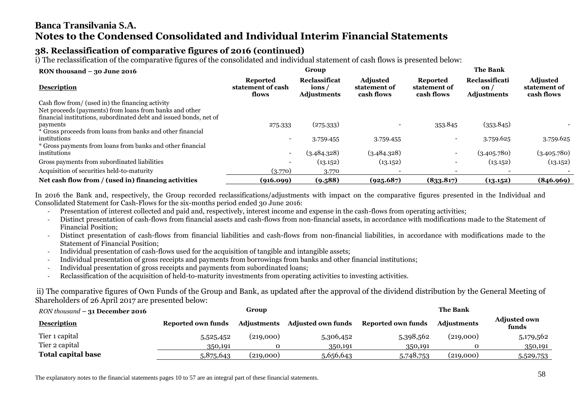### **38. Reclassification of comparative figures of 2016 (continued)**

i) The reclassification of the comparative figures of the consolidated and individual statement of cash flows is presented below:

| RON thousand $-$ 30 June 2016                                      |                                               | Group                                        |                                               | <b>The Bank</b>                               |                                             |                                               |  |
|--------------------------------------------------------------------|-----------------------------------------------|----------------------------------------------|-----------------------------------------------|-----------------------------------------------|---------------------------------------------|-----------------------------------------------|--|
| <b>Description</b>                                                 | <b>Reported</b><br>statement of cash<br>flows | Reclassificat<br>ions/<br><b>Adjustments</b> | <b>Adjusted</b><br>statement of<br>cash flows | <b>Reported</b><br>statement of<br>cash flows | Reclassificati<br>on/<br><b>Adjustments</b> | <b>Adjusted</b><br>statement of<br>cash flows |  |
| Cash flow from/ (used in) the financing activity                   |                                               |                                              |                                               |                                               |                                             |                                               |  |
| Net proceeds (payments) from loans from banks and other            |                                               |                                              |                                               |                                               |                                             |                                               |  |
| financial institutions, subordinated debt and issued bonds, net of |                                               |                                              |                                               |                                               |                                             |                                               |  |
| payments                                                           | 275.333                                       | (275.333)                                    |                                               | 353.845                                       | (353.845)                                   |                                               |  |
| * Gross proceeds from loans from banks and other financial         |                                               |                                              |                                               |                                               |                                             |                                               |  |
| institutions                                                       |                                               | 3.759.455                                    | 3.759.455                                     |                                               | 3.759.625                                   | 3.759.625                                     |  |
| * Gross payments from loans from banks and other financial         |                                               |                                              |                                               |                                               |                                             |                                               |  |
| institutions                                                       | $\overline{\phantom{a}}$                      | (3.484.328)                                  | (3.484.328)                                   | $\overline{\phantom{0}}$                      | (3.405.780)                                 | (3.405.780)                                   |  |
| Gross payments from subordinated liabilities                       |                                               | (13.152)                                     | (13.152)                                      |                                               | (13.152)                                    | (13.152)                                      |  |
| Acquisition of securities held-to-maturity                         | (3.770)                                       | 3.770                                        |                                               |                                               |                                             |                                               |  |
| Net cash flow from / (used in) financing activities                | (916.099)                                     | (9.588)                                      | (925.687)                                     | (833.817)                                     | (13.152)                                    | (846.969)                                     |  |

In 2016 the Bank and, respectively, the Group recorded reclassifications/adjustments with impact on the comparative figures presented in the Individual and Consolidated Statement for Cash-Flows for the six-months period ended 30 June 2016:

- Presentation of interest collected and paid and, respectively, interest income and expense in the cash-flows from operating activities;
- Distinct presentation of cash-flows from financial assets and cash-flows from non-financial assets, in accordance with modifications made to the Statement of Financial Position;
- Distinct presentation of cash-flows from financial liabilities and cash-flows from non-financial liabilities, in accordance with modifications made to the Statement of Financial Position;
- Individual presentation of cash-flows used for the acquisition of tangible and intangible assets;
- Individual presentation of gross receipts and payments from borrowings from banks and other financial institutions;
- Individual presentation of gross receipts and payments from subordinated loans;
- Reclassification of the acquisition of held-to-maturity investments from operating activities to investing activities.

ii) The comparative figures of Own Funds of the Group and Bank, as updated after the approval of the dividend distribution by the General Meeting of Shareholders of 26 April 2017 are presented below:

| RON thousand $-31$ December 2016 |                    | Group              |                           |                    | <b>The Bank</b>    |                              |
|----------------------------------|--------------------|--------------------|---------------------------|--------------------|--------------------|------------------------------|
| <b>Description</b>               | Reported own funds | <b>Adiustments</b> | <b>Adjusted own funds</b> | Reported own funds | <b>Adjustments</b> | <b>Adjusted own</b><br>funds |
| Tier 1 capital                   | 5,525,452          | (219,000)          | 5,306,452                 | 5,398,562          | (219,000)          | 5,179,562                    |
| Tier 2 capital                   | 350,191            |                    | 350,191                   | 350,191            |                    | 350,191                      |
| <b>Total capital base</b>        | 5,875,643          | (219,000)          | 5,656,643                 | 5,748,753          | (219,000)          | 5,529,753                    |